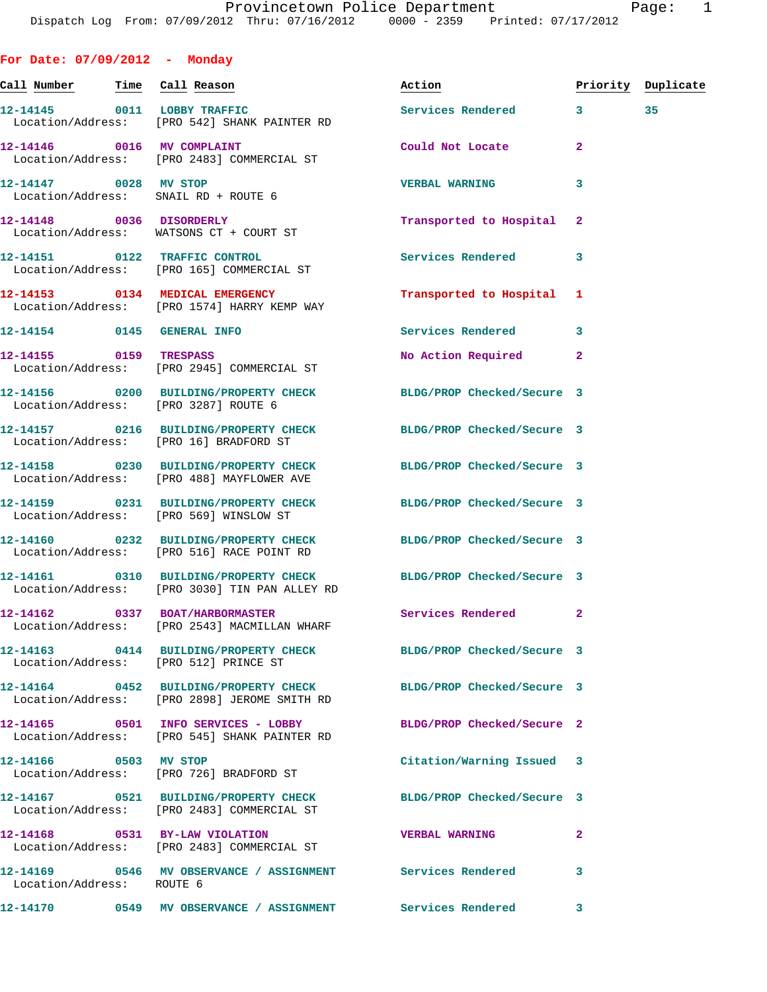**For Date: 07/09/2012 - Monday**

**Call Number Time Call Reason Action Priority Duplicate 12-14145 0011 LOBBY TRAFFIC Services Rendered 3 35**  Location/Address: [PRO 542] SHANK PAINTER RD **12-14146 0016 MV COMPLAINT Could Not Locate 2**  Location/Address: [PRO 2483] COMMERCIAL ST **12-14147 0028 MV STOP VERBAL WARNING 3**  Location/Address: SNAIL RD + ROUTE 6 **12-14148 0036 DISORDERLY Transported to Hospital 2**  Location/Address: WATSONS CT + COURT ST **12-14151 0122 TRAFFIC CONTROL Services Rendered 3**  Location/Address: [PRO 165] COMMERCIAL ST **12-14153 0134 MEDICAL EMERGENCY Transported to Hospital 1**  Location/Address: [PRO 1574] HARRY KEMP WAY **12-14154 0145 GENERAL INFO Services Rendered 3 12-14155 0159 TRESPASS No Action Required 2**  Location/Address: [PRO 2945] COMMERCIAL ST **12-14156 0200 BUILDING/PROPERTY CHECK BLDG/PROP Checked/Secure 3**  Location/Address: [PRO 3287] ROUTE 6 **12-14157 0216 BUILDING/PROPERTY CHECK BLDG/PROP Checked/Secure 3**  Location/Address: [PRO 16] BRADFORD ST **12-14158 0230 BUILDING/PROPERTY CHECK BLDG/PROP Checked/Secure 3**  Location/Address: [PRO 488] MAYFLOWER AVE **12-14159 0231 BUILDING/PROPERTY CHECK BLDG/PROP Checked/Secure 3**  Location/Address: [PRO 569] WINSLOW ST **12-14160 0232 BUILDING/PROPERTY CHECK BLDG/PROP Checked/Secure 3**  Location/Address: [PRO 516] RACE POINT RD **12-14161 0310 BUILDING/PROPERTY CHECK BLDG/PROP Checked/Secure 3**  Location/Address: [PRO 3030] TIN PAN ALLEY RD **12-14162 0337 BOAT/HARBORMASTER Services Rendered 2**  Location/Address: [PRO 2543] MACMILLAN WHARF **12-14163 0414 BUILDING/PROPERTY CHECK BLDG/PROP Checked/Secure 3**  Location/Address: [PRO 512] PRINCE ST **12-14164 0452 BUILDING/PROPERTY CHECK BLDG/PROP Checked/Secure 3**  Location/Address: [PRO 2898] JEROME SMITH RD **12-14165 0501 INFO SERVICES - LOBBY BLDG/PROP Checked/Secure 2**  Location/Address: [PRO 545] SHANK PAINTER RD **12-14166 0503 MV STOP Citation/Warning Issued 3**  Location/Address: [PRO 726] BRADFORD ST **12-14167 0521 BUILDING/PROPERTY CHECK BLDG/PROP Checked/Secure 3**  Location/Address: [PRO 2483] COMMERCIAL ST

**12-14168 0531 BY-LAW VIOLATION VERBAL WARNING 2**  Location/Address: [PRO 2483] COMMERCIAL ST **12-14169 0546 MV OBSERVANCE / ASSIGNMENT Services Rendered 3**  Location/Address: ROUTE 6

**12-14170 0549 MV OBSERVANCE / ASSIGNMENT Services Rendered 3**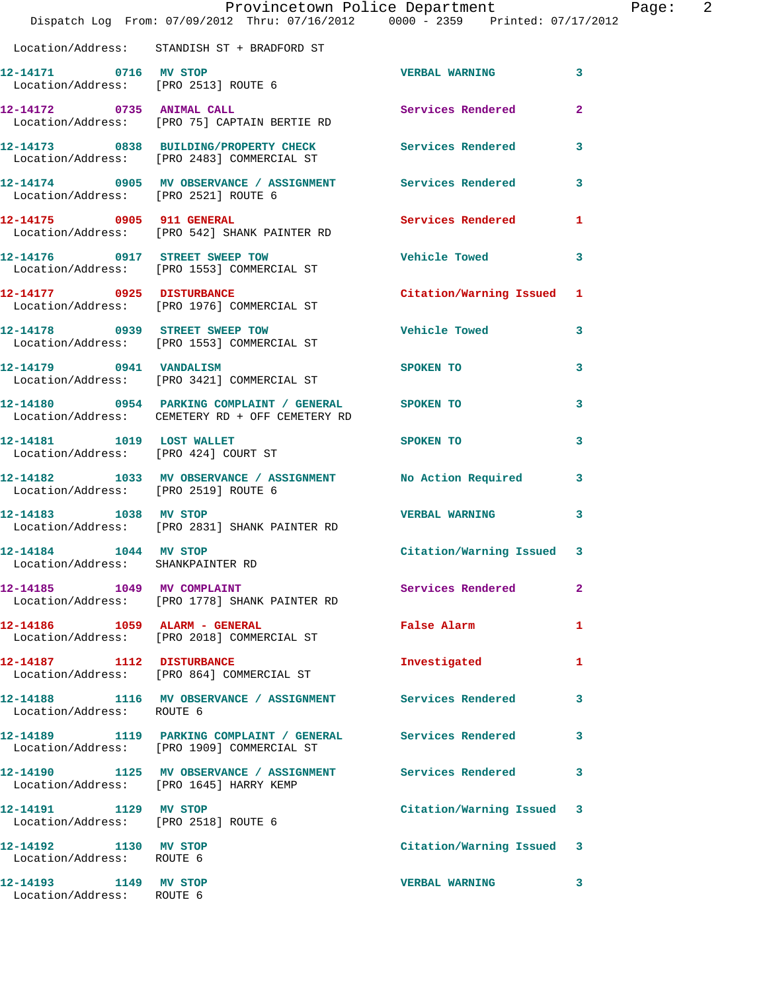|                                                                | Provincetown Police Department<br>Dispatch Log From: 07/09/2012 Thru: 07/16/2012 0000 - 2359 Printed: 07/17/2012 |                         |              |
|----------------------------------------------------------------|------------------------------------------------------------------------------------------------------------------|-------------------------|--------------|
|                                                                | Location/Address: STANDISH ST + BRADFORD ST                                                                      |                         |              |
| 12-14171 0716 MV STOP                                          | Location/Address: [PRO 2513] ROUTE 6                                                                             | <b>VERBAL WARNING</b>   | 3            |
| 12-14172 0735 ANIMAL CALL                                      | Location/Address: [PRO 75] CAPTAIN BERTIE RD                                                                     | Services Rendered       | $\mathbf{2}$ |
|                                                                | 12-14173 0838 BUILDING/PROPERTY CHECK<br>Location/Address: [PRO 2483] COMMERCIAL ST                              | Services Rendered       | 3            |
| Location/Address: [PRO 2521] ROUTE 6                           | 12-14174 0905 MV OBSERVANCE / ASSIGNMENT Services Rendered                                                       |                         | 3            |
| 12-14175 0905 911 GENERAL                                      | Location/Address: [PRO 542] SHANK PAINTER RD                                                                     | Services Rendered       | 1            |
|                                                                | 12-14176 0917 STREET SWEEP TOW<br>Location/Address: [PRO 1553] COMMERCIAL ST                                     | <b>Vehicle Towed</b>    | 3            |
|                                                                | 12-14177 0925 DISTURBANCE<br>Location/Address: [PRO 1976] COMMERCIAL ST                                          | Citation/Warning Issued | 1            |
|                                                                | 12-14178 0939 STREET SWEEP TOW<br>Location/Address: [PRO 1553] COMMERCIAL ST                                     | <b>Vehicle Towed</b>    | 3            |
| 12-14179 0941 VANDALISM                                        | Location/Address: [PRO 3421] COMMERCIAL ST                                                                       | <b>SPOKEN TO</b>        | 3            |
|                                                                | 12-14180 0954 PARKING COMPLAINT / GENERAL SPOKEN TO<br>Location/Address: CEMETERY RD + OFF CEMETERY RD           |                         | 3            |
| 12-14181    1019    LOST WALLET                                | Location/Address: [PRO 424] COURT ST                                                                             | SPOKEN TO               | 3            |
| Location/Address: [PRO 2519] ROUTE 6                           | 12-14182 1033 MV OBSERVANCE / ASSIGNMENT No Action Required                                                      |                         | 3            |
| 12-14183 1038 MV STOP                                          | Location/Address: [PRO 2831] SHANK PAINTER RD                                                                    | <b>VERBAL WARNING</b>   | 3            |
| 12-14184   1044   MV STOP<br>Location/Address: SHANKPAINTER RD |                                                                                                                  | Citation/Warning Issued | 3            |
|                                                                | Location/Address: [PRO 1778] SHANK PAINTER RD                                                                    | Services Rendered       | 2            |
|                                                                | 12-14186    1059    ALARM - GENERAL<br>Location/Address: [PRO 2018] COMMERCIAL ST                                | False Alarm             | 1            |
| 12-14187 1112 DISTURBANCE                                      | Location/Address: [PRO 864] COMMERCIAL ST                                                                        | Investigated            | 1            |
| Location/Address: ROUTE 6                                      | 12-14188 1116 MV OBSERVANCE / ASSIGNMENT Services Rendered                                                       |                         | 3            |
|                                                                | 12-14189 1119 PARKING COMPLAINT / GENERAL Services Rendered<br>Location/Address: [PRO 1909] COMMERCIAL ST        |                         | 3            |
|                                                                | 12-14190 1125 MV OBSERVANCE / ASSIGNMENT Services Rendered<br>Location/Address: [PRO 1645] HARRY KEMP            |                         | 3            |
| 12-14191 1129 MV STOP<br>Location/Address: [PRO 2518] ROUTE 6  |                                                                                                                  | Citation/Warning Issued | 3            |
| 12-14192 1130 MV STOP<br>Location/Address: ROUTE 6             |                                                                                                                  | Citation/Warning Issued | 3            |
| 12-14193 1149 MV STOP<br>Location/Address: ROUTE 6             |                                                                                                                  | <b>VERBAL WARNING</b>   | 3            |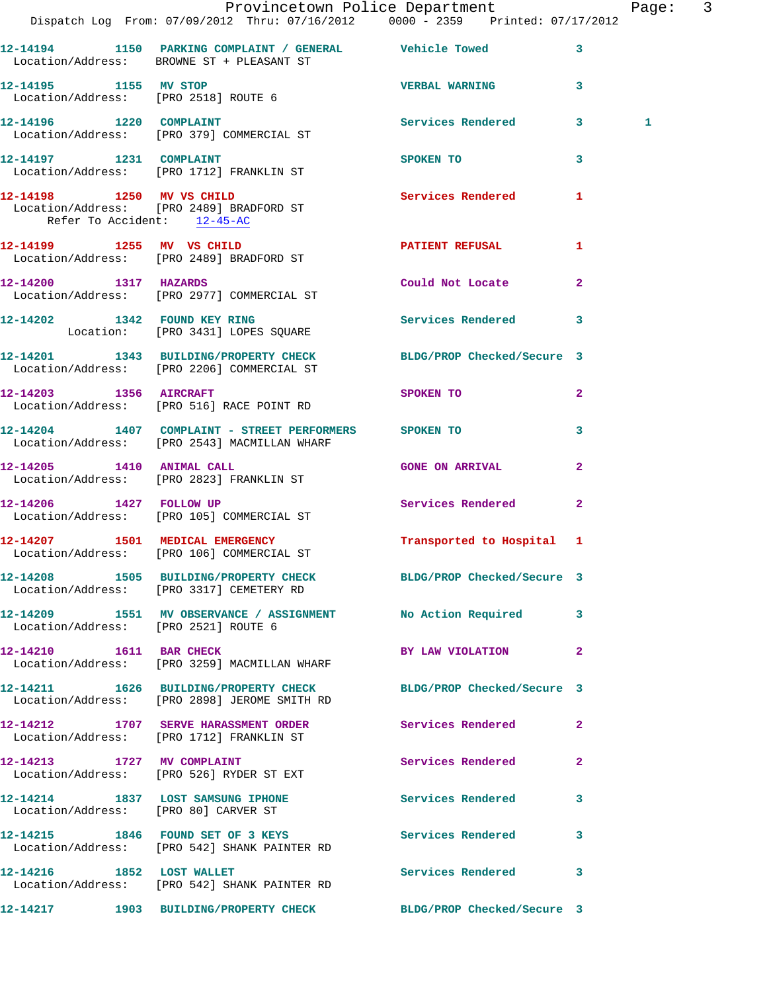|                                      | Provincetown Police Department The Page: 3                                                                       |                        |                |   |  |
|--------------------------------------|------------------------------------------------------------------------------------------------------------------|------------------------|----------------|---|--|
|                                      | Dispatch Log From: 07/09/2012 Thru: 07/16/2012   0000 - 2359   Printed: 07/17/2012                               |                        |                |   |  |
|                                      | 12-14194 1150 PARKING COMPLAINT / GENERAL Vehicle Towed 3<br>Location/Address: BROWNE ST + PLEASANT ST           |                        |                |   |  |
|                                      | 12-14195 1155 MV STOP 12-14195 23<br>Location/Address: [PRO 2518] ROUTE 6                                        |                        |                |   |  |
|                                      | 12-14196 1220 COMPLAINT<br>Location/Address: [PRO 379] COMMERCIAL ST                                             | Services Rendered 3    |                | 1 |  |
|                                      | 12-14197 1231 COMPLAINT<br>Location/Address: [PRO 1712] FRANKLIN ST                                              | SPOKEN TO              | $\mathbf{3}$   |   |  |
| Refer To Accident: 12-45-AC          | 12-14198 1250 MV VS CHILD<br>Location/Address: [PRO 2489] BRADFORD ST                                            | Services Rendered 1    |                |   |  |
|                                      | 12-14199 1255 MV VS CHILD<br>Location/Address: [PRO 2489] BRADFORD ST                                            | PATIENT REFUSAL 1      |                |   |  |
| 12-14200 1317 HAZARDS                | Location/Address: [PRO 2977] COMMERCIAL ST                                                                       | Could Not Locate 2     |                |   |  |
|                                      | 12-14202 1342 FOUND KEY RING<br>Location: [PRO 3431] LOPES SQUARE                                                | Services Rendered 3    |                |   |  |
|                                      | 12-14201 1343 BUILDING/PROPERTY CHECK BLDG/PROP Checked/Secure 3<br>Location/Address: [PRO 2206] COMMERCIAL ST   |                        |                |   |  |
|                                      | 12-14203 1356 AIRCRAFT<br>Location/Address: [PRO 516] RACE POINT RD                                              | SPOKEN TO              | $\mathbf{2}$   |   |  |
|                                      | 12-14204 1407 COMPLAINT - STREET PERFORMERS SPOKEN TO<br>Location/Address: [PRO 2543] MACMILLAN WHARF            |                        | 3              |   |  |
|                                      | 12-14205   1410   ANIMAL CALL<br>Location/Address: [PRO 2823] FRANKLIN ST                                        | <b>GONE ON ARRIVAL</b> | $\overline{2}$ |   |  |
|                                      | 12-14206 1427 FOLLOW UP<br>Location/Address: [PRO 105] COMMERCIAL ST                                             | Services Rendered      | $\overline{2}$ |   |  |
|                                      | 12-14207 1501 MEDICAL EMERGENCY 1 Transported to Hospital 1<br>Location/Address: [PRO 106] COMMERCIAL ST         |                        |                |   |  |
|                                      | 12-14208 1505 BUILDING/PROPERTY CHECK BLDG/PROP Checked/Secure 3<br>Location/Address: [PRO 3317] CEMETERY RD     |                        |                |   |  |
| Location/Address: [PRO 2521] ROUTE 6 | 12-14209 1551 MV OBSERVANCE / ASSIGNMENT No Action Required 3                                                    |                        |                |   |  |
| 12-14210 1611 BAR CHECK              | Location/Address: [PRO 3259] MACMILLAN WHARF                                                                     | BY LAW VIOLATION 2     |                |   |  |
|                                      | 12-14211 1626 BUILDING/PROPERTY CHECK BLDG/PROP Checked/Secure 3<br>Location/Address: [PRO 2898] JEROME SMITH RD |                        |                |   |  |
|                                      | 12-14212 1707 SERVE HARASSMENT ORDER Services Rendered 2<br>Location/Address: [PRO 1712] FRANKLIN ST             |                        |                |   |  |
|                                      | 12-14213 1727 MV COMPLAINT<br>Location/Address: [PRO 526] RYDER ST EXT                                           | Services Rendered 2    |                |   |  |
|                                      | 12-14214 1837 LOST SAMSUNG IPHONE Services Rendered 3<br>Location/Address: [PRO 80] CARVER ST                    |                        |                |   |  |
|                                      | 12-14215 1846 FOUND SET OF 3 KEYS Services Rendered 3<br>Location/Address: [PRO 542] SHANK PAINTER RD            |                        |                |   |  |
|                                      | 12-14216 1852 LOST WALLET<br>Location/Address: [PRO 542] SHANK PAINTER RD                                        | Services Rendered 3    |                |   |  |
|                                      | 12-14217 1903 BUILDING/PROPERTY CHECK BLDG/PROP Checked/Secure 3                                                 |                        |                |   |  |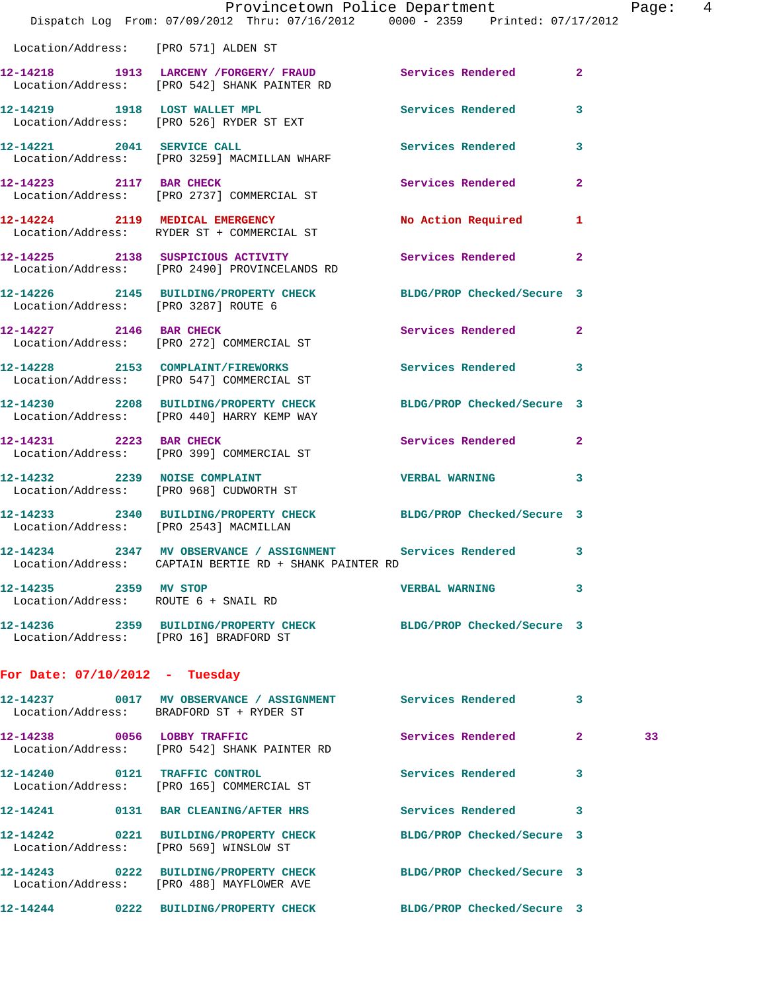|                                        | Dispatch Log From: 07/09/2012 Thru: 07/16/2012 0000 - 2359 Printed: 07/17/2012                                         | Provincetown Police Department |                | Page: 4 |  |
|----------------------------------------|------------------------------------------------------------------------------------------------------------------------|--------------------------------|----------------|---------|--|
| Location/Address: [PRO 571] ALDEN ST   |                                                                                                                        |                                |                |         |  |
|                                        | 12-14218 1913 LARCENY / FORGERY / FRAUD Services Rendered<br>Location/Address: [PRO 542] SHANK PAINTER RD              |                                | $\mathbf{2}$   |         |  |
|                                        | 12-14219 1918 LOST WALLET MPL<br>Location/Address: [PRO 526] RYDER ST EXT                                              | Services Rendered              | $\mathbf{3}$   |         |  |
|                                        | 12-14221 2041 SERVICE CALL<br>Location/Address: [PRO 3259] MACMILLAN WHARF                                             | Services Rendered 3            |                |         |  |
|                                        | 12-14223 2117 BAR CHECK<br>Location/Address: [PRO 2737] COMMERCIAL ST                                                  | <b>Services Rendered</b>       | $\overline{2}$ |         |  |
|                                        | 12-14224 2119 MEDICAL EMERGENCY<br>Location/Address: RYDER ST + COMMERCIAL ST                                          | No Action Required 1           |                |         |  |
|                                        | 12-14225 2138 SUSPICIOUS ACTIVITY Services Rendered 2<br>Location/Address: [PRO 2490] PROVINCELANDS RD                 |                                |                |         |  |
|                                        | 12-14226 2145 BUILDING/PROPERTY CHECK BLDG/PROP Checked/Secure 3<br>Location/Address: [PRO 3287] ROUTE 6               |                                |                |         |  |
|                                        | 12-14227 2146 BAR CHECK<br>Location/Address: [PRO 272] COMMERCIAL ST                                                   | Services Rendered 2            |                |         |  |
|                                        | 12-14228 2153 COMPLAINT/FIREWORKS Services Rendered 3<br>Location/Address: [PRO 547] COMMERCIAL ST                     |                                |                |         |  |
|                                        | 12-14230 2208 BUILDING/PROPERTY CHECK BLDG/PROP Checked/Secure 3<br>Location/Address: [PRO 440] HARRY KEMP WAY         |                                |                |         |  |
| 12-14231 2223 BAR CHECK                | Location/Address: [PRO 399] COMMERCIAL ST                                                                              | Services Rendered 2            |                |         |  |
|                                        | 12-14232 2239 NOISE COMPLAINT<br>Location/Address: [PRO 968] CUDWORTH ST                                               | VERBAL WARNING 3               |                |         |  |
|                                        | 12-14233 2340 BUILDING/PROPERTY CHECK BLDG/PROP Checked/Secure 3<br>Location/Address: [PRO 2543] MACMILLAN             |                                |                |         |  |
|                                        | 12-14234 2347 MV OBSERVANCE / ASSIGNMENT Services Rendered 3<br>Location/Address: CAPTAIN BERTIE RD + SHANK PAINTER RD |                                |                |         |  |
| 12-14235 2359 MV STOP                  | Location/Address: ROUTE 6 + SNAIL RD                                                                                   | VERBAL WARNING 3               |                |         |  |
| Location/Address: [PRO 16] BRADFORD ST | 12-14236 2359 BUILDING/PROPERTY CHECK BLDG/PROP Checked/Secure 3                                                       |                                |                |         |  |
| For Date: $07/10/2012$ - Tuesday       |                                                                                                                        |                                |                |         |  |
|                                        | 12-14237 0017 MV OBSERVANCE / ASSIGNMENT Services Rendered<br>Location/Address: BRADFORD ST + RYDER ST                 |                                | 3              |         |  |
| 12-14238 0056 LOBBY TRAFFIC            | Location/Address: [PRO 542] SHANK PAINTER RD                                                                           | Services Rendered 2            |                | 33      |  |
|                                        | 12-14240 0121 TRAFFIC CONTROL<br>Location/Address: [PRO 165] COMMERCIAL ST                                             | Services Rendered              | 3              |         |  |
|                                        | 12-14241 0131 BAR CLEANING/AFTER HRS Services Rendered 3                                                               |                                |                |         |  |
|                                        | 12-14242 0221 BUILDING/PROPERTY CHECK<br>Location/Address: [PRO 569] WINSLOW ST                                        | BLDG/PROP Checked/Secure 3     |                |         |  |
|                                        | 12-14243 0222 BUILDING/PROPERTY CHECK BLDG/PROP Checked/Secure 3<br>Location/Address: [PRO 488] MAYFLOWER AVE          |                                |                |         |  |
|                                        | 12-14244      0222 BUILDING/PROPERTY CHECK        BLDG/PROP Checked/Secure 3                                           |                                |                |         |  |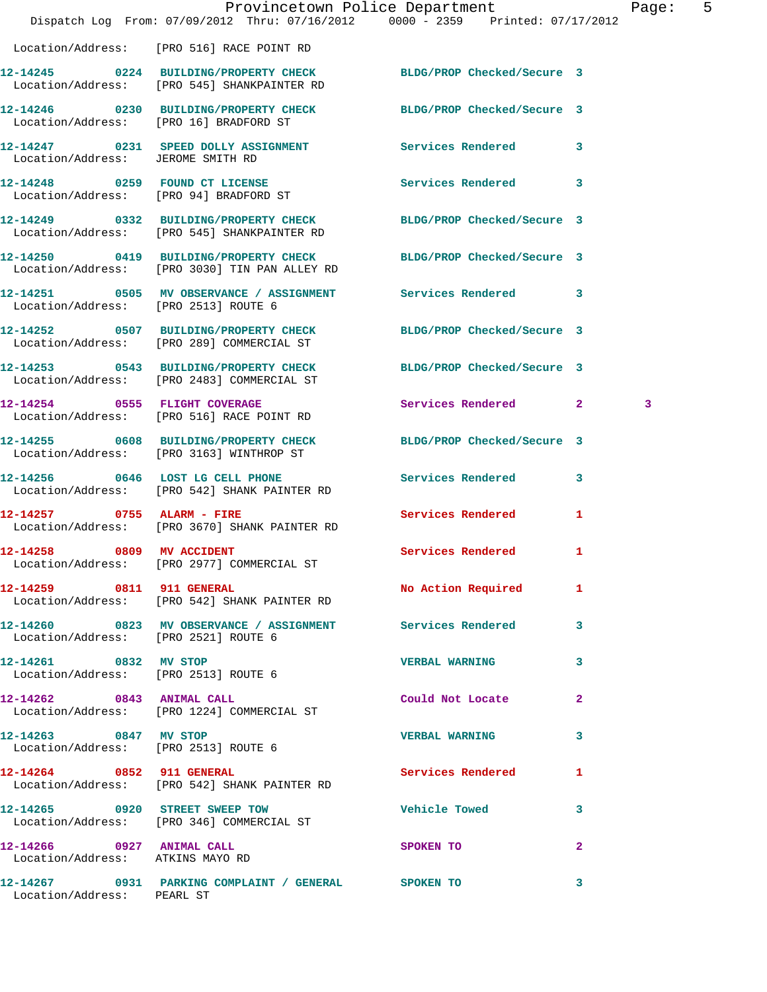|                                                               | Dispatch Log From: 07/09/2012 Thru: 07/16/2012 0000 - 2359 Printed: 07/17/2012                                    | Provincetown Police Department | Page:        | 5 |
|---------------------------------------------------------------|-------------------------------------------------------------------------------------------------------------------|--------------------------------|--------------|---|
|                                                               | Location/Address: [PRO 516] RACE POINT RD                                                                         |                                |              |   |
|                                                               | 12-14245 0224 BUILDING/PROPERTY CHECK BLDG/PROP Checked/Secure 3<br>Location/Address: [PRO 545] SHANKPAINTER RD   |                                |              |   |
|                                                               | 12-14246 0230 BUILDING/PROPERTY CHECK BLDG/PROP Checked/Secure 3<br>Location/Address: [PRO 16] BRADFORD ST        |                                |              |   |
| Location/Address: JEROME SMITH RD                             | 12-14247 0231 SPEED DOLLY ASSIGNMENT Services Rendered 3                                                          |                                |              |   |
|                                                               | 12-14248 0259 FOUND CT LICENSE Services Rendered 3<br>Location/Address: [PRO 94] BRADFORD ST                      |                                |              |   |
|                                                               | 12-14249 0332 BUILDING/PROPERTY CHECK<br>Location/Address: [PRO 545] SHANKPAINTER RD                              | BLDG/PROP Checked/Secure 3     |              |   |
|                                                               | 12-14250 0419 BUILDING/PROPERTY CHECK BLDG/PROP Checked/Secure 3<br>Location/Address: [PRO 3030] TIN PAN ALLEY RD |                                |              |   |
| Location/Address: [PRO 2513] ROUTE 6                          | 12-14251 0505 MV OBSERVANCE / ASSIGNMENT Services Rendered 3                                                      |                                |              |   |
|                                                               | 12-14252 0507 BUILDING/PROPERTY CHECK BLDG/PROP Checked/Secure 3<br>Location/Address: [PRO 289] COMMERCIAL ST     |                                |              |   |
|                                                               | 12-14253 0543 BUILDING/PROPERTY CHECK<br>Location/Address: [PRO 2483] COMMERCIAL ST                               | BLDG/PROP Checked/Secure 3     |              |   |
|                                                               | 12-14254 0555 FLIGHT COVERAGE<br>Location/Address: [PRO 516] RACE POINT RD                                        | Services Rendered 2            | 3            |   |
|                                                               | 12-14255 0608 BUILDING/PROPERTY CHECK BLDG/PROP Checked/Secure 3<br>Location/Address: [PRO 3163] WINTHROP ST      |                                |              |   |
|                                                               | 12-14256 0646 LOST LG CELL PHONE<br>Location/Address: [PRO 542] SHANK PAINTER RD                                  | Services Rendered 3            |              |   |
|                                                               | 12-14257 0755 ALARM - FIRE<br>Location/Address: [PRO 3670] SHANK PAINTER RD                                       | Services Rendered 1            |              |   |
| 12-14258 0809 MV ACCIDENT                                     | Location/Address: [PRO 2977] COMMERCIAL ST                                                                        | <b>Services Rendered</b> 1     |              |   |
|                                                               | 12-14259 0811 911 GENERAL<br>Location/Address: [PRO 542] SHANK PAINTER RD                                         | No Action Required 1           |              |   |
| Location/Address: [PRO 2521] ROUTE 6                          | 12-14260 0823 MV OBSERVANCE / ASSIGNMENT Services Rendered 3                                                      |                                |              |   |
| 12-14261 0832 MV STOP<br>Location/Address: [PRO 2513] ROUTE 6 |                                                                                                                   | <b>VERBAL WARNING</b>          | 3            |   |
|                                                               | 12-14262 0843 ANIMAL CALL<br>Location/Address: [PRO 1224] COMMERCIAL ST                                           | Could Not Locate 2             |              |   |
| 12-14263 0847 MV STOP<br>Location/Address: [PRO 2513] ROUTE 6 |                                                                                                                   | <b>VERBAL WARNING</b>          | 3            |   |
|                                                               | 12-14264 0852 911 GENERAL<br>Location/Address: [PRO 542] SHANK PAINTER RD                                         | Services Rendered              | 1            |   |
|                                                               | 12-14265 0920 STREET SWEEP TOW<br>Location/Address: [PRO 346] COMMERCIAL ST                                       | Vehicle Towed <b>Search</b>    | 3            |   |
| 12-14266 0927 ANIMAL CALL<br>Location/Address: ATKINS MAYO RD |                                                                                                                   | SPOKEN TO                      | $\mathbf{2}$ |   |
| Location/Address: PEARL ST                                    | 12-14267 0931 PARKING COMPLAINT / GENERAL SPOKEN TO                                                               |                                | $\mathbf{3}$ |   |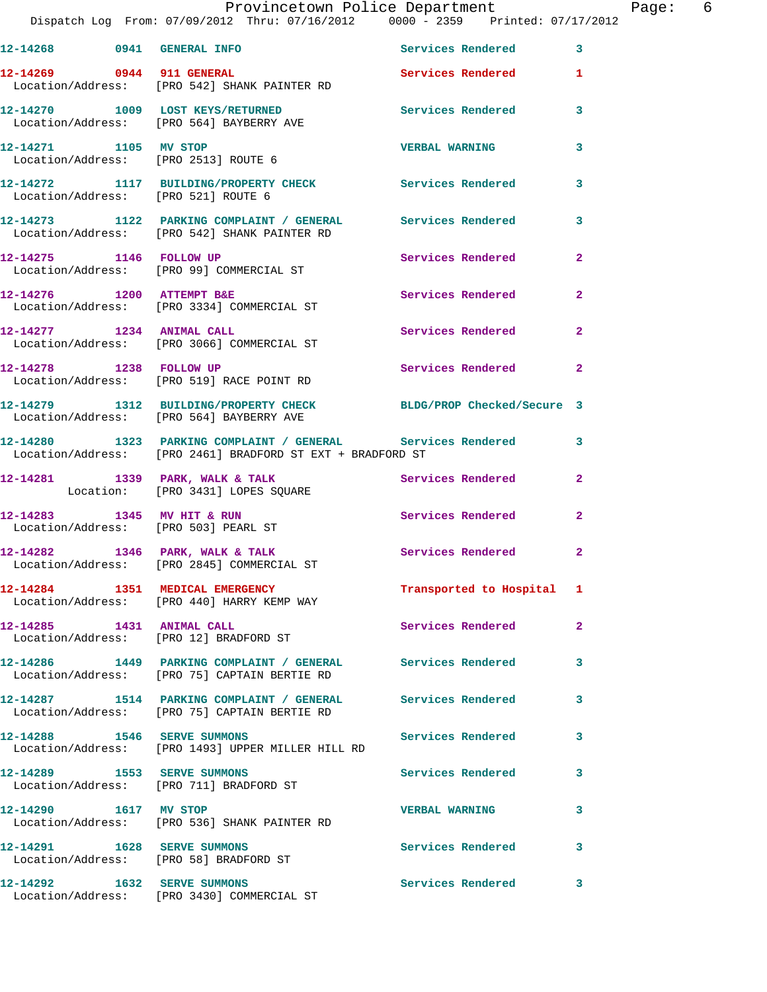|                                      | Provincetown Police Department<br>Dispatch Log From: 07/09/2012 Thru: 07/16/2012   0000 - 2359   Printed: 07/17/2012        |                           | Page: 6      |
|--------------------------------------|-----------------------------------------------------------------------------------------------------------------------------|---------------------------|--------------|
|                                      | 12-14268 0941 GENERAL INFO Services Rendered 3                                                                              |                           |              |
|                                      | 12-14269 0944 911 GENERAL<br>Location/Address: [PRO 542] SHANK PAINTER RD                                                   | Services Rendered 1       |              |
|                                      | 12-14270 1009 LOST KEYS/RETURNED Services Rendered<br>Location/Address: [PRO 564] BAYBERRY AVE                              |                           | $\mathbf{3}$ |
| 12-14271 1105 MV STOP                | Location/Address: [PRO 2513] ROUTE 6                                                                                        | <b>VERBAL WARNING</b>     | $\mathbf{3}$ |
| Location/Address: [PRO 521] ROUTE 6  | 12-14272 1117 BUILDING/PROPERTY CHECK Services Rendered                                                                     |                           | 3            |
|                                      | 12-14273 1122 PARKING COMPLAINT / GENERAL Services Rendered 3<br>Location/Address: [PRO 542] SHANK PAINTER RD               |                           |              |
|                                      | 12-14275 1146 FOLLOW UP<br>Location/Address: [PRO 99] COMMERCIAL ST                                                         | Services Rendered         | $\mathbf{2}$ |
|                                      | 12-14276 1200 ATTEMPT B&E<br>Location/Address: [PRO 3334] COMMERCIAL ST                                                     | Services Rendered         | $\mathbf{2}$ |
|                                      | 12-14277 1234 ANIMAL CALL<br>Location/Address: [PRO 3066] COMMERCIAL ST                                                     | Services Rendered         | $\mathbf{2}$ |
|                                      | 12-14278 1238 FOLLOW UP<br>Location/Address: [PRO 519] RACE POINT RD                                                        | Services Rendered         | $\mathbf{2}$ |
|                                      | 12-14279 1312 BUILDING/PROPERTY CHECK BLDG/PROP Checked/Secure 3<br>Location/Address: [PRO 564] BAYBERRY AVE                |                           |              |
|                                      | 12-14280 1323 PARKING COMPLAINT / GENERAL Services Rendered 3<br>Location/Address: [PRO 2461] BRADFORD ST EXT + BRADFORD ST |                           |              |
|                                      | 12-14281 1339 PARK, WALK & TALK Services Rendered 2<br>Location: [PRO 3431] LOPES SQUARE                                    |                           |              |
| Location/Address: [PRO 503] PEARL ST | 12-14283 1345 MV HIT & RUN                                                                                                  | Services Rendered         | $\mathbf{2}$ |
|                                      | 12-14282 1346 PARK, WALK & TALK 1998 Services Rendered 2<br>Location/Address: [PRO 2845] COMMERCIAL ST                      |                           |              |
|                                      | 12-14284 1351 MEDICAL EMERGENCY<br>Location/Address: [PRO 440] HARRY KEMP WAY                                               | Transported to Hospital 1 |              |
|                                      | 12-14285 1431 ANIMAL CALL<br>Location/Address: [PRO 12] BRADFORD ST                                                         | Services Rendered         | 2            |
|                                      | 12-14286 1449 PARKING COMPLAINT / GENERAL Services Rendered<br>Location/Address: [PRO 75] CAPTAIN BERTIE RD                 |                           | 3            |
|                                      | 12-14287 1514 PARKING COMPLAINT / GENERAL Services Rendered<br>Location/Address: [PRO 75] CAPTAIN BERTIE RD                 |                           | 3            |
|                                      | 12-14288 1546 SERVE SUMMONS<br>Location/Address: [PRO 1493] UPPER MILLER HILL RD                                            | <b>Services Rendered</b>  | 3            |
|                                      | 12-14289 1553 SERVE SUMMONS<br>Location/Address: [PRO 711] BRADFORD ST                                                      | Services Rendered         | 3            |
| 12-14290   1617 MV STOP              | Location/Address: [PRO 536] SHANK PAINTER RD                                                                                | <b>VERBAL WARNING</b>     | 3            |
|                                      | 12-14291 1628 SERVE SUMMONS<br>Location/Address: [PRO 58] BRADFORD ST                                                       | Services Rendered 3       |              |
|                                      | 12-14292 1632 SERVE SUMMONS<br>Location/Address: [PRO 3430] COMMERCIAL ST                                                   | Services Rendered         | 3            |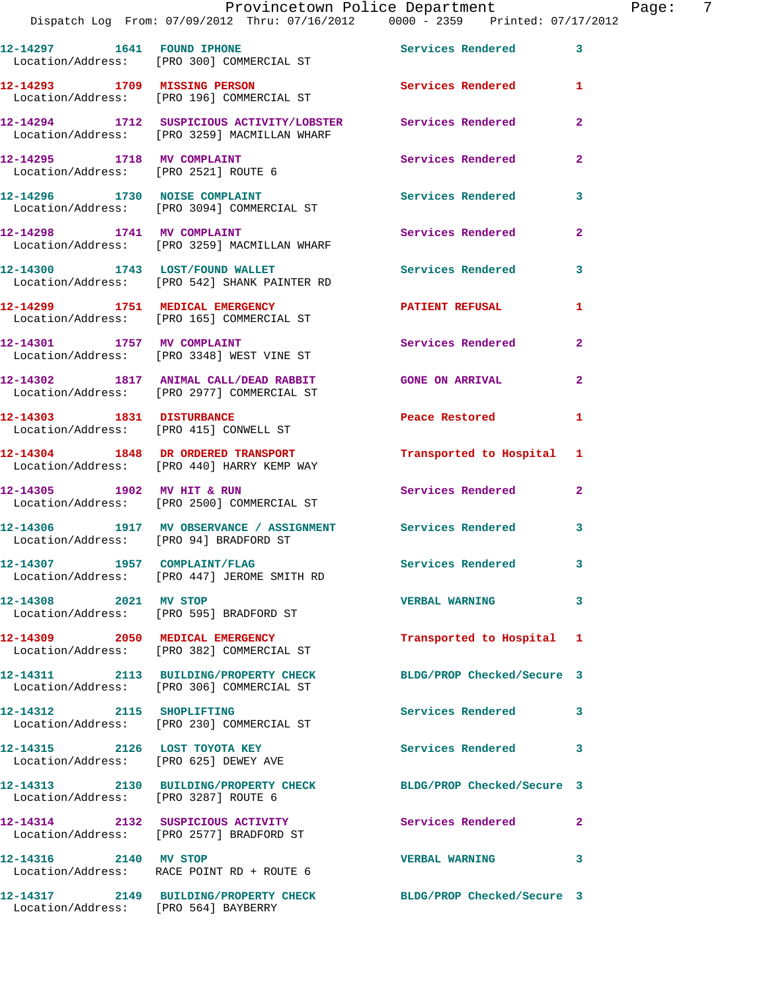|                              | Dispatch Log From: 07/09/2012 Thru: 07/16/2012 0000 - 2359 Printed: 07/17/2012                              |                            |                |
|------------------------------|-------------------------------------------------------------------------------------------------------------|----------------------------|----------------|
|                              | 12-14297 1641 FOUND IPHONE<br>Location/Address: [PRO 300] COMMERCIAL ST                                     | Services Rendered          | 3              |
| 12-14293 1709 MISSING PERSON | Location/Address: [PRO 196] COMMERCIAL ST                                                                   | Services Rendered          | 1              |
|                              | 12-14294 1712 SUSPICIOUS ACTIVITY/LOBSTER Services Rendered<br>Location/Address: [PRO 3259] MACMILLAN WHARF |                            | $\mathbf{2}$   |
|                              | 12-14295 1718 MV COMPLAINT<br>Location/Address: [PRO 2521] ROUTE 6                                          | Services Rendered          | $\mathbf{2}$   |
|                              | 12-14296 1730 NOISE COMPLAINT<br>Location/Address: [PRO 3094] COMMERCIAL ST                                 | <b>Services Rendered</b>   | 3              |
|                              | 12-14298 1741 MV COMPLAINT<br>Location/Address: [PRO 3259] MACMILLAN WHARF                                  | Services Rendered          | $\mathbf{2}$   |
|                              | 12-14300 1743 LOST/FOUND WALLET<br>Location/Address: [PRO 542] SHANK PAINTER RD                             | <b>Services Rendered</b>   | 3              |
|                              | 12-14299 1751 MEDICAL EMERGENCY<br>Location/Address: [PRO 165] COMMERCIAL ST                                | <b>PATIENT REFUSAL</b>     | 1              |
| 12-14301 1757 MV COMPLAINT   | Location/Address: [PRO 3348] WEST VINE ST                                                                   | Services Rendered          | $\overline{a}$ |
|                              | 12-14302 1817 ANIMAL CALL/DEAD RABBIT<br>Location/Address: [PRO 2977] COMMERCIAL ST                         | <b>GONE ON ARRIVAL</b>     | $\mathbf{2}$   |
| 12-14303 1831 DISTURBANCE    | Location/Address: [PRO 415] CONWELL ST                                                                      | Peace Restored             | 1              |
|                              | 12-14304 1848 DR ORDERED TRANSPORT<br>Location/Address: [PRO 440] HARRY KEMP WAY                            | Transported to Hospital    | 1              |
| 12-14305 1902 MV HIT & RUN   | Location/Address: [PRO 2500] COMMERCIAL ST                                                                  | Services Rendered          | $\mathbf{2}$   |
|                              | 12-14306 1917 MV OBSERVANCE / ASSIGNMENT Services Rendered<br>Location/Address: [PRO 94] BRADFORD ST        |                            | 3              |
| 12-14307 1957 COMPLAINT/FLAG | Location/Address: [PRO 447] JEROME SMITH RD                                                                 | <b>Services Rendered</b>   | 3              |
| 12-14308 2021 MV STOP        | Location/Address: [PRO 595] BRADFORD ST                                                                     | <b>VERBAL WARNING</b>      | 3              |
|                              | 12-14309 2050 MEDICAL EMERGENCY<br>Location/Address: [PRO 382] COMMERCIAL ST                                | Transported to Hospital    | 1              |
|                              | 12-14311 2113 BUILDING/PROPERTY CHECK<br>Location/Address: [PRO 306] COMMERCIAL ST                          | BLDG/PROP Checked/Secure 3 |                |
| 12-14312 2115 SHOPLIFTING    | Location/Address: [PRO 230] COMMERCIAL ST                                                                   | Services Rendered          | 3              |
|                              | 12-14315 2126 LOST TOYOTA KEY<br>Location/Address: [PRO 625] DEWEY AVE                                      | <b>Services Rendered</b>   | 3              |
|                              | 12-14313 2130 BUILDING/PROPERTY CHECK BLDG/PROP Checked/Secure 3<br>Location/Address: [PRO 3287] ROUTE 6    |                            |                |
|                              | 12-14314 2132 SUSPICIOUS ACTIVITY<br>Location/Address: [PRO 2577] BRADFORD ST                               | <b>Services Rendered</b>   | $\mathbf{2}$   |
| 12-14316 2140 MV STOP        | Location/Address: RACE POINT RD + ROUTE 6                                                                   | <b>VERBAL WARNING</b>      | 3              |
|                              | 12-14317 2149 BUILDING/PROPERTY CHECK BLDG/PROP Checked/Secure 3<br>Location/Address: [PRO 564] BAYBERRY    |                            |                |
|                              |                                                                                                             |                            |                |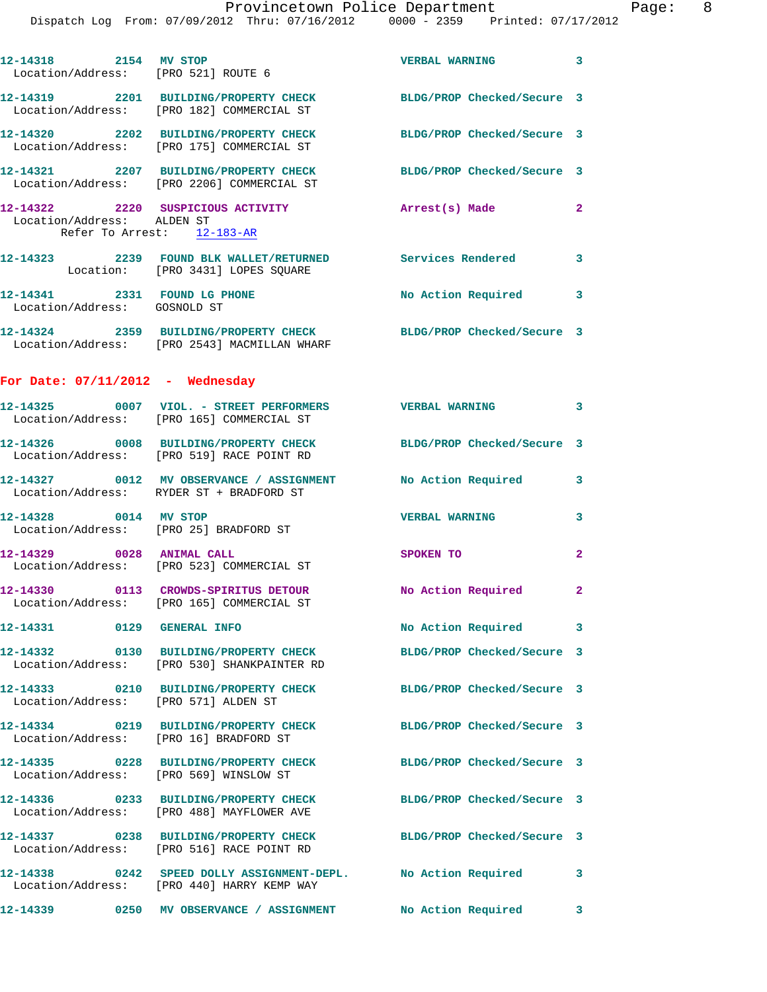| 12-14318 2154 MV STOP                                        | Location/Address: [PRO 521] ROUTE 6                                                                              | VERBAL WARNING 3           |              |
|--------------------------------------------------------------|------------------------------------------------------------------------------------------------------------------|----------------------------|--------------|
|                                                              | 12-14319 2201 BUILDING/PROPERTY CHECK BLDG/PROP Checked/Secure 3<br>Location/Address: [PRO 182] COMMERCIAL ST    |                            |              |
|                                                              | 12-14320 2202 BUILDING/PROPERTY CHECK<br>Location/Address: [PRO 175] COMMERCIAL ST                               | BLDG/PROP Checked/Secure 3 |              |
|                                                              | 12-14321 2207 BUILDING/PROPERTY CHECK<br>Location/Address: [PRO 2206] COMMERCIAL ST                              | BLDG/PROP Checked/Secure 3 |              |
| Location/Address: ALDEN ST                                   | 12-14322 2220 SUSPICIOUS ACTIVITY<br>Refer To Arrest: 12-183-AR                                                  | Arrest(s) Made             | $\mathbf{2}$ |
|                                                              | 12-14323 2239 FOUND BLK WALLET/RETURNED Services Rendered 3<br>Location: [PRO 3431] LOPES SQUARE                 |                            |              |
| 12-14341 2331 FOUND LG PHONE<br>Location/Address: GOSNOLD ST |                                                                                                                  | No Action Required 3       |              |
|                                                              | 12-14324 2359 BUILDING/PROPERTY CHECK BLDG/PROP Checked/Secure 3<br>Location/Address: [PRO 2543] MACMILLAN WHARF |                            |              |
| For Date: $07/11/2012$ - Wednesday                           |                                                                                                                  |                            |              |
|                                                              | 12-14325 0007 VIOL. - STREET PERFORMERS VERBAL WARNING 3<br>Location/Address: [PRO 165] COMMERCIAL ST            |                            |              |
|                                                              | 12-14326 0008 BUILDING/PROPERTY CHECK BLDG/PROP Checked/Secure 3<br>Location/Address: [PRO 519] RACE POINT RD    |                            |              |
|                                                              | 12-14327 0012 MV OBSERVANCE / ASSIGNMENT No Action Required<br>Location/Address: RYDER ST + BRADFORD ST          |                            | 3            |
| 12-14328 0014 MV STOP                                        | Location/Address: [PRO 25] BRADFORD ST                                                                           | <b>VERBAL WARNING</b>      | 3            |
|                                                              | 12-14329 0028 ANIMAL CALL<br>Location/Address: [PRO 523] COMMERCIAL ST                                           | SPOKEN TO                  | $\mathbf{2}$ |
|                                                              | 12-14330 0113 CROWDS-SPIRITUS DETOUR<br>Location/Address: [PRO 165] COMMERCIAL ST                                | No Action Required 2       |              |
| 12-14331 0129 GENERAL INFO                                   |                                                                                                                  | No Action Required 3       |              |
|                                                              | 12-14332 0130 BUILDING/PROPERTY CHECK<br>Location/Address: [PRO 530] SHANKPAINTER RD                             | BLDG/PROP Checked/Secure 3 |              |
| Location/Address: [PRO 571] ALDEN ST                         | 12-14333 0210 BUILDING/PROPERTY CHECK BLDG/PROP Checked/Secure 3                                                 |                            |              |
|                                                              | 12-14334 0219 BUILDING/PROPERTY CHECK<br>Location/Address: [PRO 16] BRADFORD ST                                  | BLDG/PROP Checked/Secure 3 |              |
|                                                              | 12-14335 0228 BUILDING/PROPERTY CHECK<br>Location/Address: [PRO 569] WINSLOW ST                                  | BLDG/PROP Checked/Secure 3 |              |
|                                                              | 12-14336 0233 BUILDING/PROPERTY CHECK<br>Location/Address: [PRO 488] MAYFLOWER AVE                               | BLDG/PROP Checked/Secure 3 |              |
|                                                              | 12-14337 0238 BUILDING/PROPERTY CHECK BLDG/PROP Checked/Secure 3<br>Location/Address: [PRO 516] RACE POINT RD    |                            |              |
|                                                              | 12-14338 0242 SPEED DOLLY ASSIGNMENT-DEPL. No Action Required 3<br>Location/Address: [PRO 440] HARRY KEMP WAY    |                            |              |
|                                                              | 12-14339                 0250     MV  OBSERVANCE  /  ASSIGNMENT                 No  Action  Required             |                            | 3            |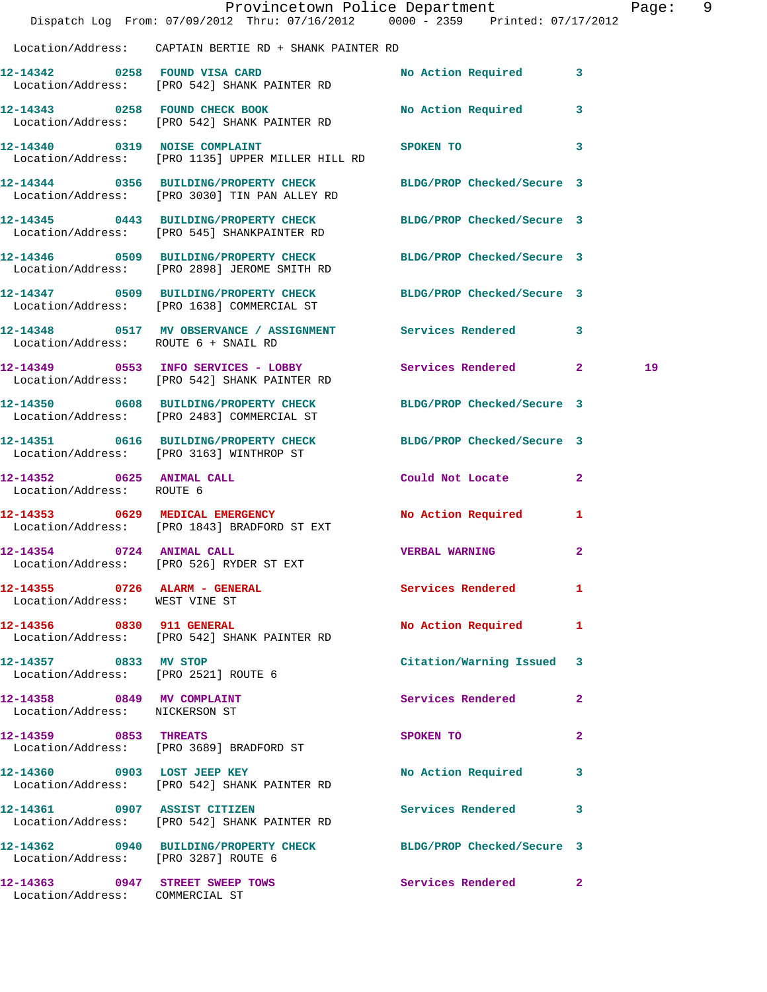|                                                               | Dispatch Log From: 07/09/2012 Thru: 07/16/2012 0000 - 2359 Printed: 07/17/2012                                    | Provincetown Police Department       |              | Page: 9 |  |
|---------------------------------------------------------------|-------------------------------------------------------------------------------------------------------------------|--------------------------------------|--------------|---------|--|
|                                                               | Location/Address: CAPTAIN BERTIE RD + SHANK PAINTER RD                                                            |                                      |              |         |  |
|                                                               | 12-14342 0258 FOUND VISA CARD<br>Location/Address: [PRO 542] SHANK PAINTER RD                                     | No Action Required 3                 |              |         |  |
|                                                               | 12-14343 0258 FOUND CHECK BOOK<br>Location/Address: [PRO 542] SHANK PAINTER RD                                    | No Action Required 3                 |              |         |  |
| 12-14340 0319 NOISE COMPLAINT                                 | Location/Address: [PRO 1135] UPPER MILLER HILL RD                                                                 | SPOKEN TO THE STATE OF THE SPOKEN TO | $\mathbf{3}$ |         |  |
|                                                               | 12-14344 0356 BUILDING/PROPERTY CHECK BLDG/PROP Checked/Secure 3<br>Location/Address: [PRO 3030] TIN PAN ALLEY RD |                                      |              |         |  |
|                                                               | 12-14345 0443 BUILDING/PROPERTY CHECK BLDG/PROP Checked/Secure 3<br>Location/Address: [PRO 545] SHANKPAINTER RD   |                                      |              |         |  |
|                                                               | 12-14346 0509 BUILDING/PROPERTY CHECK BLDG/PROP Checked/Secure 3<br>Location/Address: [PRO 2898] JEROME SMITH RD  |                                      |              |         |  |
|                                                               | 12-14347 0509 BUILDING/PROPERTY CHECK BLDG/PROP Checked/Secure 3<br>Location/Address: [PRO 1638] COMMERCIAL ST    |                                      |              |         |  |
| Location/Address: ROUTE 6 + SNAIL RD                          | 12-14348 0517 MV OBSERVANCE / ASSIGNMENT Services Rendered 3                                                      |                                      |              |         |  |
|                                                               | 12-14349 0553 INFO SERVICES - LOBBY<br>Location/Address: [PRO 542] SHANK PAINTER RD                               | Services Rendered 2                  |              | 19      |  |
|                                                               | 12-14350 0608 BUILDING/PROPERTY CHECK BLDG/PROP Checked/Secure 3<br>Location/Address: [PRO 2483] COMMERCIAL ST    |                                      |              |         |  |
|                                                               | 12-14351 0616 BUILDING/PROPERTY CHECK BLDG/PROP Checked/Secure 3<br>Location/Address: [PRO 3163] WINTHROP ST      |                                      |              |         |  |
| 12-14352 0625 ANIMAL CALL<br>Location/Address: ROUTE 6        |                                                                                                                   | Could Not Locate 2                   |              |         |  |
|                                                               | 12-14353 0629 MEDICAL EMERGENCY<br>Location/Address: [PRO 1843] BRADFORD ST EXT                                   | No Action Required                   | $\mathbf{1}$ |         |  |
| 12-14354 0724 ANIMAL CALL                                     | Location/Address: [PRO 526] RYDER ST EXT                                                                          | <b>VERBAL WARNING</b>                | $\mathbf{2}$ |         |  |
| Location/Address: WEST VINE ST                                | 12-14355 0726 ALARM - GENERAL Services Rendered                                                                   |                                      | $\mathbf{1}$ |         |  |
|                                                               | 12-14356 0830 911 GENERAL<br>Location/Address: [PRO 542] SHANK PAINTER RD                                         | No Action Required 1                 |              |         |  |
| 12-14357 0833 MV STOP<br>Location/Address: [PRO 2521] ROUTE 6 |                                                                                                                   | Citation/Warning Issued 3            |              |         |  |
| 12-14358 0849 MV COMPLAINT<br>Location/Address: NICKERSON ST  |                                                                                                                   | Services Rendered                    | $\mathbf{2}$ |         |  |
|                                                               | 12-14359 0853 THREATS<br>Location/Address: [PRO 3689] BRADFORD ST                                                 | SPOKEN TO                            | $\mathbf{2}$ |         |  |
|                                                               | 12-14360 0903 LOST JEEP KEY<br>Location/Address: [PRO 542] SHANK PAINTER RD                                       | No Action Required 3                 |              |         |  |
|                                                               | 12-14361 0907 ASSIST CITIZEN<br>Location/Address: [PRO 542] SHANK PAINTER RD                                      | Services Rendered 3                  |              |         |  |
| Location/Address: [PRO 3287] ROUTE 6                          | 12-14362 0940 BUILDING/PROPERTY CHECK BLDG/PROP Checked/Secure 3                                                  |                                      |              |         |  |
| Location/Address: COMMERCIAL ST                               | 12-14363 0947 STREET SWEEP TOWS                                                                                   | Services Rendered 2                  |              |         |  |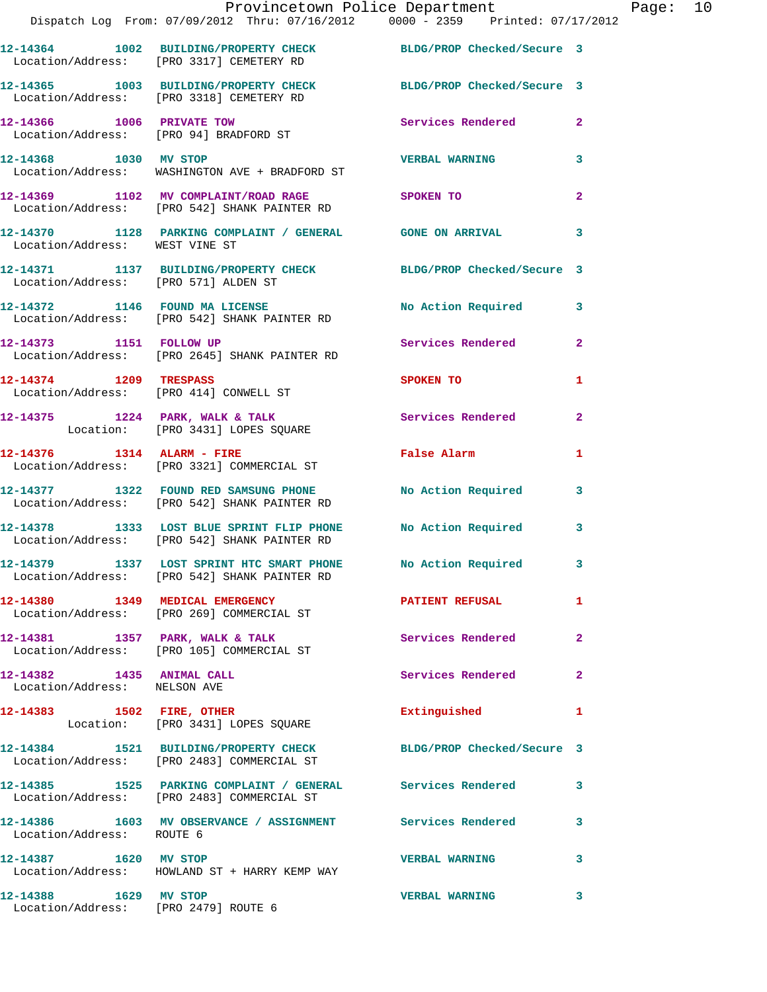|                                                           | Provincetown Police Department Page: 10<br>Dispatch Log From: 07/09/2012 Thru: 07/16/2012   0000 - 2359   Printed: 07/17/2012 |                         |              |  |
|-----------------------------------------------------------|-------------------------------------------------------------------------------------------------------------------------------|-------------------------|--------------|--|
|                                                           | 12-14364 1002 BUILDING/PROPERTY CHECK BLDG/PROP Checked/Secure 3<br>Location/Address: [PRO 3317] CEMETERY RD                  |                         |              |  |
|                                                           | 12-14365 1003 BUILDING/PROPERTY CHECK BLDG/PROP Checked/Secure 3<br>Location/Address: [PRO 3318] CEMETERY RD                  |                         |              |  |
|                                                           | 12-14366 1006 PRIVATE TOW<br>Location/Address: [PRO 94] BRADFORD ST                                                           | Services Rendered 2     |              |  |
| 12-14368 1030 MV STOP                                     | Location/Address: WASHINGTON AVE + BRADFORD ST                                                                                | <b>VERBAL WARNING</b> 3 |              |  |
|                                                           | 12-14369 1102 MV COMPLAINT/ROAD RAGE SPOKEN TO<br>Location/Address: [PRO 542] SHANK PAINTER RD                                |                         | $\mathbf{2}$ |  |
| Location/Address: WEST VINE ST                            | 12-14370 1128 PARKING COMPLAINT / GENERAL GONE ON ARRIVAL 3                                                                   |                         |              |  |
|                                                           | 12-14371 1137 BUILDING/PROPERTY CHECK BLDG/PROP Checked/Secure 3<br>Location/Address: [PRO 571] ALDEN ST                      |                         |              |  |
|                                                           | 12-14372 1146 FOUND MA LICENSE No Action Required 3<br>Location/Address: [PRO 542] SHANK PAINTER RD                           |                         |              |  |
|                                                           | 12-14373 1151 FOLLOW UP<br>Location/Address: [PRO 2645] SHANK PAINTER RD                                                      | Services Rendered 2     |              |  |
| 12-14374 1209 TRESPASS                                    | Location/Address: [PRO 414] CONWELL ST                                                                                        | <b>SPOKEN TO</b>        | 1            |  |
|                                                           | 12-14375 1224 PARK, WALK & TALK 6 Services Rendered 2<br>Location: [PRO 3431] LOPES SQUARE                                    |                         |              |  |
|                                                           | $12-14376$ 1314 ALARM - FIRE<br>Location/Address: [PRO 3321] COMMERCIAL ST                                                    | False Alarm             | 1            |  |
|                                                           | 12-14377 1322 FOUND RED SAMSUNG PHONE No Action Required 3<br>Location/Address: [PRO 542] SHANK PAINTER RD                    |                         |              |  |
|                                                           | 12-14378 1333 LOST BLUE SPRINT FLIP PHONE No Action Required<br>Location/Address: [PRO 542] SHANK PAINTER RD                  |                         | 3            |  |
|                                                           | 12-14379 1337 LOST SPRINT HTC SMART PHONE<br>Location/Address: [PRO 542] SHANK PAINTER RD                                     | No Action Required      | $\mathbf{3}$ |  |
|                                                           | 12-14380 1349 MEDICAL EMERGENCY PATIENT REFUSAL<br>Location/Address: [PRO 269] COMMERCIAL ST                                  |                         | $\mathbf{1}$ |  |
|                                                           | 12-14381 1357 PARK, WALK & TALK 1997 Services Rendered Location/Address: [PRO 105] COMMERCIAL ST                              |                         | $\mathbf{2}$ |  |
| 12-14382 1435 ANIMAL CALL<br>Location/Address: NELSON AVE |                                                                                                                               | Services Rendered       | $\mathbf{2}$ |  |
|                                                           | 12-14383 1502 FIRE, OTHER<br>Location: [PRO 3431] LOPES SQUARE                                                                | Extinguished 1          |              |  |
|                                                           | 12-14384 1521 BUILDING/PROPERTY CHECK BLDG/PROP Checked/Secure 3<br>Location/Address: [PRO 2483] COMMERCIAL ST                |                         |              |  |
|                                                           | 12-14385 1525 PARKING COMPLAINT / GENERAL Services Rendered 3<br>Location/Address: [PRO 2483] COMMERCIAL ST                   |                         |              |  |
| Location/Address: ROUTE 6                                 | 12-14386 1603 MV OBSERVANCE / ASSIGNMENT Services Rendered                                                                    |                         | 3            |  |
| 12-14387 1620 MV STOP                                     | Location/Address: HOWLAND ST + HARRY KEMP WAY                                                                                 | VERBAL WARNING 3        |              |  |
| 12-14388 1629 MV STOP                                     |                                                                                                                               | <b>VERBAL WARNING</b>   | 3            |  |

Location/Address: [PRO 2479] ROUTE 6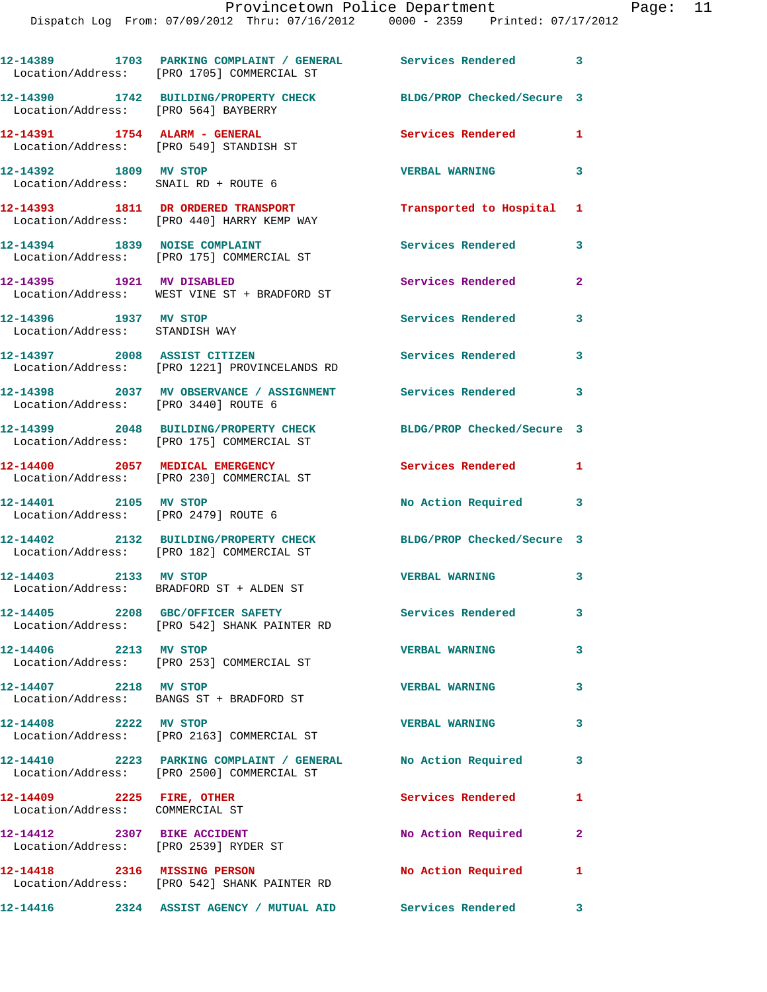|                                                                      | 12-14389 1703 PARKING COMPLAINT / GENERAL Services Rendered 3<br>Location/Address: [PRO 1705] COMMERCIAL ST |                            |              |
|----------------------------------------------------------------------|-------------------------------------------------------------------------------------------------------------|----------------------------|--------------|
|                                                                      | 12-14390 1742 BUILDING/PROPERTY CHECK<br>Location/Address: [PRO 564] BAYBERRY                               | BLDG/PROP Checked/Secure 3 |              |
|                                                                      | 12-14391    1754    ALARM - GENERAL<br>Location/Address: [PRO 549] STANDISH ST                              | Services Rendered          | 1            |
| 12-14392 1809 MV STOP                                                | Location/Address: SNAIL RD + ROUTE 6                                                                        | <b>VERBAL WARNING</b>      | 3            |
|                                                                      | 12-14393 1811 DR ORDERED TRANSPORT<br>Location/Address: [PRO 440] HARRY KEMP WAY                            | Transported to Hospital    | 1            |
|                                                                      | 12-14394 1839 NOISE COMPLAINT<br>Location/Address: [PRO 175] COMMERCIAL ST                                  | Services Rendered          | 3            |
| 12-14395 1921 MV DISABLED                                            | Location/Address: WEST VINE ST + BRADFORD ST                                                                | Services Rendered          | $\mathbf{2}$ |
| 12-14396 1937 MV STOP<br>Location/Address: STANDISH WAY              |                                                                                                             | Services Rendered          | 3            |
|                                                                      | 12-14397 2008 ASSIST CITIZEN<br>Location/Address: [PRO 1221] PROVINCELANDS RD                               | <b>Services Rendered</b>   | 3            |
| Location/Address: [PRO 3440] ROUTE 6                                 | 12-14398 2037 MV OBSERVANCE / ASSIGNMENT Services Rendered 3                                                |                            |              |
|                                                                      | 12-14399 2048 BUILDING/PROPERTY CHECK<br>Location/Address: [PRO 175] COMMERCIAL ST                          | BLDG/PROP Checked/Secure 3 |              |
|                                                                      | 12-14400 2057 MEDICAL EMERGENCY<br>Location/Address: [PRO 230] COMMERCIAL ST                                | Services Rendered          | $\mathbf{1}$ |
| 12-14401 2105 MV STOP<br>Location/Address: [PRO 2479] ROUTE 6        |                                                                                                             | No Action Required 3       |              |
|                                                                      | 12-14402 2132 BUILDING/PROPERTY CHECK<br>Location/Address: [PRO 182] COMMERCIAL ST                          | BLDG/PROP Checked/Secure 3 |              |
| 12-14403 2133 MV STOP                                                | Location/Address: BRADFORD ST + ALDEN ST                                                                    | <b>VERBAL WARNING</b>      | 3            |
|                                                                      | 12-14405 2208 GBC/OFFICER SAFETY<br>Location/Address: [PRO 542] SHANK PAINTER RD                            | Services Rendered          | 3            |
| 12-14406 2213 MV STOP                                                | Location/Address: [PRO 253] COMMERCIAL ST                                                                   | <b>VERBAL WARNING</b>      | 3            |
| 12-14407 2218 MV STOP                                                | Location/Address: BANGS ST + BRADFORD ST                                                                    | <b>VERBAL WARNING</b>      | 3            |
| 12-14408 2222 MV STOP                                                | Location/Address: [PRO 2163] COMMERCIAL ST                                                                  | <b>VERBAL WARNING</b>      | 3            |
|                                                                      | 12-14410 2223 PARKING COMPLAINT / GENERAL No Action Required<br>Location/Address: [PRO 2500] COMMERCIAL ST  |                            | 3            |
| 12-14409 2225 FIRE, OTHER<br>Location/Address: COMMERCIAL ST         |                                                                                                             | Services Rendered          | 1            |
| 12-14412 2307 BIKE ACCIDENT<br>Location/Address: [PRO 2539] RYDER ST |                                                                                                             | No Action Required         | $\mathbf{2}$ |
| 12-14418 2316 MISSING PERSON                                         | Location/Address: [PRO 542] SHANK PAINTER RD                                                                | No Action Required         | 1            |

**12-14416 2324 ASSIST AGENCY / MUTUAL AID Services Rendered 3**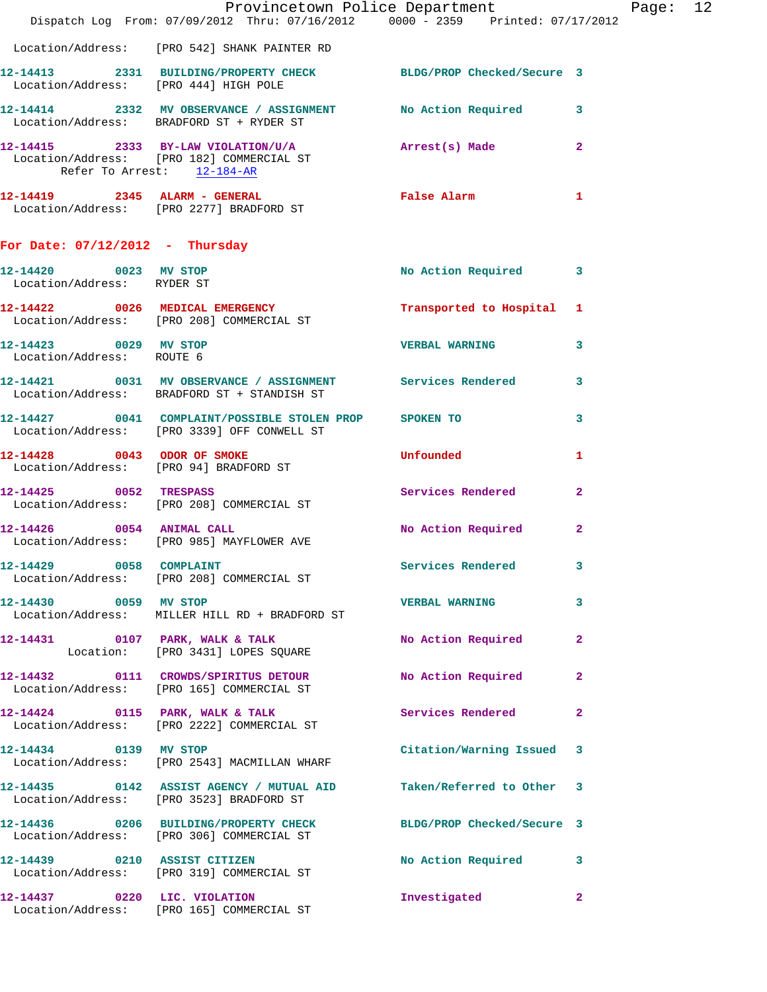|                                                     | Provincetown Police Department Page: 12<br>Dispatch Log From: 07/09/2012 Thru: 07/16/2012 0000 - 2359 Printed: 07/17/2012 |                           |                         |
|-----------------------------------------------------|---------------------------------------------------------------------------------------------------------------------------|---------------------------|-------------------------|
|                                                     | Location/Address: [PRO 542] SHANK PAINTER RD                                                                              |                           |                         |
|                                                     | 12-14413 2331 BUILDING/PROPERTY CHECK BLDG/PROP Checked/Secure 3                                                          |                           |                         |
|                                                     | Location/Address: [PRO 444] HIGH POLE                                                                                     |                           |                         |
|                                                     | 12-14414 2332 MV OBSERVANCE / ASSIGNMENT No Action Required 3<br>Location/Address: BRADFORD ST + RYDER ST                 |                           |                         |
| Refer To Arrest: 12-184-AR                          | 12-14415 2333 BY-LAW VIOLATION/U/A Arrest(s) Made 2<br>Location/Address: [PRO 182] COMMERCIAL ST                          |                           |                         |
|                                                     | 12-14419 2345 ALARM - GENERAL<br>Location/Address: [PRO 2277] BRADFORD ST                                                 | False Alarm               | $\mathbf{1}$            |
| For Date: $07/12/2012$ - Thursday                   |                                                                                                                           |                           |                         |
| 12-14420 0023 MV STOP<br>Location/Address: RYDER ST |                                                                                                                           | No Action Required 3      |                         |
|                                                     | 12-14422 0026 MEDICAL EMERGENCY Transported to Hospital 1<br>Location/Address: [PRO 208] COMMERCIAL ST                    |                           |                         |
| 12-14423 0029 MV STOP<br>Location/Address: ROUTE 6  |                                                                                                                           | <b>VERBAL WARNING</b>     | $\overline{\mathbf{3}}$ |
|                                                     | 12-14421 0031 MV OBSERVANCE / ASSIGNMENT Services Rendered 3<br>Location/Address: BRADFORD ST + STANDISH ST               |                           |                         |
|                                                     | 12-14427 0041 COMPLAINT/POSSIBLE STOLEN PROP SPOKEN TO<br>Location/Address: [PRO 3339] OFF CONWELL ST                     |                           | $\mathbf{3}$            |
|                                                     | 12-14428 0043 ODOR OF SMOKE<br>Location/Address: [PRO 94] BRADFORD ST                                                     | Unfounded                 | 1                       |
| 12-14425 0052 TRESPASS                              | Location/Address: [PRO 208] COMMERCIAL ST                                                                                 | Services Rendered 2       |                         |
|                                                     | 12-14426 0054 ANIMAL CALL<br>Location/Address: [PRO 985] MAYFLOWER AVE                                                    | No Action Required        | $\mathbf{2}$            |
| 12-14429 0058 COMPLAINT                             | Location/Address: [PRO 208] COMMERCIAL ST                                                                                 | Services Rendered         | $\overline{\mathbf{3}}$ |
| 12-14430 0059 MV STOP                               | Location/Address: MILLER HILL RD + BRADFORD ST                                                                            | VERBAL WARNING 3          |                         |
|                                                     | 12-14431 0107 PARK, WALK & TALK<br>Location: [PRO 3431] LOPES SQUARE                                                      | No Action Required 2      |                         |
|                                                     | 12-14432 0111 CROWDS/SPIRITUS DETOUR No Action Required<br>Location/Address: [PRO 165] COMMERCIAL ST                      |                           | $\mathbf{2}$            |
|                                                     | 12-14424 0115 PARK, WALK & TALK<br>Location/Address: [PRO 2222] COMMERCIAL ST                                             | Services Rendered         | $\overline{2}$          |
|                                                     | 12-14434 0139 MV STOP<br>Location/Address: [PRO 2543] MACMILLAN WHARF                                                     | Citation/Warning Issued 3 |                         |
|                                                     | 12-14435 0142 ASSIST AGENCY / MUTUAL AID Taken/Referred to Other 3<br>Location/Address: [PRO 3523] BRADFORD ST            |                           |                         |
|                                                     | 12-14436 0206 BUILDING/PROPERTY CHECK BLDG/PROP Checked/Secure 3<br>Location/Address: [PRO 306] COMMERCIAL ST             |                           |                         |
|                                                     | 12-14439 0210 ASSIST CITIZEN<br>Location/Address: [PRO 319] COMMERCIAL ST                                                 | No Action Required 3      |                         |
|                                                     | 12-14437 0220 LIC. VIOLATION<br>Location/Address: [PRO 165] COMMERCIAL ST                                                 | Investigated              | $\mathbf{2}$            |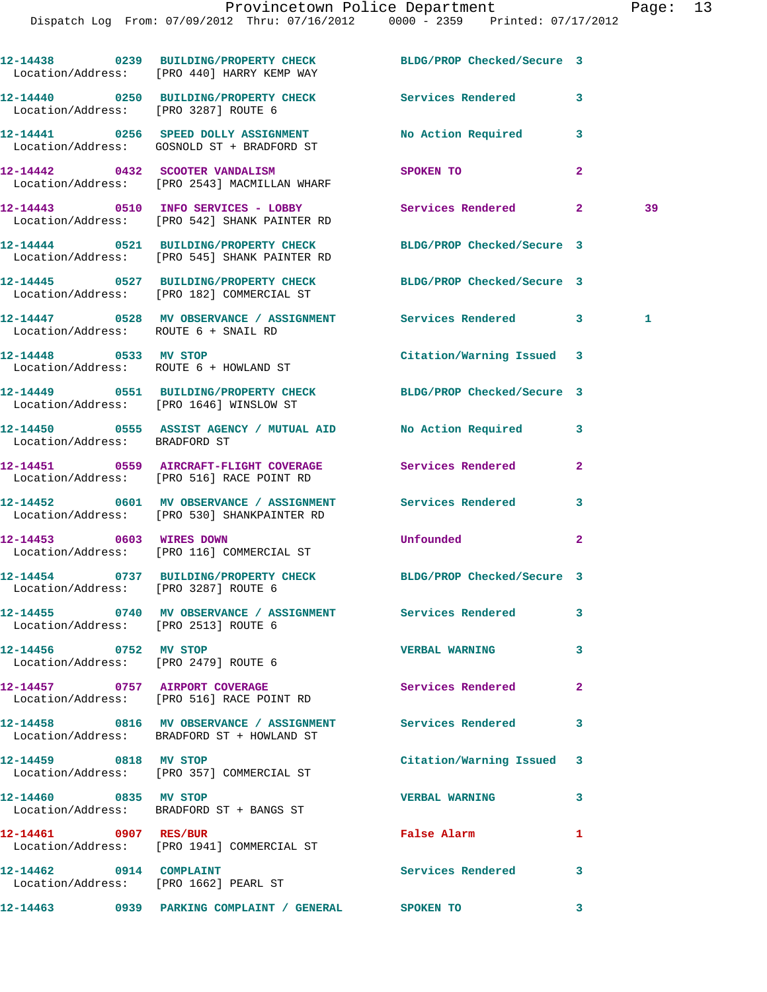|                               | 12-14438 0239 BUILDING/PROPERTY CHECK BLDG/PROP Checked/Secure 3<br>Location/Address: [PRO 440] HARRY KEMP WAY   |                            |                |    |
|-------------------------------|------------------------------------------------------------------------------------------------------------------|----------------------------|----------------|----|
|                               | 12-14440 0250 BUILDING/PROPERTY CHECK<br>Location/Address: [PRO 3287] ROUTE 6                                    | Services Rendered 3        |                |    |
|                               | 12-14441 0256 SPEED DOLLY ASSIGNMENT<br>Location/Address: GOSNOLD ST + BRADFORD ST                               | No Action Required         | 3              |    |
|                               | 12-14442 0432 SCOOTER VANDALISM<br>Location/Address: [PRO 2543] MACMILLAN WHARF                                  | SPOKEN TO                  | $\overline{a}$ |    |
|                               | 12-14443 0510 INFO SERVICES - LOBBY Services Rendered 2<br>Location/Address: [PRO 542] SHANK PAINTER RD          |                            |                | 39 |
|                               | 12-14444 0521 BUILDING/PROPERTY CHECK BLDG/PROP Checked/Secure 3<br>Location/Address: [PRO 545] SHANK PAINTER RD |                            |                |    |
|                               | 12-14445 0527 BUILDING/PROPERTY CHECK BLDG/PROP Checked/Secure 3<br>Location/Address: [PRO 182] COMMERCIAL ST    |                            |                |    |
|                               | 12-14447 0528 MV OBSERVANCE / ASSIGNMENT Services Rendered 3<br>Location/Address: ROUTE 6 + SNAIL RD             |                            |                | 1  |
|                               | 12-14448 0533 MV STOP<br>Location/Address: ROUTE 6 + HOWLAND ST                                                  | Citation/Warning Issued 3  |                |    |
|                               | 12-14449 0551 BUILDING/PROPERTY CHECK BLDG/PROP Checked/Secure 3<br>Location/Address: [PRO 1646] WINSLOW ST      |                            |                |    |
| Location/Address: BRADFORD ST |                                                                                                                  |                            | 3              |    |
|                               | 12-14451 0559 AIRCRAFT-FLIGHT COVERAGE<br>Location/Address: [PRO 516] RACE POINT RD                              | Services Rendered          | $\mathbf{2}$   |    |
|                               | 12-14452 0601 MV OBSERVANCE / ASSIGNMENT Services Rendered                                                       |                            | 3              |    |
| 12-14453 0603 WIRES DOWN      | Location/Address: [PRO 530] SHANKPAINTER RD                                                                      | Unfounded                  | $\mathbf{2}$   |    |
|                               | Location/Address: [PRO 116] COMMERCIAL ST<br>12-14454 0737 BUILDING/PROPERTY CHECK                               | BLDG/PROP Checked/Secure 3 |                |    |
|                               | Location/Address: [PRO 3287] ROUTE 6<br>12-14455 0740 MV OBSERVANCE / ASSIGNMENT Services Rendered               |                            | 3              |    |
|                               | Location/Address: [PRO 2513] ROUTE 6<br>12-14456 0752 MV STOP                                                    | <b>VERBAL WARNING</b>      | 3              |    |
|                               | Location/Address: [PRO 2479] ROUTE 6                                                                             |                            |                |    |
|                               | 12-14457 0757 AIRPORT COVERAGE<br>Location/Address: [PRO 516] RACE POINT RD                                      | Services Rendered          | $\mathbf{2}$   |    |
|                               | 12-14458 0816 MV OBSERVANCE / ASSIGNMENT Services Rendered<br>Location/Address: BRADFORD ST + HOWLAND ST         |                            | 3              |    |
| 12-14459 0818 MV STOP         | Location/Address: [PRO 357] COMMERCIAL ST                                                                        | Citation/Warning Issued 3  |                |    |
| 12-14460 0835 MV STOP         | Location/Address: BRADFORD ST + BANGS ST                                                                         | <b>VERBAL WARNING</b>      | 3              |    |
| 12-14461 0907 RES/BUR         | Location/Address: [PRO 1941] COMMERCIAL ST                                                                       | False Alarm                | 1              |    |
| 12-14462 0914 COMPLAINT       | Location/Address: [PRO 1662] PEARL ST                                                                            | <b>Services Rendered</b>   | 3              |    |
|                               | 12-14463 0939 PARKING COMPLAINT / GENERAL SPOKEN TO                                                              |                            | 3              |    |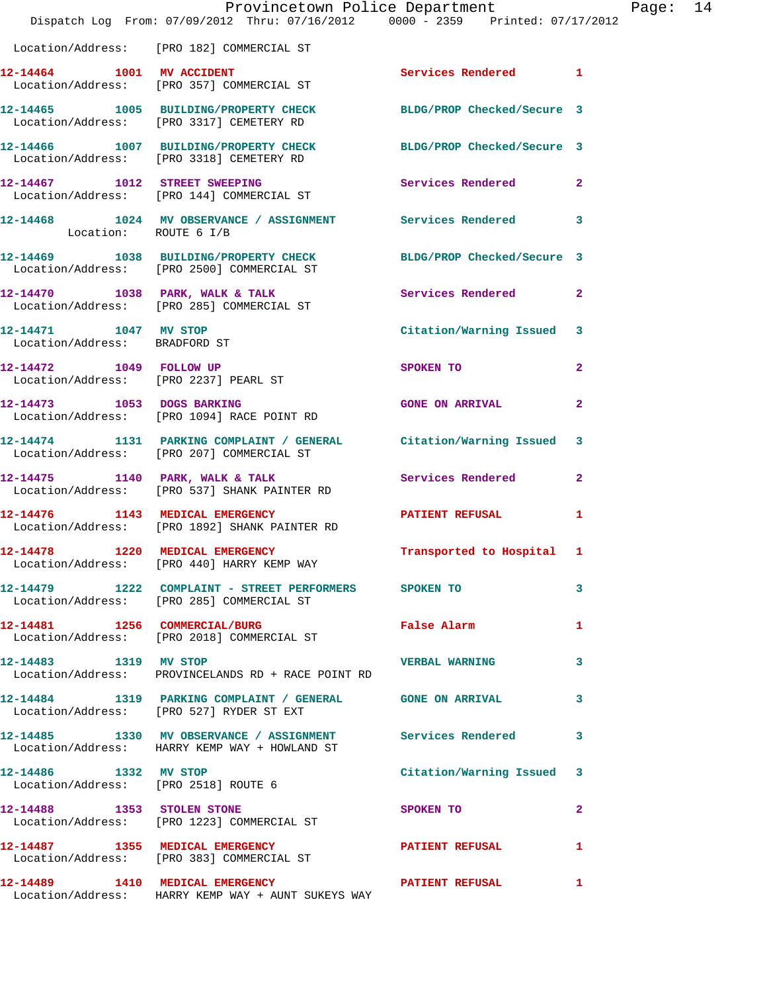|                                                        | Dispatch Log From: 07/09/2012 Thru: 07/16/2012 0000 - 2359 Printed: 07/17/2012                                  | Provincetown Police Department | Page: 14       |  |
|--------------------------------------------------------|-----------------------------------------------------------------------------------------------------------------|--------------------------------|----------------|--|
|                                                        | Location/Address: [PRO 182] COMMERCIAL ST                                                                       |                                |                |  |
|                                                        | 12-14464 1001 MV ACCIDENT<br>Location/Address: [PRO 357] COMMERCIAL ST                                          | Services Rendered 1            |                |  |
|                                                        | 12-14465 1005 BUILDING/PROPERTY CHECK BLDG/PROP Checked/Secure 3<br>Location/Address: [PRO 3317] CEMETERY RD    |                                |                |  |
|                                                        | 12-14466 1007 BUILDING/PROPERTY CHECK BLDG/PROP Checked/Secure 3<br>Location/Address: [PRO 3318] CEMETERY RD    |                                |                |  |
|                                                        | 12-14467 1012 STREET SWEEPING<br>Location/Address: [PRO 144] COMMERCIAL ST                                      | Services Rendered              | $\mathbf{2}$   |  |
| Location: ROUTE 6 I/B                                  | 12-14468 1024 MV OBSERVANCE / ASSIGNMENT Services Rendered                                                      |                                | $\mathbf{3}$   |  |
|                                                        | 12-14469 1038 BUILDING/PROPERTY CHECK<br>Location/Address: [PRO 2500] COMMERCIAL ST                             | BLDG/PROP Checked/Secure 3     |                |  |
|                                                        | $12-14470$ 1038 PARK, WALK & TALK<br>Location/Address: [PRO 285] COMMERCIAL ST                                  | Services Rendered              | $\mathbf{2}$   |  |
| 12-14471 1047 MV STOP<br>Location/Address: BRADFORD ST |                                                                                                                 | Citation/Warning Issued 3      |                |  |
|                                                        | 12-14472 1049 FOLLOW UP<br>Location/Address: [PRO 2237] PEARL ST                                                | SPOKEN TO                      | $\mathbf{2}$   |  |
|                                                        | 12-14473 1053 DOGS BARKING<br>Location/Address: [PRO 1094] RACE POINT RD                                        | <b>GONE ON ARRIVAL</b>         | $\mathbf{2}$   |  |
|                                                        | 12-14474 1131 PARKING COMPLAINT / GENERAL Citation/Warning Issued<br>Location/Address: [PRO 207] COMMERCIAL ST  |                                | 3              |  |
|                                                        | 12-14475 1140 PARK, WALK & TALK<br>Location/Address: [PRO 537] SHANK PAINTER RD                                 | Services Rendered              | $\overline{2}$ |  |
| 12-14476 1143 MEDICAL EMERGENCY                        | Location/Address: [PRO 1892] SHANK PAINTER RD                                                                   | <b>PATIENT REFUSAL</b>         | 1              |  |
| 12-14478 1220 MEDICAL EMERGENCY                        | Location/Address: [PRO 440] HARRY KEMP WAY                                                                      | Transported to Hospital 1      |                |  |
|                                                        | 12-14479 1222 COMPLAINT - STREET PERFORMERS SPOKEN TO<br>Location/Address: [PRO 285] COMMERCIAL ST              |                                | 3              |  |
|                                                        | 12-14481 1256 COMMERCIAL/BURG<br>Location/Address: [PRO 2018] COMMERCIAL ST                                     | <b>False Alarm</b>             | 1              |  |
| 12-14483 1319 MV STOP                                  | Location/Address: PROVINCELANDS RD + RACE POINT RD                                                              | <b>VERBAL WARNING</b>          | 3              |  |
|                                                        | 12-14484 1319 PARKING COMPLAINT / GENERAL GONE ON ARRIVAL<br>Location/Address: [PRO 527] RYDER ST EXT           |                                | 3              |  |
|                                                        | 12-14485 1330 MV OBSERVANCE / ASSIGNMENT Services Rendered<br>Location/Address: HARRY KEMP WAY + HOWLAND ST     |                                | 3              |  |
| 12-14486 1332 MV STOP                                  | Location/Address: [PRO 2518] ROUTE 6                                                                            | Citation/Warning Issued 3      |                |  |
|                                                        | 12-14488 1353 STOLEN STONE<br>Location/Address: [PRO 1223] COMMERCIAL ST                                        | SPOKEN TO                      | $\mathbf{2}$   |  |
|                                                        | 12-14487 1355 MEDICAL EMERGENCY <b>12-14487</b> PATIENT REFUSAL<br>Location/Address: [PRO 383] COMMERCIAL ST    |                                | 1              |  |
|                                                        | 12-14489 1410 MEDICAL EMERGENCY NEWSPAPER PATIENT REFUSAL<br>Location/Address: HARRY KEMP WAY + AUNT SUKEYS WAY |                                | 1              |  |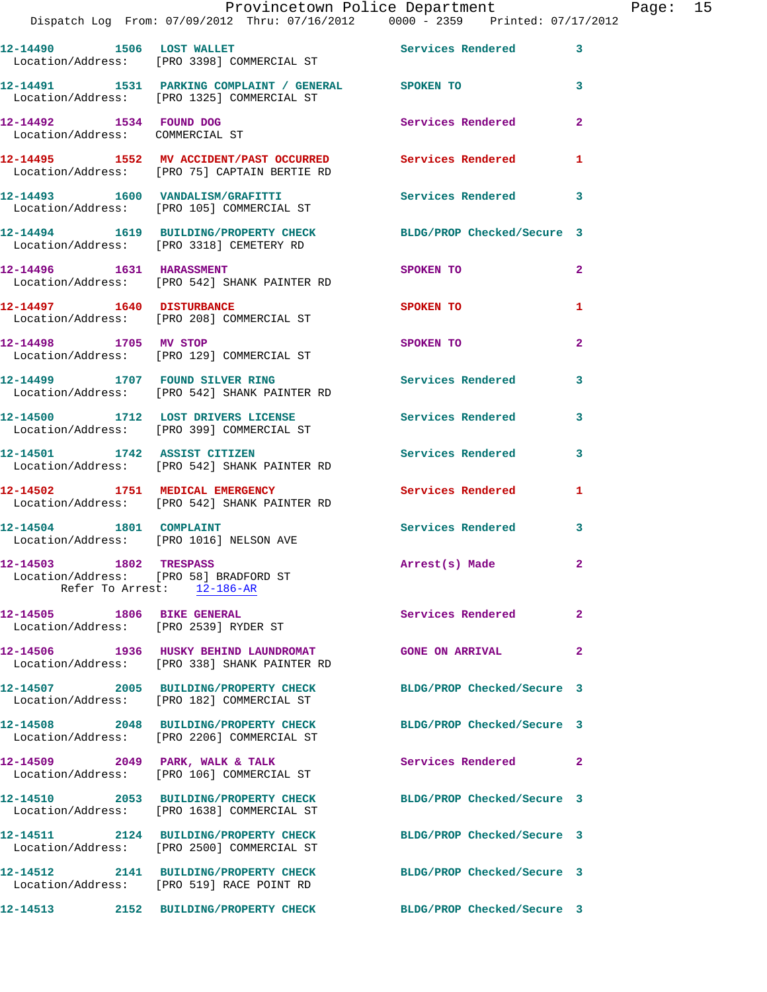|                                                                     | Dispatch Log From: 07/09/2012 Thru: 07/16/2012 0000 - 2359 Printed: 07/17/2012                               |                            |                |
|---------------------------------------------------------------------|--------------------------------------------------------------------------------------------------------------|----------------------------|----------------|
| 12-14490 1506 LOST WALLET                                           | Location/Address: [PRO 3398] COMMERCIAL ST                                                                   | <b>Services Rendered</b>   | 3              |
|                                                                     | 12-14491 1531 PARKING COMPLAINT / GENERAL SPOKEN TO<br>Location/Address: [PRO 1325] COMMERCIAL ST            |                            | 3              |
| 12-14492 1534 FOUND DOG<br>Location/Address: COMMERCIAL ST          |                                                                                                              | <b>Services Rendered</b>   | $\mathbf{2}$   |
|                                                                     | 12-14495 1552 MV ACCIDENT/PAST OCCURRED Services Rendered<br>Location/Address: [PRO 75] CAPTAIN BERTIE RD    |                            | 1              |
|                                                                     | 12-14493 1600 VANDALISM/GRAFITTI<br>Location/Address: [PRO 105] COMMERCIAL ST                                | <b>Services Rendered</b>   | 3              |
|                                                                     | 12-14494 1619 BUILDING/PROPERTY CHECK BLDG/PROP Checked/Secure 3<br>Location/Address: [PRO 3318] CEMETERY RD |                            |                |
| 12-14496   1631   HARASSMENT                                        | Location/Address: [PRO 542] SHANK PAINTER RD                                                                 | SPOKEN TO                  | $\overline{a}$ |
|                                                                     | 12-14497 1640 DISTURBANCE<br>Location/Address: [PRO 208] COMMERCIAL ST                                       | SPOKEN TO                  | 1              |
| 12-14498 1705 MV STOP                                               | Location/Address: [PRO 129] COMMERCIAL ST                                                                    | SPOKEN TO                  | $\overline{a}$ |
|                                                                     | 12-14499 1707 FOUND SILVER RING<br>Location/Address: [PRO 542] SHANK PAINTER RD                              | Services Rendered          | 3              |
|                                                                     | 12-14500 1712 LOST DRIVERS LICENSE<br>Location/Address: [PRO 399] COMMERCIAL ST                              | Services Rendered          | 3              |
|                                                                     | 12-14501 1742 ASSIST CITIZEN<br>Location/Address: [PRO 542] SHANK PAINTER RD                                 | Services Rendered          | 3              |
| 12-14502 1751 MEDICAL EMERGENCY                                     | Location/Address: [PRO 542] SHANK PAINTER RD                                                                 | Services Rendered          | 1              |
| 12-14504 1801 COMPLAINT<br>Location/Address: [PRO 1016] NELSON AVE  |                                                                                                              | Services Rendered          | 3              |
| 12-14503 1802 TRESPASS<br>Location/Address: [PRO 58] BRADFORD ST    | Refer To Arrest: 12-186-AR                                                                                   | Arrest(s) Made             | $\mathbf{2}$   |
| 12-14505 1806 BIKE GENERAL<br>Location/Address: [PRO 2539] RYDER ST |                                                                                                              | Services Rendered          | 2              |
|                                                                     | 12-14506 1936 HUSKY BEHIND LAUNDROMAT GONE ON ARRIVAL<br>Location/Address: [PRO 338] SHANK PAINTER RD        |                            | $\mathbf{2}$   |
|                                                                     | 12-14507 2005 BUILDING/PROPERTY CHECK<br>Location/Address: [PRO 182] COMMERCIAL ST                           | BLDG/PROP Checked/Secure 3 |                |
|                                                                     | 12-14508 2048 BUILDING/PROPERTY CHECK<br>Location/Address: [PRO 2206] COMMERCIAL ST                          | BLDG/PROP Checked/Secure 3 |                |
|                                                                     | 12-14509 2049 PARK, WALK & TALK<br>Location/Address: [PRO 106] COMMERCIAL ST                                 | Services Rendered          | $\mathbf{2}$   |
|                                                                     | 12-14510 2053 BUILDING/PROPERTY CHECK<br>Location/Address: [PRO 1638] COMMERCIAL ST                          | BLDG/PROP Checked/Secure 3 |                |
|                                                                     | 12-14511 2124 BUILDING/PROPERTY CHECK<br>Location/Address: [PRO 2500] COMMERCIAL ST                          | BLDG/PROP Checked/Secure 3 |                |
|                                                                     | 12-14512 2141 BUILDING/PROPERTY CHECK<br>Location/Address: [PRO 519] RACE POINT RD                           | BLDG/PROP Checked/Secure 3 |                |
|                                                                     | 12-14513 2152 BUILDING/PROPERTY CHECK                                                                        | BLDG/PROP Checked/Secure 3 |                |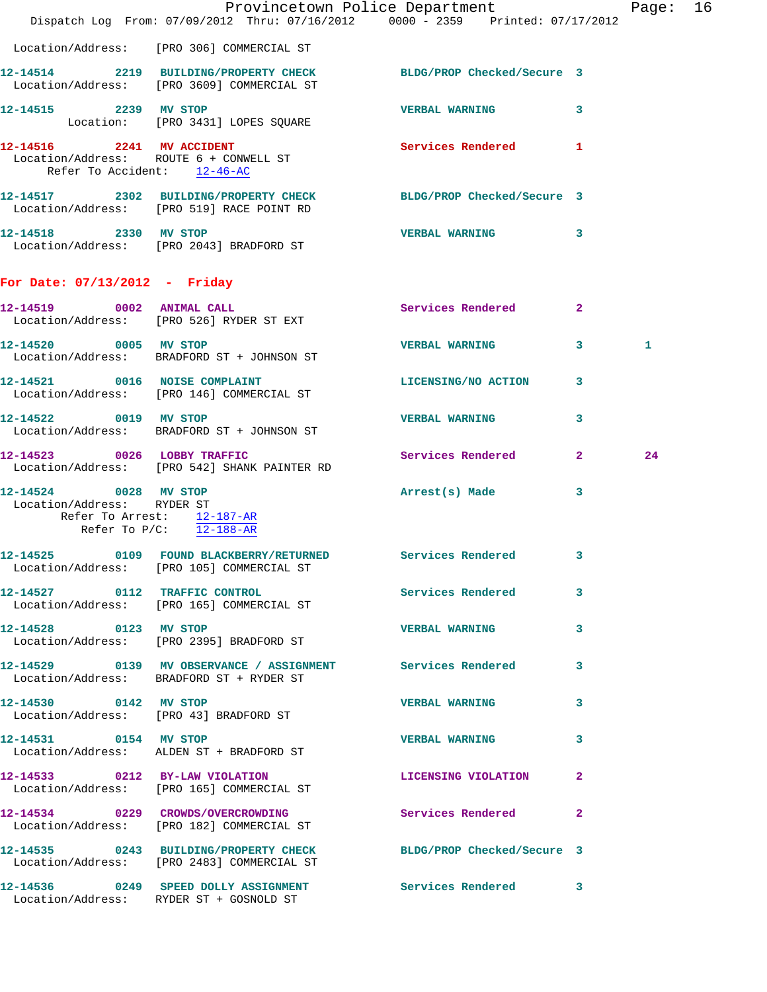|                                                     | Dispatch Log From: 07/09/2012 Thru: 07/16/2012 0000 - 2359 Printed: 07/17/2012                                 | Provincetown Police Department |              | Page: 16 |  |
|-----------------------------------------------------|----------------------------------------------------------------------------------------------------------------|--------------------------------|--------------|----------|--|
|                                                     | Location/Address: [PRO 306] COMMERCIAL ST                                                                      |                                |              |          |  |
|                                                     | 12-14514 2219 BUILDING/PROPERTY CHECK BLDG/PROP Checked/Secure 3<br>Location/Address: [PRO 3609] COMMERCIAL ST |                                |              |          |  |
| 12-14515 2239 MV STOP                               | Location: [PRO 3431] LOPES SQUARE                                                                              | <b>VERBAL WARNING</b>          | 3            |          |  |
| 12-14516 2241 MV ACCIDENT                           | Location/Address: ROUTE 6 + CONWELL ST<br>Refer To Accident: 12-46-AC                                          | Services Rendered 1            |              |          |  |
|                                                     | 12-14517 2302 BUILDING/PROPERTY CHECK BLDG/PROP Checked/Secure 3<br>Location/Address: [PRO 519] RACE POINT RD  |                                |              |          |  |
| 12-14518 2330 MV STOP                               | Location/Address: [PRO 2043] BRADFORD ST                                                                       | VERBAL WARNING 3               |              |          |  |
| For Date: 07/13/2012 - Friday                       |                                                                                                                |                                |              |          |  |
|                                                     | 12-14519 0002 ANIMAL CALL<br>Location/Address: [PRO 526] RYDER ST EXT                                          | Services Rendered              | $\mathbf{2}$ |          |  |
| 12-14520 0005 MV STOP                               | Location/Address: BRADFORD ST + JOHNSON ST                                                                     | VERBAL WARNING 3               |              | 1        |  |
| 12-14521 0016 NOISE COMPLAINT                       | Location/Address: [PRO 146] COMMERCIAL ST                                                                      | LICENSING/NO ACTION            | 3            |          |  |
| 12-14522 0019 MV STOP                               | Location/Address: BRADFORD ST + JOHNSON ST                                                                     | <b>VERBAL WARNING</b>          | 3            |          |  |
|                                                     | 12-14523 0026 LOBBY TRAFFIC<br>Location/Address: [PRO 542] SHANK PAINTER RD                                    | Services Rendered 2            |              | 24       |  |
| 12-14524 0028 MV STOP<br>Location/Address: RYDER ST | Refer To Arrest: 12-187-AR<br>Refer To $P/C$ : 12-188-AR                                                       | Arrest(s) Made                 | 3            |          |  |
|                                                     | 12-14525 0109 FOUND BLACKBERRY/RETURNED Services Rendered 3<br>Location/Address: [PRO 105] COMMERCIAL ST       |                                |              |          |  |
|                                                     | 12-14527 0112 TRAFFIC CONTROL<br>Location/Address: [PRO 165] COMMERCIAL ST                                     | Services Rendered 3            |              |          |  |
|                                                     | 12-14528 0123 MV STOP<br>Location/Address: [PRO 2395] BRADFORD ST                                              | <b>VERBAL WARNING</b>          | 3            |          |  |
|                                                     | 12-14529 0139 MV OBSERVANCE / ASSIGNMENT Services Rendered 3<br>Location/Address: BRADFORD ST + RYDER ST       |                                |              |          |  |
| 12-14530 0142 MV STOP                               | Location/Address: [PRO 43] BRADFORD ST                                                                         | <b>VERBAL WARNING</b>          | 3            |          |  |
| 12-14531 0154 MV STOP                               | Location/Address: ALDEN ST + BRADFORD ST                                                                       | VERBAL WARNING 3               |              |          |  |
|                                                     | 12-14533 0212 BY-LAW VIOLATION<br>Location/Address: [PRO 165] COMMERCIAL ST                                    | LICENSING VIOLATION 2          |              |          |  |
|                                                     | 12-14534 0229 CROWDS/OVERCROWDING Services Rendered<br>Location/Address: [PRO 182] COMMERCIAL ST               |                                | 2            |          |  |
|                                                     | 12-14535 0243 BUILDING/PROPERTY CHECK BLDG/PROP Checked/Secure 3<br>Location/Address: [PRO 2483] COMMERCIAL ST |                                |              |          |  |
|                                                     | 12-14536 0249 SPEED DOLLY ASSIGNMENT<br>Location/Address: RYDER ST + GOSNOLD ST                                | Services Rendered 3            |              |          |  |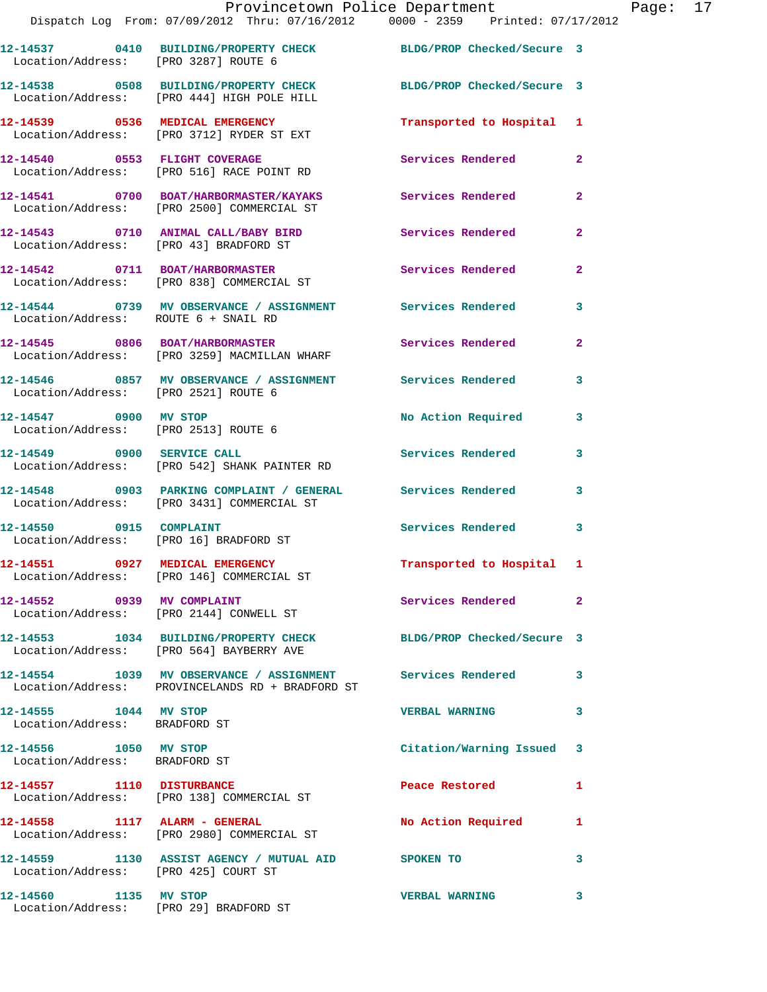|                                        | Provincetown Police Department                                                                                 |                           |                |
|----------------------------------------|----------------------------------------------------------------------------------------------------------------|---------------------------|----------------|
|                                        | Dispatch Log From: 07/09/2012 Thru: 07/16/2012 0000 - 2359 Printed: 07/17/2012                                 |                           |                |
| Location/Address: [PRO 3287] ROUTE 6   | 12-14537 0410 BUILDING/PROPERTY CHECK BLDG/PROP Checked/Secure 3                                               |                           |                |
|                                        | 12-14538 0508 BUILDING/PROPERTY CHECK BLDG/PROP Checked/Secure 3<br>Location/Address: [PRO 444] HIGH POLE HILL |                           |                |
|                                        | 12-14539 0536 MEDICAL EMERGENCY<br>Location/Address: [PRO 3712] RYDER ST EXT                                   | Transported to Hospital 1 |                |
| 12-14540 0553 FLIGHT COVERAGE          | Location/Address: [PRO 516] RACE POINT RD                                                                      | Services Rendered         | $\overline{2}$ |
|                                        | 12-14541 0700 BOAT/HARBORMASTER/KAYAKS Services Rendered<br>Location/Address: [PRO 2500] COMMERCIAL ST         |                           | $\overline{2}$ |
| Location/Address: [PRO 43] BRADFORD ST | 12-14543 0710 ANIMAL CALL/BABY BIRD                                                                            | Services Rendered         | $\overline{2}$ |
|                                        | 12-14542 0711 BOAT/HARBORMASTER<br>Location/Address: [PRO 838] COMMERCIAL ST                                   | Services Rendered         | $\overline{2}$ |
| Location/Address: ROUTE 6 + SNAIL RD   | 12-14544 0739 MV OBSERVANCE / ASSIGNMENT Services Rendered                                                     |                           | 3              |

**12-14545 0806 BOAT/HARBORMASTER Services Rendered 2**  Location/Address: [PRO 3259] MACMILLAN WHARF

**12-14546 0857 MV OBSERVANCE / ASSIGNMENT Services Rendered 3**  Location/Address: [PRO 2521] ROUTE 6

12-14547 0900 MV STOP **No Action Required** 3 Location/Address: [PRO 2513] ROUTE 6

**12-14549 0900 SERVICE CALL Services Rendered 3**  Location/Address: [PRO 542] SHANK PAINTER RD

**12-14548 0903 PARKING COMPLAINT / GENERAL Services Rendered 3**  Location/Address: [PRO 3431] COMMERCIAL ST

12-14550 0915 COMPLAINT **Services Rendered** 3 Location/Address: [PRO 16] BRADFORD ST

Location/Address: [PRO 146] COMMERCIAL ST

Location/Address: [PRO 2144] CONWELL ST

Location/Address: [PRO 564] BAYBERRY AVE

**12-14554 1039 MV OBSERVANCE / ASSIGNMENT Services Rendered 3**  Location/Address: PROVINCELANDS RD + BRADFORD ST

Location/Address: BRADFORD ST

Location/Address: BRADFORD ST

Location/Address: [PRO 138] COMMERCIAL ST

Location/Address: [PRO 2980] COMMERCIAL ST

**12-14559 1130 ASSIST AGENCY / MUTUAL AID SPOKEN TO 3**  Location/Address: [PRO 425] COURT ST

Location/Address: [PRO 29] BRADFORD ST

**12-14551 0927 MEDICAL EMERGENCY Transported to Hospital 1** 

12-14552 0939 MV COMPLAINT **12-14552** Services Rendered 2

**12-14553 1034 BUILDING/PROPERTY CHECK BLDG/PROP Checked/Secure 3** 

**12-14555 1044 MV STOP VERBAL WARNING 3** 

**12-14556 1050 MV STOP Citation/Warning Issued 3** 

**12-14557 1110 DISTURBANCE Peace Restored 1** 

**12-14558 1117 ALARM - GENERAL No Action Required 1** 

**12-14560 1135 MV STOP VERBAL WARNING 3**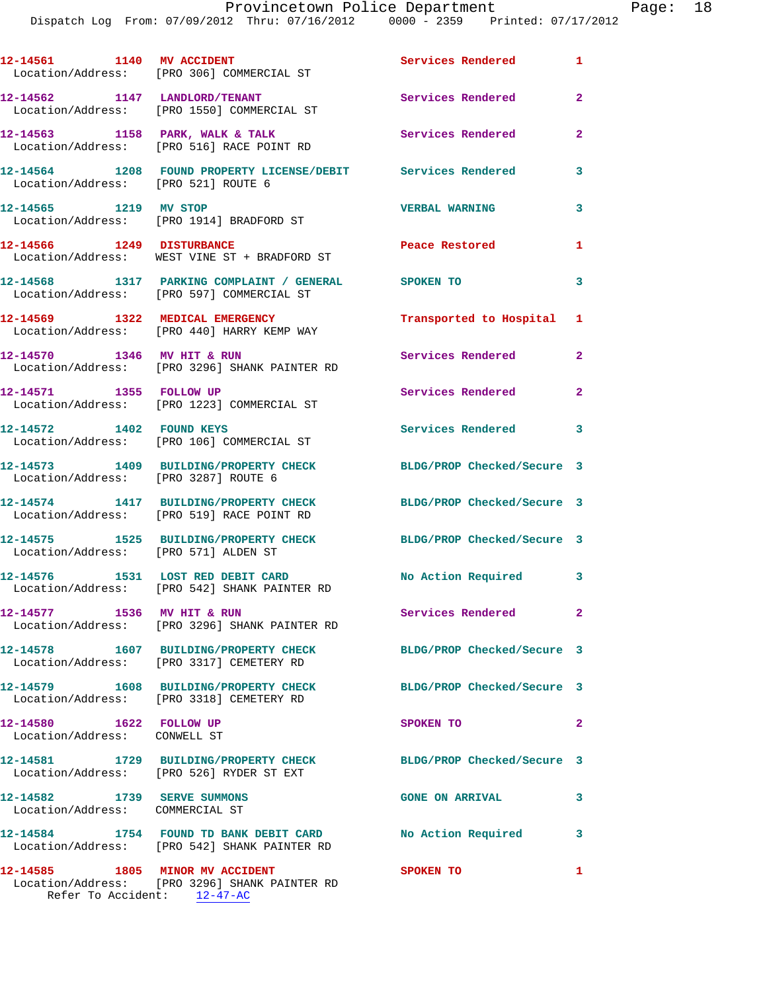|                                                                | 12-14561 1140 MV ACCIDENT<br>Location/Address: [PRO 306] COMMERCIAL ST                                  | Services Rendered 1        |                |
|----------------------------------------------------------------|---------------------------------------------------------------------------------------------------------|----------------------------|----------------|
|                                                                | 12-14562 1147 LANDLORD/TENANT<br>Location/Address: [PRO 1550] COMMERCIAL ST                             | Services Rendered          | $\mathbf{2}$   |
|                                                                | 12-14563 1158 PARK, WALK & TALK<br>Location/Address: [PRO 516] RACE POINT RD                            | <b>Services Rendered</b>   | $\overline{2}$ |
| Location/Address: [PRO 521] ROUTE 6                            | 12-14564 1208 FOUND PROPERTY LICENSE/DEBIT Services Rendered                                            |                            | 3              |
| 12-14565 1219 MV STOP                                          | Location/Address: [PRO 1914] BRADFORD ST                                                                | <b>VERBAL WARNING</b>      | 3              |
|                                                                | 12-14566 1249 DISTURBANCE<br>Location/Address: WEST VINE ST + BRADFORD ST                               | Peace Restored             | 1              |
|                                                                | 12-14568 1317 PARKING COMPLAINT / GENERAL SPOKEN TO<br>Location/Address: [PRO 597] COMMERCIAL ST        |                            | 3              |
|                                                                | 12-14569 1322 MEDICAL EMERGENCY<br>Location/Address: [PRO 440] HARRY KEMP WAY                           | Transported to Hospital 1  |                |
| 12-14570 1346 MV HIT & RUN                                     | Location/Address: [PRO 3296] SHANK PAINTER RD                                                           | Services Rendered          | $\mathbf{2}$   |
| 12-14571 1355 FOLLOW UP                                        | Location/Address: [PRO 1223] COMMERCIAL ST                                                              | Services Rendered          | $\overline{2}$ |
| 12-14572 1402 FOUND KEYS                                       | Location/Address: [PRO 106] COMMERCIAL ST                                                               | Services Rendered 3        |                |
| Location/Address: [PRO 3287] ROUTE 6                           | 12-14573 1409 BUILDING/PROPERTY CHECK                                                                   | BLDG/PROP Checked/Secure 3 |                |
|                                                                | 12-14574 1417 BUILDING/PROPERTY CHECK<br>Location/Address: [PRO 519] RACE POINT RD                      | BLDG/PROP Checked/Secure 3 |                |
| Location/Address: [PRO 571] ALDEN ST                           | 12-14575   1525   BUILDING/PROPERTY CHECK                                                               | BLDG/PROP Checked/Secure 3 |                |
|                                                                | 12-14576 1531 LOST RED DEBIT CARD<br>Location/Address: [PRO 542] SHANK PAINTER RD                       | No Action Required 3       |                |
| 12-14577 1536 MV HIT & RUN                                     | Location/Address: [PRO 3296] SHANK PAINTER RD                                                           | Services Rendered          | $\mathbf{2}$   |
|                                                                | 12-14578 1607 BUILDING/PROPERTY CHECK<br>Location/Address: [PRO 3317] CEMETERY RD                       | BLDG/PROP Checked/Secure 3 |                |
|                                                                | 12-14579 1608 BUILDING/PROPERTY CHECK<br>Location/Address: [PRO 3318] CEMETERY RD                       | BLDG/PROP Checked/Secure 3 |                |
| 12-14580 1622 FOLLOW UP<br>Location/Address: CONWELL ST        |                                                                                                         | SPOKEN TO                  | $\mathbf{2}$   |
|                                                                | 12-14581 1729 BUILDING/PROPERTY CHECK<br>Location/Address: [PRO 526] RYDER ST EXT                       | BLDG/PROP Checked/Secure 3 |                |
| 12-14582 1739 SERVE SUMMONS<br>Location/Address: COMMERCIAL ST |                                                                                                         | <b>GONE ON ARRIVAL</b>     | 3              |
|                                                                | 12-14584                1754   FOUND TD BANK DEBIT CARD<br>Location/Address: [PRO 542] SHANK PAINTER RD | No Action Required         | 3              |
| 12-14585 1805 MINOR MV ACCIDENT                                | Location/Address: [PRO 3296] SHANK PAINTER RD                                                           | SPOKEN TO                  | 1              |

Refer To Accident: 12-47-AC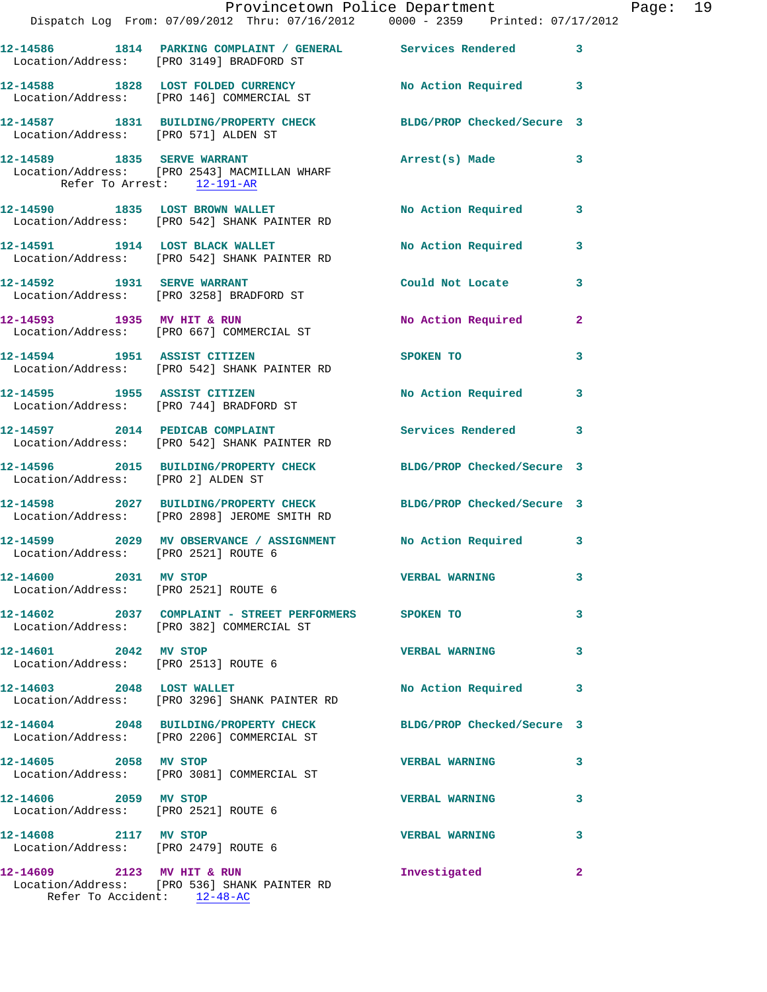|                                                               | Dispatch Log From: 07/09/2012 Thru: 07/16/2012   0000 - 2359   Printed: 07/17/2012                               | Provincetown Police Department Page: 19 |              |  |
|---------------------------------------------------------------|------------------------------------------------------------------------------------------------------------------|-----------------------------------------|--------------|--|
|                                                               | 12-14586 1814 PARKING COMPLAINT / GENERAL Services Rendered<br>Location/Address: [PRO 3149] BRADFORD ST          |                                         | $\mathbf{3}$ |  |
|                                                               | 12-14588 1828 LOST FOLDED CURRENCY No Action Required 3<br>Location/Address: [PRO 146] COMMERCIAL ST             |                                         |              |  |
|                                                               | 12-14587 1831 BUILDING/PROPERTY CHECK BLDG/PROP Checked/Secure 3<br>Location/Address: [PRO 571] ALDEN ST         |                                         |              |  |
| Refer To Arrest: 12-191-AR                                    | 12-14589 1835 SERVE WARRANT<br>Location/Address: [PRO 2543] MACMILLAN WHARF                                      | Arrest(s) Made                          | $\mathbf{3}$ |  |
|                                                               | 12-14590 1835 LOST BROWN WALLET<br>Location/Address: [PRO 542] SHANK PAINTER RD                                  | No Action Required 3                    |              |  |
|                                                               | 12-14591 1914 LOST BLACK WALLET<br>Location/Address: [PRO 542] SHANK PAINTER RD                                  | No Action Required                      | 3            |  |
|                                                               | 12-14592 1931 SERVE WARRANT<br>Location/Address: [PRO 3258] BRADFORD ST                                          | Could Not Locate 3                      |              |  |
|                                                               | 12-14593 1935 MV HIT & RUN<br>Location/Address: [PRO 667] COMMERCIAL ST                                          | No Action Required                      | $\mathbf{2}$ |  |
|                                                               | 12-14594 1951 ASSIST CITIZEN<br>Location/Address: [PRO 542] SHANK PAINTER RD                                     | SPOKEN TO AND TO A REAL PROPERTY.       | 3            |  |
|                                                               | 12-14595 1955 ASSIST CITIZEN<br>Location/Address: [PRO 744] BRADFORD ST                                          | No Action Required                      | 3            |  |
|                                                               | 12-14597 2014 PEDICAB COMPLAINT<br>Location/Address: [PRO 542] SHANK PAINTER RD                                  | Services Rendered                       | $\mathbf{3}$ |  |
|                                                               | 12-14596 2015 BUILDING/PROPERTY CHECK BLDG/PROP Checked/Secure 3<br>Location/Address: [PRO 2] ALDEN ST           |                                         |              |  |
|                                                               | 12-14598 2027 BUILDING/PROPERTY CHECK BLDG/PROP Checked/Secure 3<br>Location/Address: [PRO 2898] JEROME SMITH RD |                                         |              |  |
| Location/Address: [PRO 2521] ROUTE 6                          | 12-14599 2029 MV OBSERVANCE / ASSIGNMENT No Action Required 3                                                    |                                         |              |  |
| 12-14600 2031 MV STOP                                         | Location/Address: [PRO 2521] ROUTE 6                                                                             | <b>VERBAL WARNING</b>                   | 3            |  |
|                                                               | 12-14602 2037 COMPLAINT - STREET PERFORMERS SPOKEN TO<br>Location/Address: [PRO 382] COMMERCIAL ST               |                                         | 3            |  |
| 12-14601 2042 MV STOP                                         | Location/Address: [PRO 2513] ROUTE 6                                                                             | <b>VERBAL WARNING</b>                   | 3            |  |
|                                                               | 12-14603 2048 LOST WALLET<br>Location/Address: [PRO 3296] SHANK PAINTER RD                                       | No Action Required                      | 3            |  |
|                                                               | 12-14604 2048 BUILDING/PROPERTY CHECK BLDG/PROP Checked/Secure 3<br>Location/Address: [PRO 2206] COMMERCIAL ST   |                                         |              |  |
|                                                               | 12-14605 2058 MV STOP<br>Location/Address: [PRO 3081] COMMERCIAL ST                                              | <b>VERBAL WARNING</b>                   | 3            |  |
| 12-14606 2059 MV STOP<br>Location/Address: [PRO 2521] ROUTE 6 |                                                                                                                  | <b>VERBAL WARNING</b>                   | 3            |  |
| 12-14608 2117 MV STOP<br>Location/Address: [PRO 2479] ROUTE 6 |                                                                                                                  | <b>VERBAL WARNING</b>                   | 3            |  |
| 12-14609 2123 MV HIT & RUN                                    | Location/Address: [PRO 536] SHANK PAINTER RD                                                                     | Investigated                            | 2            |  |

Refer To Accident: 12-48-AC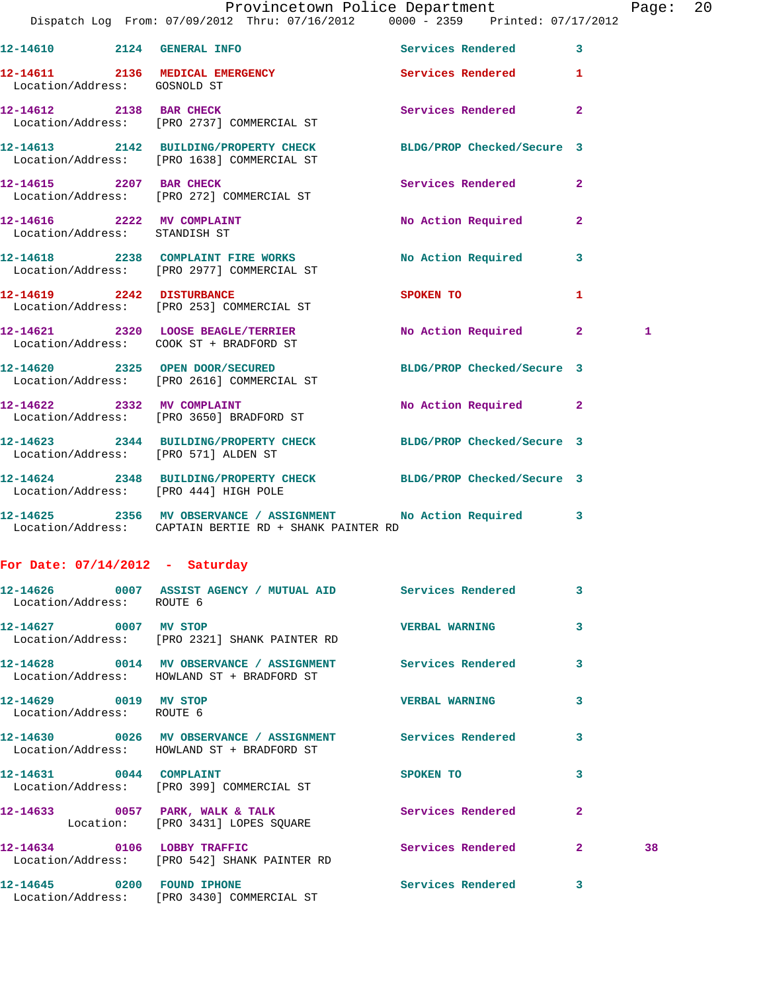|                                                    | Dispatch Log From: 07/09/2012 Thru: 07/16/2012   0000 - 2359   Printed: 07/17/2012                                      | Provincetown Police Department |              | Page: 20 |  |
|----------------------------------------------------|-------------------------------------------------------------------------------------------------------------------------|--------------------------------|--------------|----------|--|
|                                                    | 12-14610 2124 GENERAL INFO 2008 Services Rendered 3                                                                     |                                |              |          |  |
| Location/Address: GOSNOLD ST                       | 12-14611 2136 MEDICAL EMERGENCY                                                                                         | Services Rendered 1            |              |          |  |
|                                                    | 12-14612 2138 BAR CHECK<br>Location/Address: [PRO 2737] COMMERCIAL ST                                                   | Services Rendered              | $\mathbf{2}$ |          |  |
|                                                    | 12-14613 2142 BUILDING/PROPERTY CHECK BLDG/PROP Checked/Secure 3<br>Location/Address: [PRO 1638] COMMERCIAL ST          |                                |              |          |  |
|                                                    | 12-14615 2207 BAR CHECK<br>Location/Address: [PRO 272] COMMERCIAL ST                                                    | Services Rendered              | $\mathbf{2}$ |          |  |
| Location/Address: STANDISH ST                      | 12-14616 2222 MV COMPLAINT                                                                                              | No Action Required 2           |              |          |  |
|                                                    | 12-14618 2238 COMPLAINT FIRE WORKS<br>Location/Address: [PRO 2977] COMMERCIAL ST                                        | No Action Required 3           |              |          |  |
|                                                    | 12-14619 2242 DISTURBANCE<br>Location/Address: [PRO 253] COMMERCIAL ST                                                  | SPOKEN TO AND THE SPOKEN TO    | 1            |          |  |
|                                                    | 12-14621 2320 LOOSE BEAGLE/TERRIER<br>Location/Address: COOK ST + BRADFORD ST                                           | No Action Required 2           |              | 1        |  |
|                                                    | 12-14620 2325 OPEN DOOR/SECURED<br>Location/Address: [PRO 2616] COMMERCIAL ST                                           | BLDG/PROP Checked/Secure 3     |              |          |  |
|                                                    | 12-14622 2332 MV COMPLAINT<br>Location/Address: [PRO 3650] BRADFORD ST                                                  | No Action Required 2           |              |          |  |
| Location/Address: [PRO 571] ALDEN ST               | 12-14623 2344 BUILDING/PROPERTY CHECK BLDG/PROP Checked/Secure 3                                                        |                                |              |          |  |
| Location/Address: [PRO 444] HIGH POLE              | 12-14624 2348 BUILDING/PROPERTY CHECK BLDG/PROP Checked/Secure 3                                                        |                                |              |          |  |
|                                                    | 12-14625 2356 MV OBSERVANCE / ASSIGNMENT No Action Required 3<br>Location/Address: CAPTAIN BERTIE RD + SHANK PAINTER RD |                                |              |          |  |
| For Date: $07/14/2012$ - Saturday                  |                                                                                                                         |                                |              |          |  |
| Location/Address: ROUTE 6                          | 12-14626 0007 ASSIST AGENCY / MUTUAL AID Services Rendered 3                                                            |                                |              |          |  |
| 12-14627 0007 MV STOP                              | Location/Address: [PRO 2321] SHANK PAINTER RD                                                                           | <b>VERBAL WARNING</b>          | 3            |          |  |
|                                                    | 12-14628 0014 MV OBSERVANCE / ASSIGNMENT Services Rendered 3<br>Location/Address: HOWLAND ST + BRADFORD ST              |                                |              |          |  |
| 12-14629 0019 MV STOP<br>Location/Address: ROUTE 6 |                                                                                                                         | <b>VERBAL WARNING</b>          | 3            |          |  |
|                                                    | 12-14630 0026 MV OBSERVANCE / ASSIGNMENT Services Rendered<br>Location/Address: HOWLAND ST + BRADFORD ST                |                                | 3            |          |  |
|                                                    | 12-14631 0044 COMPLAINT<br>Location/Address: [PRO 399] COMMERCIAL ST                                                    | SPOKEN TO                      | 3            |          |  |
|                                                    | 12-14633 0057 PARK, WALK & TALK<br>Location: [PRO 3431] LOPES SQUARE                                                    | Services Rendered              | $\mathbf{2}$ |          |  |
|                                                    | 12-14634 0106 LOBBY TRAFFIC<br>Location/Address: [PRO 542] SHANK PAINTER RD                                             | Services Rendered 2            |              | 38       |  |
|                                                    | 12-14645 0200 FOUND IPHONE<br>Location/Address: [PRO 3430] COMMERCIAL ST                                                | Services Rendered              | $\mathbf{3}$ |          |  |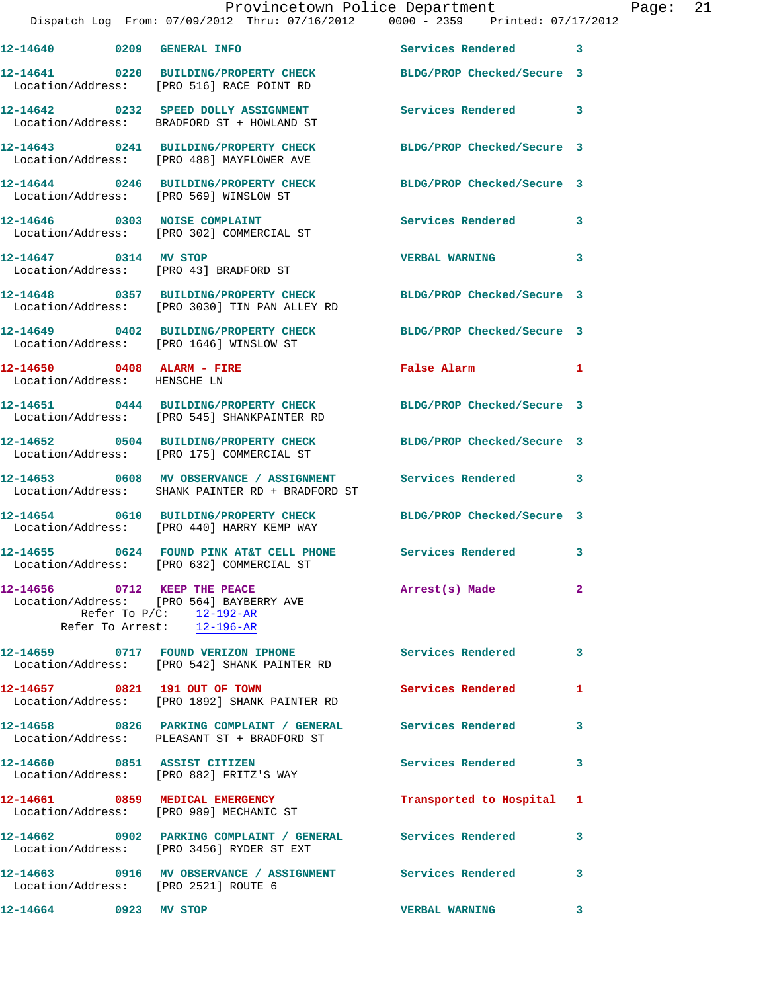|                              | Dispatch Log From: 07/09/2012 Thru: 07/16/2012 0000 - 2359 Printed: 07/17/2012                                                      | Provincetown Police Department |              | Page: | 21 |
|------------------------------|-------------------------------------------------------------------------------------------------------------------------------------|--------------------------------|--------------|-------|----|
|                              |                                                                                                                                     |                                |              |       |    |
|                              | 12-14641 0220 BUILDING/PROPERTY CHECK BLDG/PROP Checked/Secure 3<br>Location/Address: [PRO 516] RACE POINT RD                       |                                |              |       |    |
|                              | 12-14642 0232 SPEED DOLLY ASSIGNMENT Services Rendered<br>Location/Address: BRADFORD ST + HOWLAND ST                                |                                | 3            |       |    |
|                              | 12-14643 0241 BUILDING/PROPERTY CHECK BLDG/PROP Checked/Secure 3<br>Location/Address: [PRO 488] MAYFLOWER AVE                       |                                |              |       |    |
|                              | 12-14644 0246 BUILDING/PROPERTY CHECK BLDG/PROP Checked/Secure 3<br>Location/Address: [PRO 569] WINSLOW ST                          |                                |              |       |    |
|                              | 12-14646 0303 NOISE COMPLAINT<br>Location/Address: [PRO 302] COMMERCIAL ST                                                          | Services Rendered 3            |              |       |    |
|                              | 12-14647 0314 MV STOP<br>Location/Address: [PRO 43] BRADFORD ST                                                                     | <b>VERBAL WARNING</b>          | 3            |       |    |
|                              | 12-14648 0357 BUILDING/PROPERTY CHECK BLDG/PROP Checked/Secure 3<br>Location/Address: [PRO 3030] TIN PAN ALLEY RD                   |                                |              |       |    |
|                              | 12-14649 0402 BUILDING/PROPERTY CHECK BLDG/PROP Checked/Secure 3<br>Location/Address: [PRO 1646] WINSLOW ST                         |                                |              |       |    |
| Location/Address: HENSCHE LN | 12-14650 0408 ALARM - FIRE                                                                                                          | False Alarm                    | 1            |       |    |
|                              | 12-14651 0444 BUILDING/PROPERTY CHECK BLDG/PROP Checked/Secure 3<br>Location/Address: [PRO 545] SHANKPAINTER RD                     |                                |              |       |    |
|                              | 12-14652 0504 BUILDING/PROPERTY CHECK BLDG/PROP Checked/Secure 3<br>Location/Address: [PRO 175] COMMERCIAL ST                       |                                |              |       |    |
|                              | 12-14653 0608 MV OBSERVANCE / ASSIGNMENT Services Rendered 3<br>Location/Address: SHANK PAINTER RD + BRADFORD ST                    |                                |              |       |    |
|                              | 12-14654 0610 BUILDING/PROPERTY CHECK BLDG/PROP Checked/Secure 3<br>Location/Address: [PRO 440] HARRY KEMP WAY                      |                                |              |       |    |
|                              | 12-14655 0624 FOUND PINK AT&T CELL PHONE Services Rendered 3<br>Location/Address: [PRO 632] COMMERCIAL ST                           |                                |              |       |    |
|                              | 12-14656 0712 KEEP THE PEACE<br>Location/Address: [PRO 564] BAYBERRY AVE<br>Refer To $P/C:$ 12-192-AR<br>Refer To Arrest: 12-196-AR | Arrest(s) Made                 | $\mathbf{2}$ |       |    |
|                              | 12-14659 0717 FOUND VERIZON IPHONE<br>Location/Address: [PRO 542] SHANK PAINTER RD                                                  | Services Rendered              | $\mathbf{3}$ |       |    |
|                              | 12-14657 0821 191 OUT OF TOWN<br>Location/Address: [PRO 1892] SHANK PAINTER RD                                                      | <b>Services Rendered</b>       | 1            |       |    |
|                              | 12-14658 0826 PARKING COMPLAINT / GENERAL Services Rendered 3<br>Location/Address: PLEASANT ST + BRADFORD ST                        |                                |              |       |    |
|                              | 12-14660 0851 ASSIST CITIZEN<br>Location/Address: [PRO 882] FRITZ'S WAY                                                             | <b>Services Rendered</b>       | 3            |       |    |
|                              | 12-14661 0859 MEDICAL EMERGENCY Transported to Hospital 1<br>Location/Address: [PRO 989] MECHANIC ST                                |                                |              |       |    |
|                              | 12-14662 0902 PARKING COMPLAINT / GENERAL Services Rendered<br>Location/Address: [PRO 3456] RYDER ST EXT                            |                                | 3            |       |    |
|                              | 12-14663 0916 MV OBSERVANCE / ASSIGNMENT Services Rendered<br>Location/Address: [PRO 2521] ROUTE 6                                  |                                | 3            |       |    |
| 12-14664 0923 MV STOP        |                                                                                                                                     | <b>VERBAL WARNING</b>          | $\mathbf{3}$ |       |    |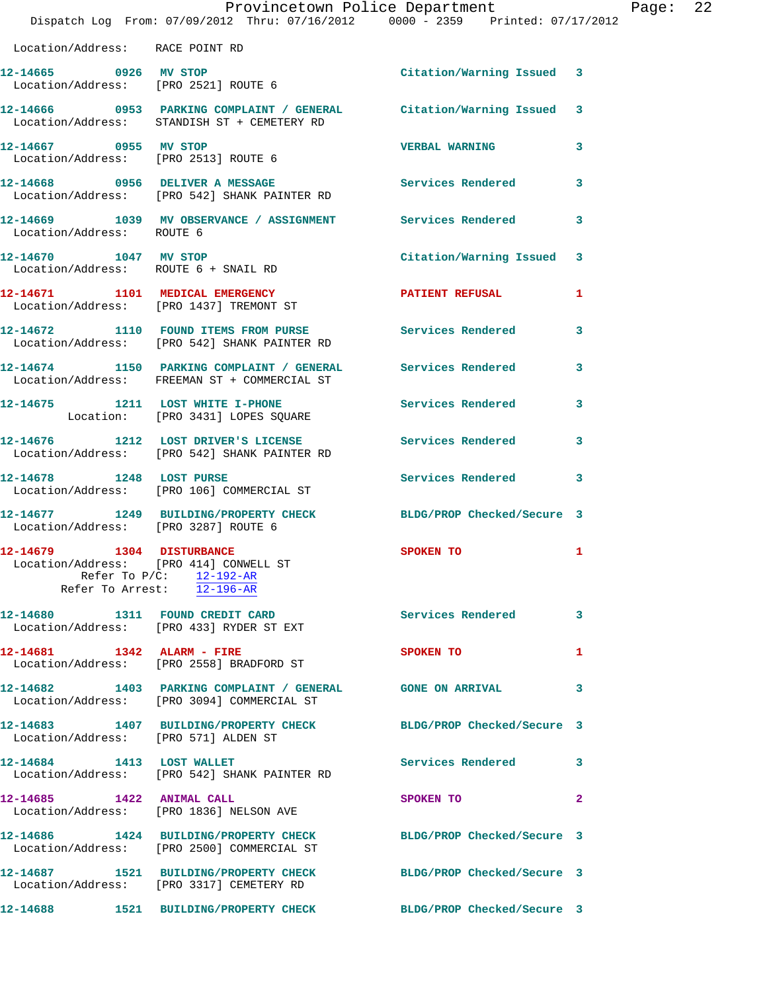|                                      | Dispatch Log From: 07/09/2012 Thru: 07/16/2012 0000 - 2359 Printed: 07/17/2012                                     | Provincetown Police Department |              | Page: $22$ |  |
|--------------------------------------|--------------------------------------------------------------------------------------------------------------------|--------------------------------|--------------|------------|--|
| Location/Address: RACE POINT RD      |                                                                                                                    |                                |              |            |  |
| 12-14665 0926 MV STOP                | Location/Address: [PRO 2521] ROUTE 6                                                                               | Citation/Warning Issued 3      |              |            |  |
|                                      | 12-14666 0953 PARKING COMPLAINT / GENERAL Citation/Warning Issued 3<br>Location/Address: STANDISH ST + CEMETERY RD |                                |              |            |  |
| 12-14667 0955 MV STOP                | Location/Address: [PRO 2513] ROUTE 6                                                                               | <b>VERBAL WARNING</b>          | 3            |            |  |
|                                      | 12-14668 0956 DELIVER A MESSAGE Services Rendered<br>Location/Address: [PRO 542] SHANK PAINTER RD                  |                                | 3            |            |  |
| Location/Address: ROUTE 6            | 12-14669 1039 MV OBSERVANCE / ASSIGNMENT Services Rendered                                                         |                                | 3            |            |  |
|                                      | 12-14670 1047 MV STOP<br>Location/Address: ROUTE 6 + SNAIL RD                                                      | Citation/Warning Issued 3      |              |            |  |
|                                      | 12-14671 1101 MEDICAL EMERGENCY<br>Location/Address: [PRO 1437] TREMONT ST                                         | PATIENT REFUSAL                | 1            |            |  |
|                                      | 12-14672 1110 FOUND ITEMS FROM PURSE Services Rendered<br>Location/Address: [PRO 542] SHANK PAINTER RD             |                                | 3            |            |  |
|                                      | 12-14674 1150 PARKING COMPLAINT / GENERAL Services Rendered<br>Location/Address: FREEMAN ST + COMMERCIAL ST        |                                | 3            |            |  |
|                                      | 12-14675 1211 LOST WHITE I-PHONE<br>Location: [PRO 3431] LOPES SQUARE                                              | Services Rendered 3            |              |            |  |
|                                      | 12-14676 1212 LOST DRIVER'S LICENSE 120 Services Rendered<br>Location/Address: [PRO 542] SHANK PAINTER RD          |                                | 3            |            |  |
| 12-14678 1248 LOST PURSE             | Location/Address: [PRO 106] COMMERCIAL ST                                                                          | Services Rendered 3            |              |            |  |
| Location/Address: [PRO 3287] ROUTE 6 | 12-14677 1249 BUILDING/PROPERTY CHECK BLDG/PROP Checked/Secure 3                                                   |                                |              |            |  |
| 12-14679 1304 DISTURBANCE            | Location/Address: [PRO 414] CONWELL ST<br>Refer To $P/C:$ 12-192-AR<br>Refer To Arrest: 12-196-AR                  | SPOKEN TO                      | 1            |            |  |
|                                      | 12-14680 1311 FOUND CREDIT CARD<br>Location/Address: [PRO 433] RYDER ST EXT                                        | <b>Services Rendered</b>       | 3            |            |  |
| 12-14681   1342   ALARM - FIRE       | Location/Address: [PRO 2558] BRADFORD ST                                                                           | SPOKEN TO                      | 1            |            |  |
|                                      | 12-14682 1403 PARKING COMPLAINT / GENERAL GONE ON ARRIVAL<br>Location/Address: [PRO 3094] COMMERCIAL ST            |                                | 3            |            |  |
| Location/Address: [PRO 571] ALDEN ST | 12-14683 1407 BUILDING/PROPERTY CHECK BLDG/PROP Checked/Secure 3                                                   |                                |              |            |  |
|                                      | 12-14684 1413 LOST WALLET<br>Location/Address: [PRO 542] SHANK PAINTER RD                                          | Services Rendered              | 3            |            |  |
| 12-14685 1422 ANIMAL CALL            | Location/Address: [PRO 1836] NELSON AVE                                                                            | SPOKEN TO                      | $\mathbf{2}$ |            |  |
|                                      | 12-14686 1424 BUILDING/PROPERTY CHECK<br>Location/Address: [PRO 2500] COMMERCIAL ST                                | BLDG/PROP Checked/Secure 3     |              |            |  |
|                                      | 12-14687 1521 BUILDING/PROPERTY CHECK<br>Location/Address: [PRO 3317] CEMETERY RD                                  | BLDG/PROP Checked/Secure 3     |              |            |  |
|                                      |                                                                                                                    | BLDG/PROP Checked/Secure 3     |              |            |  |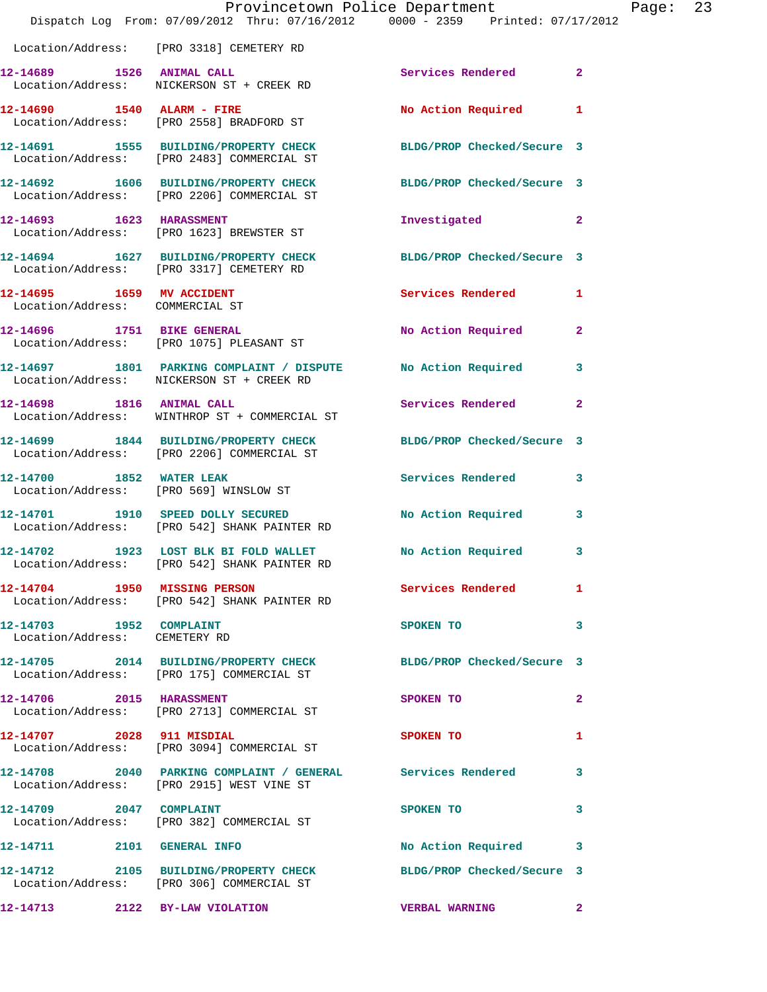|                                                              | Provincetown Police Department<br>Dispatch Log From: 07/09/2012 Thru: 07/16/2012 0000 - 2359 Printed: 07/17/2012 |                            |              |
|--------------------------------------------------------------|------------------------------------------------------------------------------------------------------------------|----------------------------|--------------|
|                                                              | Location/Address: [PRO 3318] CEMETERY RD                                                                         |                            |              |
| 12-14689 1526 ANIMAL CALL                                    | Location/Address: NICKERSON ST + CREEK RD                                                                        | Services Rendered 2        |              |
|                                                              | 12-14690   1540   ALARM - FIRE<br>Location/Address: [PRO 2558] BRADFORD ST                                       | No Action Required         | $\mathbf{1}$ |
|                                                              | 12-14691 1555 BUILDING/PROPERTY CHECK<br>Location/Address: [PRO 2483] COMMERCIAL ST                              | BLDG/PROP Checked/Secure 3 |              |
|                                                              | 12-14692 1606 BUILDING/PROPERTY CHECK BLDG/PROP Checked/Secure 3<br>Location/Address: [PRO 2206] COMMERCIAL ST   |                            |              |
| 12-14693 1623 HARASSMENT                                     | Location/Address: [PRO 1623] BREWSTER ST                                                                         | Investigated 2             |              |
|                                                              | 12-14694 1627 BUILDING/PROPERTY CHECK BLDG/PROP Checked/Secure 3<br>Location/Address: [PRO 3317] CEMETERY RD     |                            |              |
| 12-14695 1659 MV ACCIDENT<br>Location/Address: COMMERCIAL ST |                                                                                                                  | Services Rendered          | $\mathbf{1}$ |
|                                                              | 12-14696 1751 BIKE GENERAL<br>Location/Address: [PRO 1075] PLEASANT ST                                           | No Action Required         | $\mathbf{2}$ |
|                                                              | 12-14697 1801 PARKING COMPLAINT / DISPUTE No Action Required<br>Location/Address: NICKERSON ST + CREEK RD        |                            | 3            |
|                                                              | 12-14698 1816 ANIMAL CALL<br>Location/Address: WINTHROP ST + COMMERCIAL ST                                       | Services Rendered          | $\mathbf{2}$ |
|                                                              | 12-14699 1844 BUILDING/PROPERTY CHECK<br>Location/Address: [PRO 2206] COMMERCIAL ST                              | BLDG/PROP Checked/Secure 3 |              |
|                                                              | 12-14700 1852 WATER LEAK<br>Location/Address: [PRO 569] WINSLOW ST                                               | <b>Services Rendered</b>   | 3            |
|                                                              | 12-14701 1910 SPEED DOLLY SECURED<br>Location/Address: [PRO 542] SHANK PAINTER RD                                | <b>No Action Required</b>  | 3            |
|                                                              | 12-14702 1923 LOST BLK BI FOLD WALLET No Action Required 3<br>Location/Address: [PRO 542] SHANK PAINTER RD       |                            |              |
|                                                              | 12-14704 1950 MISSING PERSON<br>Location/Address: [PRO 542] SHANK PAINTER RD                                     | Services Rendered 1        |              |
| 12-14703 1952 COMPLAINT<br>Location/Address: CEMETERY RD     |                                                                                                                  | SPOKEN TO                  | $\mathbf{3}$ |
|                                                              | 12-14705 2014 BUILDING/PROPERTY CHECK BLDG/PROP Checked/Secure 3<br>Location/Address: [PRO 175] COMMERCIAL ST    |                            |              |
| 12-14706 2015 HARASSMENT                                     | Location/Address: [PRO 2713] COMMERCIAL ST                                                                       | SPOKEN TO                  | 2            |
| 12-14707 2028 911 MISDIAL                                    | Location/Address: [PRO 3094] COMMERCIAL ST                                                                       | <b>SPOKEN TO</b>           | 1            |
|                                                              | 12-14708 2040 PARKING COMPLAINT / GENERAL Services Rendered 3<br>Location/Address: [PRO 2915] WEST VINE ST       |                            |              |
| 12-14709 2047 COMPLAINT                                      | Location/Address: [PRO 382] COMMERCIAL ST                                                                        | SPOKEN TO                  | 3            |
| 12-14711 2101 GENERAL INFO                                   |                                                                                                                  | No Action Required 3       |              |
|                                                              | 12-14712 2105 BUILDING/PROPERTY CHECK BLDG/PROP Checked/Secure 3<br>Location/Address: [PRO 306] COMMERCIAL ST    |                            |              |
|                                                              | 12-14713 2122 BY-LAW VIOLATION                                                                                   | <b>VERBAL WARNING</b>      | $\mathbf{2}$ |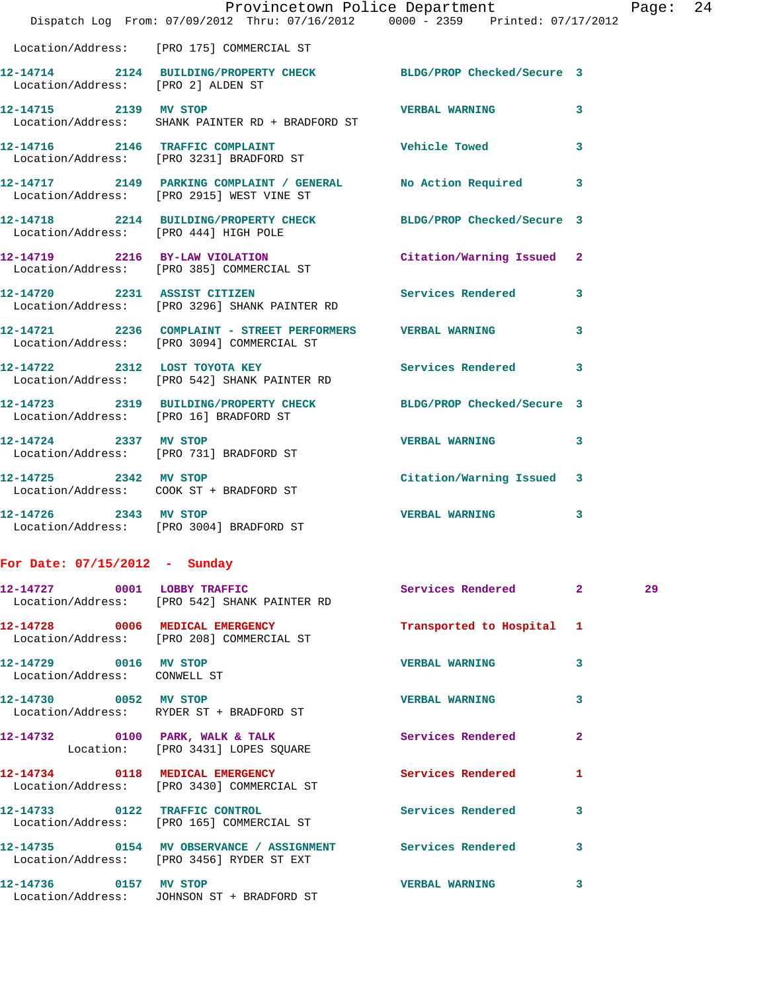|                                 | Provincetown Police Department                                                                              |                           |   | Page |
|---------------------------------|-------------------------------------------------------------------------------------------------------------|---------------------------|---|------|
|                                 | Dispatch Log From: 07/09/2012 Thru: 07/16/2012 0000 - 2359 Printed: 07/17/2012                              |                           |   |      |
|                                 | Location/Address: [PRO 175] COMMERCIAL ST                                                                   |                           |   |      |
|                                 | 12-14714 2124 BUILDING/PROPERTY CHECK BLDG/PROP Checked/Secure 3<br>Location/Address: [PRO 2] ALDEN ST      |                           |   |      |
| 12-14715 2139 MV STOP           | Location/Address: SHANK PAINTER RD + BRADFORD ST                                                            | <b>VERBAL WARNING</b>     | 3 |      |
|                                 | 12-14716 2146 TRAFFIC COMPLAINT<br>Location/Address: [PRO 3231] BRADFORD ST                                 | Vehicle Towed             | 3 |      |
|                                 | 12-14717 2149 PARKING COMPLAINT / GENERAL No Action Required 3<br>Location/Address: [PRO 2915] WEST VINE ST |                           |   |      |
|                                 | 12-14718 2214 BUILDING/PROPERTY CHECK BLDG/PROP Checked/Secure 3<br>Location/Address: [PRO 444] HIGH POLE   |                           |   |      |
|                                 | 12-14719 2216 BY-LAW VIOLATION<br>Location/Address: [PRO 385] COMMERCIAL ST                                 | Citation/Warning Issued 2 |   |      |
|                                 | 12-14720 2231 ASSIST CITIZEN<br>Location/Address: [PRO 3296] SHANK PAINTER RD                               | Services Rendered         | 3 |      |
|                                 | 12-14721 2236 COMPLAINT - STREET PERFORMERS VERBAL WARNING<br>Location/Address: [PRO 3094] COMMERCIAL ST    |                           | 3 |      |
|                                 | 12-14722 2312 LOST TOYOTA KEY<br>Location/Address: [PRO 542] SHANK PAINTER RD                               | Services Rendered         | 3 |      |
|                                 | 12-14723 2319 BUILDING/PROPERTY CHECK BLDG/PROP Checked/Secure 3<br>Location/Address: [PRO 16] BRADFORD ST  |                           |   |      |
|                                 | 12-14724 2337 MV STOP<br>Location/Address: [PRO 731] BRADFORD ST                                            | <b>VERBAL WARNING</b>     | 3 |      |
| 12-14725 2342 MV STOP           | Location/Address: COOK ST + BRADFORD ST                                                                     | Citation/Warning Issued 3 |   |      |
| 12-14726 2343 MV STOP           | Location/Address: [PRO 3004] BRADFORD ST                                                                    | <b>VERBAL WARNING</b>     | 3 |      |
| For Date: $07/15/2012$ - Sunday |                                                                                                             |                           |   |      |
|                                 | 12-14727 0001 LOBBY TRAFFIC<br>Location/Address: [PRO 542] SHANK PAINTER RD                                 | Services Rendered 2       |   | 29   |
|                                 | 12-14728 0006 MEDICAL EMERGENCY                                                                             | Transported to Hospital 1 |   |      |

 Location/Address: RYDER ST + BRADFORD ST 12-14732 0100 PARK, WALK & TALK Services Rendered 2 Location: [PRO 3431] LOPES SQUARE **12-14734 0118 MEDICAL EMERGENCY Services Rendered 1**  Location/Address: [PRO 3430] COMMERCIAL ST

Location/Address: CONWELL ST

Location/Address: [PRO 208] COMMERCIAL ST

**12-14733 0122 TRAFFIC CONTROL Services Rendered 3**  Location/Address: [PRO 165] COMMERCIAL ST

**12-14735 0154 MV OBSERVANCE / ASSIGNMENT Services Rendered 3**  Location/Address: [PRO 3456] RYDER ST EXT

**12-14736 0157 MV STOP VERBAL WARNING 3**  Location/Address: JOHNSON ST + BRADFORD ST

**12-14729 0016 MV STOP VERBAL WARNING 3** 

**12-14730 0052 MV STOP VERBAL WARNING 3**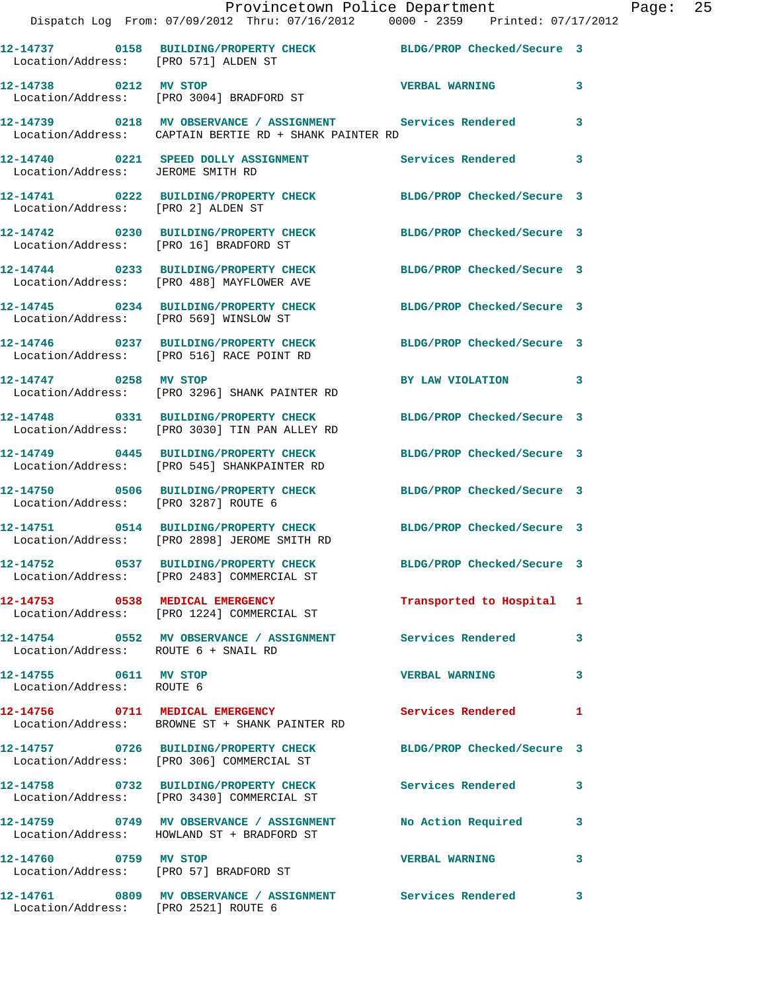|                                                    | Provincetown Police Department<br>Dispatch Log From: 07/09/2012 Thru: 07/16/2012 0000 - 2359 Printed: 07/17/2012       |                            |   | Page: 25 |  |
|----------------------------------------------------|------------------------------------------------------------------------------------------------------------------------|----------------------------|---|----------|--|
|                                                    | 12-14737 0158 BUILDING/PROPERTY CHECK BLDG/PROP Checked/Secure 3                                                       |                            |   |          |  |
| Location/Address: [PRO 571] ALDEN ST               |                                                                                                                        |                            |   |          |  |
|                                                    | 12-14738 0212 MV STOP VERBAL WARNING<br>Location/Address: [PRO 3004] BRADFORD ST                                       |                            | 3 |          |  |
|                                                    | 12-14739 0218 MV OBSERVANCE / ASSIGNMENT Services Rendered 3<br>Location/Address: CAPTAIN BERTIE RD + SHANK PAINTER RD |                            |   |          |  |
| Location/Address: JEROME SMITH RD                  | 12-14740 0221 SPEED DOLLY ASSIGNMENT Services Rendered 3                                                               |                            |   |          |  |
| Location/Address: [PRO 2] ALDEN ST                 | 12-14741 0222 BUILDING/PROPERTY CHECK BLDG/PROP Checked/Secure 3                                                       |                            |   |          |  |
| Location/Address: [PRO 16] BRADFORD ST             | 12-14742 0230 BUILDING/PROPERTY CHECK BLDG/PROP Checked/Secure 3                                                       |                            |   |          |  |
|                                                    | 12-14744 0233 BUILDING/PROPERTY CHECK BLDG/PROP Checked/Secure 3<br>Location/Address: [PRO 488] MAYFLOWER AVE          |                            |   |          |  |
|                                                    | 12-14745 0234 BUILDING/PROPERTY CHECK BLDG/PROP Checked/Secure 3<br>Location/Address: [PRO 569] WINSLOW ST             |                            |   |          |  |
|                                                    | 12-14746 0237 BUILDING/PROPERTY CHECK BLDG/PROP Checked/Secure 3<br>Location/Address: [PRO 516] RACE POINT RD          |                            |   |          |  |
|                                                    | 12-14747 0258 MV STOP<br>Location/Address: [PRO 3296] SHANK PAINTER RD                                                 | BY LAW VIOLATION 3         |   |          |  |
|                                                    | 12-14748 0331 BUILDING/PROPERTY CHECK BLDG/PROP Checked/Secure 3<br>Location/Address: [PRO 3030] TIN PAN ALLEY RD      |                            |   |          |  |
|                                                    | 12-14749 0445 BUILDING/PROPERTY CHECK BLDG/PROP Checked/Secure 3<br>Location/Address: [PRO 545] SHANKPAINTER RD        |                            |   |          |  |
| Location/Address: [PRO 3287] ROUTE 6               | 12-14750 0506 BUILDING/PROPERTY CHECK BLDG/PROP Checked/Secure 3                                                       |                            |   |          |  |
|                                                    | 12-14751 0514 BUILDING/PROPERTY CHECK BLDG/PROP Checked/Secure 3<br>Location/Address: [PRO 2898] JEROME SMITH RD       |                            |   |          |  |
|                                                    | 12-14752 0537 BUILDING/PROPERTY CHECK<br>Location/Address: [PRO 2483] COMMERCIAL ST                                    | BLDG/PROP Checked/Secure 3 |   |          |  |
|                                                    | 12-14753 0538 MEDICAL EMERGENCY<br>Location/Address: [PRO 1224] COMMERCIAL ST                                          | Transported to Hospital 1  |   |          |  |
| Location/Address: ROUTE 6 + SNAIL RD               | 12-14754 0552 MV OBSERVANCE / ASSIGNMENT Services Rendered 3                                                           |                            |   |          |  |
| 12-14755 0611 MV STOP<br>Location/Address: ROUTE 6 |                                                                                                                        | <b>VERBAL WARNING</b>      | 3 |          |  |
|                                                    | 12-14756 0711 MEDICAL EMERGENCY Services Rendered 1<br>Location/Address: BROWNE ST + SHANK PAINTER RD                  |                            |   |          |  |
|                                                    | 12-14757 0726 BUILDING/PROPERTY CHECK BLDG/PROP Checked/Secure 3<br>Location/Address: [PRO 306] COMMERCIAL ST          |                            |   |          |  |
|                                                    | 12-14758 0732 BUILDING/PROPERTY CHECK Services Rendered 3<br>Location/Address: [PRO 3430] COMMERCIAL ST                |                            |   |          |  |
|                                                    | 12-14759 0749 MV OBSERVANCE / ASSIGNMENT No Action Required 3<br>Location/Address: HOWLAND ST + BRADFORD ST            |                            |   |          |  |
| 12-14760 0759 MV STOP                              | Location/Address: [PRO 57] BRADFORD ST                                                                                 | <b>VERBAL WARNING</b>      | 3 |          |  |
| Location/Address: [PRO 2521] ROUTE 6               | 12-14761 0809 MV OBSERVANCE / ASSIGNMENT Services Rendered 3                                                           |                            |   |          |  |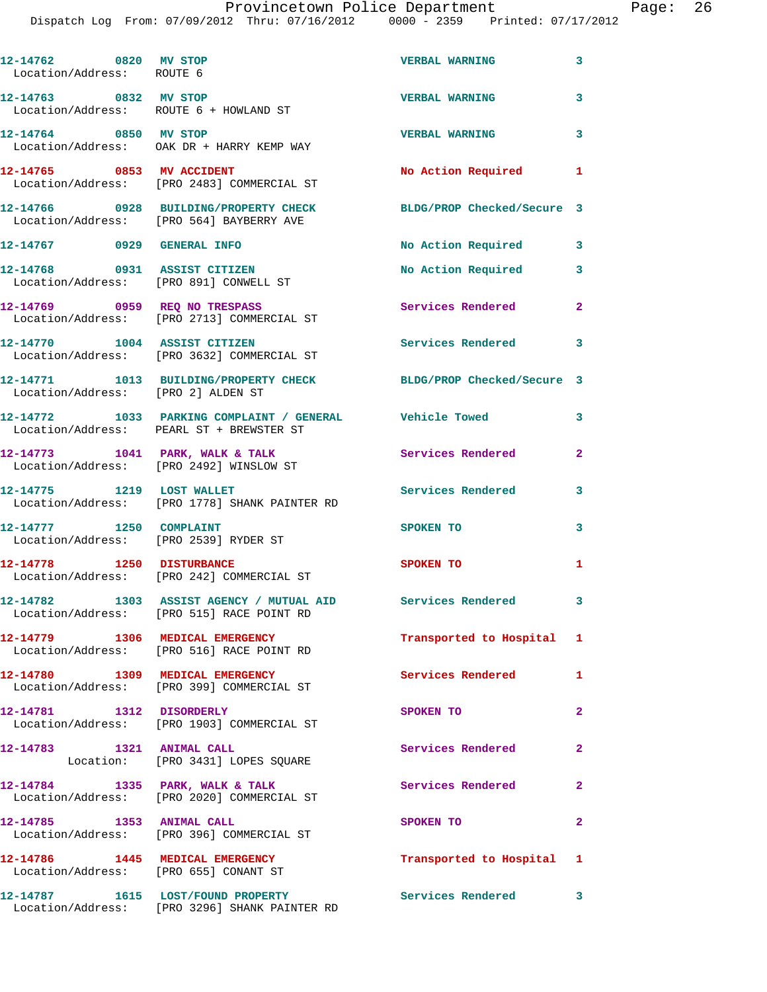Dispatch Log From: 07/09/2012 Thru: 07/16/2012 0000 - 2359 Printed: 07/17/2012

| 12-14762 0820 MV STOP<br>Location/Address: ROUTE 6                       |                                                                                                                                             | <b>VERBAL WARNING</b>      | 3                          |
|--------------------------------------------------------------------------|---------------------------------------------------------------------------------------------------------------------------------------------|----------------------------|----------------------------|
| 12-14763 0832 MV STOP                                                    | Location/Address: ROUTE 6 + HOWLAND ST                                                                                                      | <b>VERBAL WARNING</b>      | $\mathbf{3}$               |
| 12-14764 0850 MV STOP                                                    | Location/Address: OAK DR + HARRY KEMP WAY                                                                                                   | <b>VERBAL WARNING</b>      | 3                          |
| 12-14765 0853 MV ACCIDENT                                                | Location/Address: [PRO 2483] COMMERCIAL ST                                                                                                  | No Action Required 1       |                            |
|                                                                          | 12-14766 0928 BUILDING/PROPERTY CHECK<br>Location/Address: [PRO 564] BAYBERRY AVE                                                           | BLDG/PROP Checked/Secure 3 |                            |
| 12-14767 0929 GENERAL INFO                                               |                                                                                                                                             | No Action Required 3       |                            |
|                                                                          | 12-14768 0931 ASSIST CITIZEN<br>Location/Address: [PRO 891] CONWELL ST                                                                      | No Action Required         | $\mathbf{3}$               |
| 12-14769 0959 REQ NO TRESPASS                                            | Location/Address: [PRO 2713] COMMERCIAL ST                                                                                                  | Services Rendered 2        |                            |
|                                                                          | 12-14770 1004 ASSIST CITIZEN<br>Location/Address: [PRO 3632] COMMERCIAL ST                                                                  | <b>Services Rendered</b> 3 |                            |
| Location/Address: [PRO 2] ALDEN ST                                       | 12-14771 1013 BUILDING/PROPERTY CHECK BLDG/PROP Checked/Secure 3                                                                            |                            |                            |
|                                                                          | 12-14772 1033 PARKING COMPLAINT / GENERAL Vehicle Towed<br>Location/Address: PEARL ST + BREWSTER ST                                         |                            | 3                          |
|                                                                          | $12-14773$ 1041 PARK, WALK & TALK<br>Location/Address: [PRO 2492] WINSLOW ST                                                                | Services Rendered          | $\mathbf{2}$               |
| 12-14775 1219 LOST WALLET                                                | Location/Address: [PRO 1778] SHANK PAINTER RD                                                                                               | <b>Services Rendered</b>   | $\overline{\phantom{a}}$ 3 |
| 12-14777 1250 COMPLAINT<br>Location/Address: [PRO 2539] RYDER ST         |                                                                                                                                             | SPOKEN TO                  | 3                          |
| 12-14778 1250 DISTURBANCE                                                | Location/Address: [PRO 242] COMMERCIAL ST                                                                                                   | <b>SPOKEN TO</b>           | 1.                         |
|                                                                          | 12-14782               1303    ASSIST AGENCY  /  MUTUAL  AID                Services  Rendered<br>Location/Address: [PRO 515] RACE POINT RD |                            | $\overline{\mathbf{3}}$    |
|                                                                          | 12-14779 1306 MEDICAL EMERGENCY<br>Location/Address: [PRO 516] RACE POINT RD                                                                | Transported to Hospital 1  |                            |
|                                                                          | 12-14780 1309 MEDICAL EMERGENCY<br>Location/Address: [PRO 399] COMMERCIAL ST                                                                | <b>Services Rendered</b>   | $\mathbf{1}$               |
|                                                                          | 12-14781 1312 DISORDERLY<br>Location/Address: [PRO 1903] COMMERCIAL ST                                                                      | SPOKEN TO                  | $\mathbf{2}$               |
| 12-14783 1321 ANIMAL CALL                                                | Location: [PRO 3431] LOPES SQUARE                                                                                                           | Services Rendered          | $\mathbf{2}$               |
|                                                                          | 12-14784 1335 PARK, WALK & TALK<br>Location/Address: [PRO 2020] COMMERCIAL ST                                                               | Services Rendered          | $\mathbf{2}$               |
| 12-14785 1353 ANIMAL CALL                                                | Location/Address: [PRO 396] COMMERCIAL ST                                                                                                   | SPOKEN TO                  | $\overline{2}$             |
| 12-14786 1445 MEDICAL EMERGENCY<br>Location/Address: [PRO 655] CONANT ST |                                                                                                                                             | Transported to Hospital 1  |                            |
|                                                                          | 12-14787 1615 LOST/FOUND PROPERTY                                                                                                           | Services Rendered 3        |                            |

Location/Address: [PRO 3296] SHANK PAINTER RD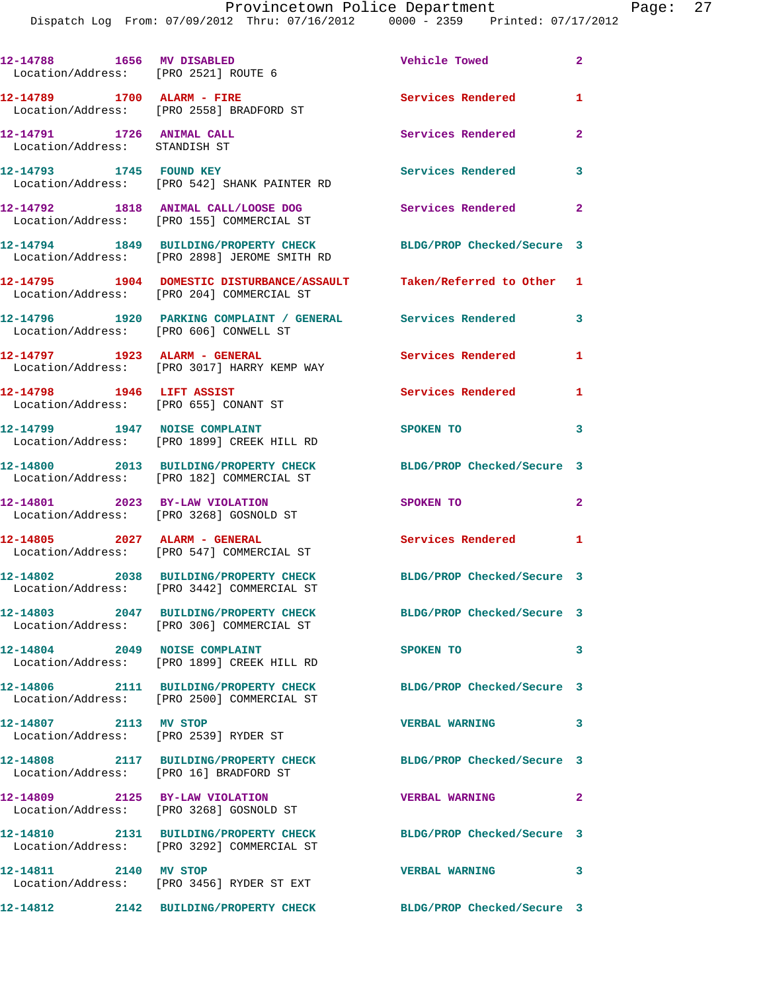|                                                            | Dispatch Log From: 07/09/2012 Thru: 07/16/2012 0000 - 2359 Printed: 07/17/2012                                  |                            |                |
|------------------------------------------------------------|-----------------------------------------------------------------------------------------------------------------|----------------------------|----------------|
|                                                            | Location/Address: [PRO 2521] ROUTE 6                                                                            | <b>Vehicle Towed</b>       | $\mathbf{2}$   |
| 12-14789 1700 ALARM - FIRE                                 | Location/Address: [PRO 2558] BRADFORD ST                                                                        | Services Rendered          | 1              |
| 12-14791 1726 ANIMAL CALL<br>Location/Address: STANDISH ST |                                                                                                                 | <b>Services Rendered</b>   | $\overline{a}$ |
|                                                            | 12-14793 1745 FOUND KEY<br>Location/Address: [PRO 542] SHANK PAINTER RD                                         | <b>Services Rendered</b>   | 3              |
|                                                            | 12-14792 1818 ANIMAL CALL/LOOSE DOG<br>Location/Address: [PRO 155] COMMERCIAL ST                                | Services Rendered          | $\overline{a}$ |
|                                                            | 12-14794 1849 BUILDING/PROPERTY CHECK<br>Location/Address: [PRO 2898] JEROME SMITH RD                           | BLDG/PROP Checked/Secure 3 |                |
|                                                            | 12-14795 1904 DOMESTIC DISTURBANCE/ASSAULT Taken/Referred to Other<br>Location/Address: [PRO 204] COMMERCIAL ST |                            | 1              |
|                                                            | 12-14796 1920 PARKING COMPLAINT / GENERAL Services Rendered<br>Location/Address: [PRO 606] CONWELL ST           |                            | 3              |
| 12-14797 1923 ALARM - GENERAL                              | Location/Address: [PRO 3017] HARRY KEMP WAY                                                                     | Services Rendered          | 1              |
| 12-14798 1946 LIFT ASSIST                                  | Location/Address: [PRO 655] CONANT ST                                                                           | Services Rendered          | 1              |
| 12-14799 1947 NOISE COMPLAINT                              | Location/Address: [PRO 1899] CREEK HILL RD                                                                      | <b>SPOKEN TO</b>           | 3              |
|                                                            | 12-14800 2013 BUILDING/PROPERTY CHECK<br>Location/Address: [PRO 182] COMMERCIAL ST                              | BLDG/PROP Checked/Secure 3 |                |
|                                                            | 12-14801 2023 BY-LAW VIOLATION<br>Location/Address: [PRO 3268] GOSNOLD ST                                       | SPOKEN TO                  | $\mathbf{2}$   |
|                                                            | 12-14805 2027 ALARM - GENERAL<br>Location/Address: [PRO 547] COMMERCIAL ST                                      | <b>Services Rendered</b>   | 1              |
|                                                            | 12-14802  2038 BUILDING/PROPERTY CHECK<br>Location/Address: [PRO 3442] COMMERCIAL ST                            | BLDG/PROP Checked/Secure 3 |                |
|                                                            | 12-14803 2047 BUILDING/PROPERTY CHECK BLDG/PROP Checked/Secure 3<br>Location/Address: [PRO 306] COMMERCIAL ST   |                            |                |
| 12-14804 2049 NOISE COMPLAINT                              | Location/Address: [PRO 1899] CREEK HILL RD                                                                      | SPOKEN TO                  | 3              |
|                                                            | 12-14806 2111 BUILDING/PROPERTY CHECK<br>Location/Address: [PRO 2500] COMMERCIAL ST                             | BLDG/PROP Checked/Secure 3 |                |
| 12-14807 2113 MV STOP                                      | Location/Address: [PRO 2539] RYDER ST                                                                           | <b>VERBAL WARNING</b>      | 3              |
| Location/Address: [PRO 16] BRADFORD ST                     | 12-14808 2117 BUILDING/PROPERTY CHECK                                                                           | BLDG/PROP Checked/Secure 3 |                |
| 12-14809 2125 BY-LAW VIOLATION                             | Location/Address: [PRO 3268] GOSNOLD ST                                                                         | <b>VERBAL WARNING</b>      | 2              |
|                                                            | 12-14810 2131 BUILDING/PROPERTY CHECK<br>Location/Address: [PRO 3292] COMMERCIAL ST                             | BLDG/PROP Checked/Secure 3 |                |
| 12-14811 2140 MV STOP                                      | Location/Address: [PRO 3456] RYDER ST EXT                                                                       | <b>VERBAL WARNING</b>      | 3              |

**12-14812 2142 BUILDING/PROPERTY CHECK BLDG/PROP Checked/Secure 3**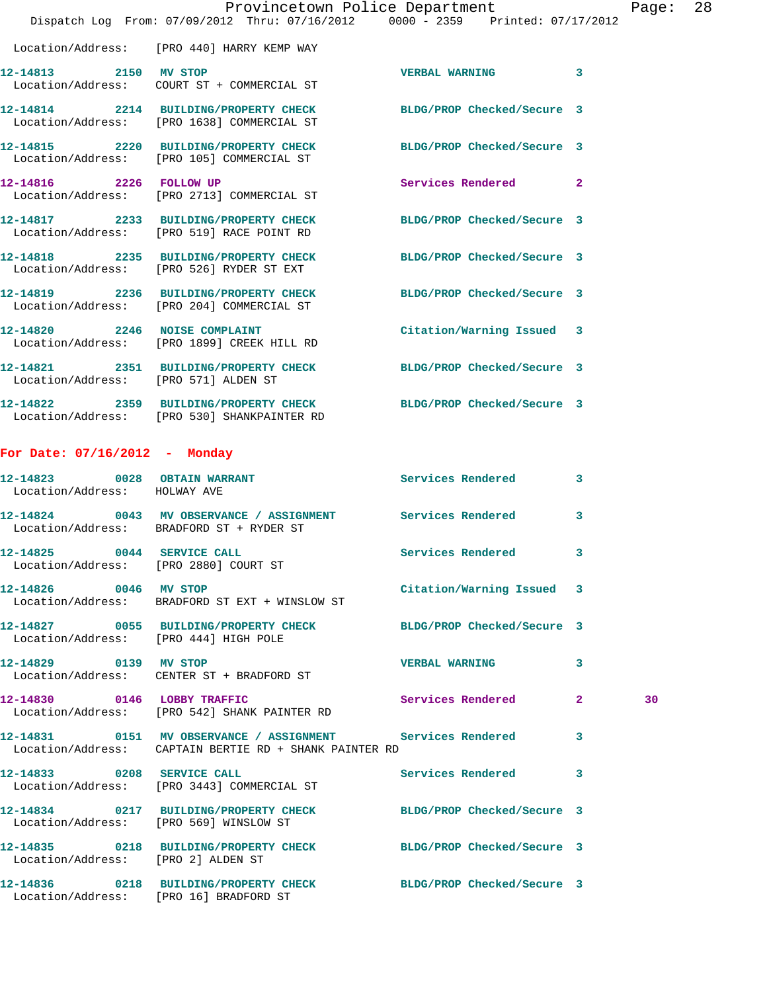|                                                                     | Provincetown Police Department The Rage: 28<br>Dispatch Log From: 07/09/2012 Thru: 07/16/2012 0000 - 2359 Printed: 07/17/2012 |                            |   |    |  |
|---------------------------------------------------------------------|-------------------------------------------------------------------------------------------------------------------------------|----------------------------|---|----|--|
|                                                                     | Location/Address: [PRO 440] HARRY KEMP WAY                                                                                    |                            |   |    |  |
| 12-14813 2150 MV STOP                                               | Location/Address: COURT ST + COMMERCIAL ST                                                                                    | <b>VERBAL WARNING</b>      | 3 |    |  |
|                                                                     | 12-14814 2214 BUILDING/PROPERTY CHECK BLDG/PROP Checked/Secure 3<br>Location/Address: [PRO 1638] COMMERCIAL ST                |                            |   |    |  |
|                                                                     |                                                                                                                               | BLDG/PROP Checked/Secure 3 |   |    |  |
|                                                                     | 12-14816  2226  FOLLOW UP<br>Location/Address: [PRO 2713] COMMERCIAL ST                                                       | Services Rendered 2        |   |    |  |
|                                                                     | 12-14817 2233 BUILDING/PROPERTY CHECK<br>Location/Address: [PRO 519] RACE POINT RD                                            | BLDG/PROP Checked/Secure 3 |   |    |  |
|                                                                     | 12-14818 2235 BUILDING/PROPERTY CHECK BLDG/PROP Checked/Secure 3<br>Location/Address: [PRO 526] RYDER ST EXT                  |                            |   |    |  |
|                                                                     | 12-14819 2236 BUILDING/PROPERTY CHECK<br>Location/Address: [PRO 204] COMMERCIAL ST                                            | BLDG/PROP Checked/Secure 3 |   |    |  |
|                                                                     | 12-14820 2246 NOISE COMPLAINT<br>Location/Address: [PRO 1899] CREEK HILL RD                                                   | Citation/Warning Issued 3  |   |    |  |
| Location/Address: [PRO 571] ALDEN ST                                | 12-14821 2351 BUILDING/PROPERTY CHECK BLDG/PROP Checked/Secure 3                                                              |                            |   |    |  |
|                                                                     | 12-14822 2359 BUILDING/PROPERTY CHECK BLDG/PROP Checked/Secure 3<br>Location/Address: [PRO 530] SHANKPAINTER RD               |                            |   |    |  |
| For Date: $07/16/2012$ - Monday                                     |                                                                                                                               |                            |   |    |  |
| 12-14823 0028 OBTAIN WARRANT                                        |                                                                                                                               | Services Rendered          | 3 |    |  |
| Location/Address: HOLWAY AVE                                        |                                                                                                                               |                            |   |    |  |
|                                                                     | 12-14824 0043 MV OBSERVANCE / ASSIGNMENT Services Rendered<br>Location/Address: BRADFORD ST + RYDER ST                        |                            | 3 |    |  |
| 12-14825 0044 SERVICE CALL<br>Location/Address: [PRO 2880] COURT ST |                                                                                                                               | Services Rendered          | 3 |    |  |
| 12-14826 0046 MV STOP                                               | Location/Address: BRADFORD ST EXT + WINSLOW ST                                                                                | Citation/Warning Issued 3  |   |    |  |
| Location/Address: [PRO 444] HIGH POLE                               | 12-14827 0055 BUILDING/PROPERTY CHECK BLDG/PROP Checked/Secure 3                                                              |                            |   |    |  |
| 12-14829 0139 MV STOP                                               | Location/Address: CENTER ST + BRADFORD ST                                                                                     | <b>VERBAL WARNING</b>      | 3 |    |  |
|                                                                     | 12-14830 0146 LOBBY TRAFFIC<br>Location/Address: [PRO 542] SHANK PAINTER RD                                                   | Services Rendered 2        |   | 30 |  |
|                                                                     | 12-14831 0151 MV OBSERVANCE / ASSIGNMENT Services Rendered 3<br>Location/Address: CAPTAIN BERTIE RD + SHANK PAINTER RD        |                            |   |    |  |
|                                                                     | 12-14833 0208 SERVICE CALL<br>Location/Address: [PRO 3443] COMMERCIAL ST                                                      | Services Rendered 3        |   |    |  |
|                                                                     | 12-14834 0217 BUILDING/PROPERTY CHECK BLDG/PROP Checked/Secure 3<br>Location/Address: [PRO 569] WINSLOW ST                    |                            |   |    |  |
| Location/Address: [PRO 2] ALDEN ST                                  | 12-14835 0218 BUILDING/PROPERTY CHECK BLDG/PROP Checked/Secure 3                                                              |                            |   |    |  |
|                                                                     | 12-14836 0218 BUILDING/PROPERTY CHECK BLDG/PROP Checked/Secure 3                                                              |                            |   |    |  |

Location/Address: [PRO 16] BRADFORD ST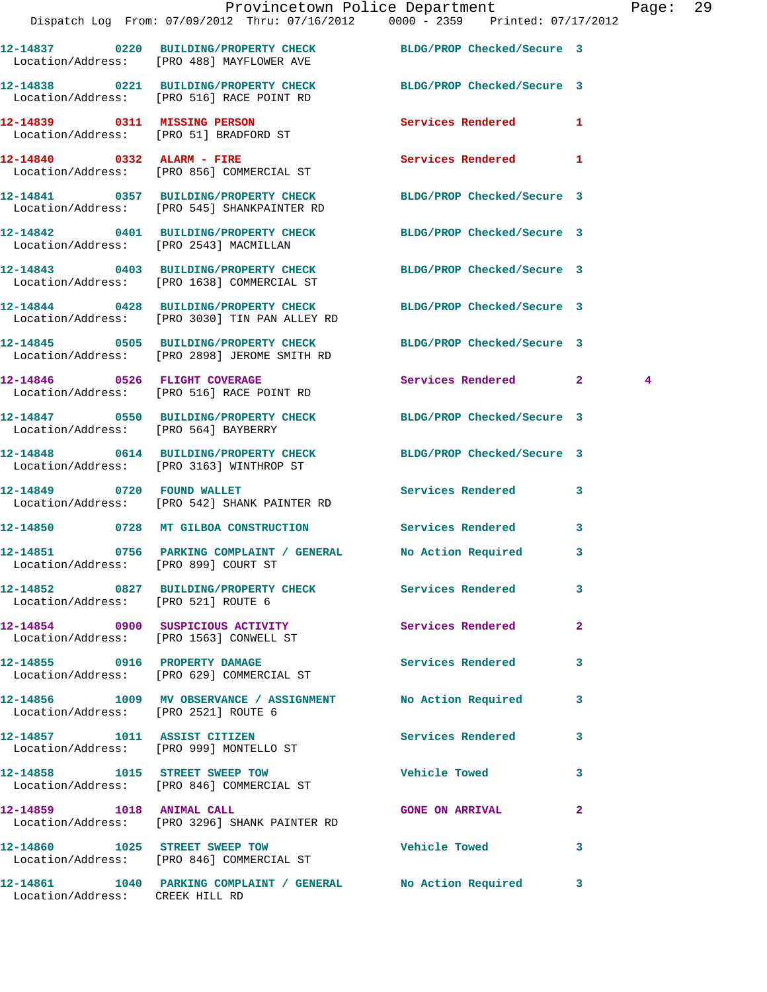|                                                  | Provincetown Police Department<br>Dispatch Log From: 07/09/2012 Thru: 07/16/2012 0000 - 2359 Printed: 07/17/2012  |                            |                         | Page: 29 |  |
|--------------------------------------------------|-------------------------------------------------------------------------------------------------------------------|----------------------------|-------------------------|----------|--|
|                                                  | 12-14837 0220 BUILDING/PROPERTY CHECK BLDG/PROP Checked/Secure 3<br>Location/Address: [PRO 488] MAYFLOWER AVE     |                            |                         |          |  |
|                                                  | 12-14838 0221 BUILDING/PROPERTY CHECK<br>Location/Address: [PRO 516] RACE POINT RD                                | BLDG/PROP Checked/Secure 3 |                         |          |  |
|                                                  | 12-14839 0311 MISSING PERSON<br>Location/Address: [PRO 51] BRADFORD ST                                            | Services Rendered 1        |                         |          |  |
|                                                  | 12-14840 0332 ALARM - FIRE<br>Location/Address: [PRO 856] COMMERCIAL ST                                           | <b>Services Rendered</b> 1 |                         |          |  |
|                                                  | 12-14841 0357 BUILDING/PROPERTY CHECK<br>Location/Address: [PRO 545] SHANKPAINTER RD                              | BLDG/PROP Checked/Secure 3 |                         |          |  |
|                                                  | 12-14842 0401 BUILDING/PROPERTY CHECK BLDG/PROP Checked/Secure 3<br>Location/Address: [PRO 2543] MACMILLAN        |                            |                         |          |  |
|                                                  | 12-14843 0403 BUILDING/PROPERTY CHECK<br>Location/Address: [PRO 1638] COMMERCIAL ST                               | BLDG/PROP Checked/Secure 3 |                         |          |  |
|                                                  | 12-14844 0428 BUILDING/PROPERTY CHECK BLDG/PROP Checked/Secure 3<br>Location/Address: [PRO 3030] TIN PAN ALLEY RD |                            |                         |          |  |
|                                                  | 12-14845 0505 BUILDING/PROPERTY CHECK BLDG/PROP Checked/Secure 3<br>Location/Address: [PRO 2898] JEROME SMITH RD  |                            |                         |          |  |
|                                                  | 12-14846 0526 FLIGHT COVERAGE<br>Location/Address: [PRO 516] RACE POINT RD                                        | Services Rendered 2        |                         | 4        |  |
|                                                  | 12-14847 0550 BUILDING/PROPERTY CHECK BLDG/PROP Checked/Secure 3<br>Location/Address: [PRO 564] BAYBERRY          |                            |                         |          |  |
|                                                  | 12-14848 0614 BUILDING/PROPERTY CHECK BLDG/PROP Checked/Secure 3<br>Location/Address: [PRO 3163] WINTHROP ST      |                            |                         |          |  |
|                                                  | 12-14849 0720 FOUND WALLET<br>Location/Address: [PRO 542] SHANK PAINTER RD                                        | Services Rendered 3        |                         |          |  |
|                                                  | 12-14850 0728 MT GILBOA CONSTRUCTION                                                                              | Services Rendered 3        |                         |          |  |
| 12-14851<br>Location/Address: [PRO 899] COURT ST | 0756 PARKING COMPLAINT / GENERAL                                                                                  | No Action Required         | 3                       |          |  |
|                                                  | 12-14852 0827 BUILDING/PROPERTY CHECK Services Rendered<br>Location/Address: [PRO 521] ROUTE 6                    |                            | $\mathbf{3}$            |          |  |
|                                                  | 12-14854 0900 SUSPICIOUS ACTIVITY<br>Location/Address: [PRO 1563] CONWELL ST                                      | Services Rendered          | $\mathbf{2}$            |          |  |
|                                                  | 12-14855 0916 PROPERTY DAMAGE<br>Location/Address: [PRO 629] COMMERCIAL ST                                        | <b>Services Rendered</b>   | 3                       |          |  |
| Location/Address: [PRO 2521] ROUTE 6             | 12-14856 1009 MV OBSERVANCE / ASSIGNMENT No Action Required                                                       |                            | $\overline{\mathbf{3}}$ |          |  |
|                                                  | 12-14857 1011 ASSIST CITIZEN<br>Location/Address: [PRO 999] MONTELLO ST                                           | Services Rendered 3        |                         |          |  |
|                                                  | 12-14858 1015 STREET SWEEP TOW<br>Location/Address: [PRO 846] COMMERCIAL ST                                       | <b>Vehicle Towed</b>       | 3                       |          |  |
|                                                  | 12-14859 1018 ANIMAL CALL<br>Location/Address: [PRO 3296] SHANK PAINTER RD                                        | GONE ON ARRIVAL 2          |                         |          |  |
|                                                  | 12-14860 1025 STREET SWEEP TOW<br>Location/Address: [PRO 846] COMMERCIAL ST                                       | <b>Vehicle Towed</b>       | 3                       |          |  |
| Location/Address: CREEK HILL RD                  | 12-14861 1040 PARKING COMPLAINT / GENERAL No Action Required 3                                                    |                            |                         |          |  |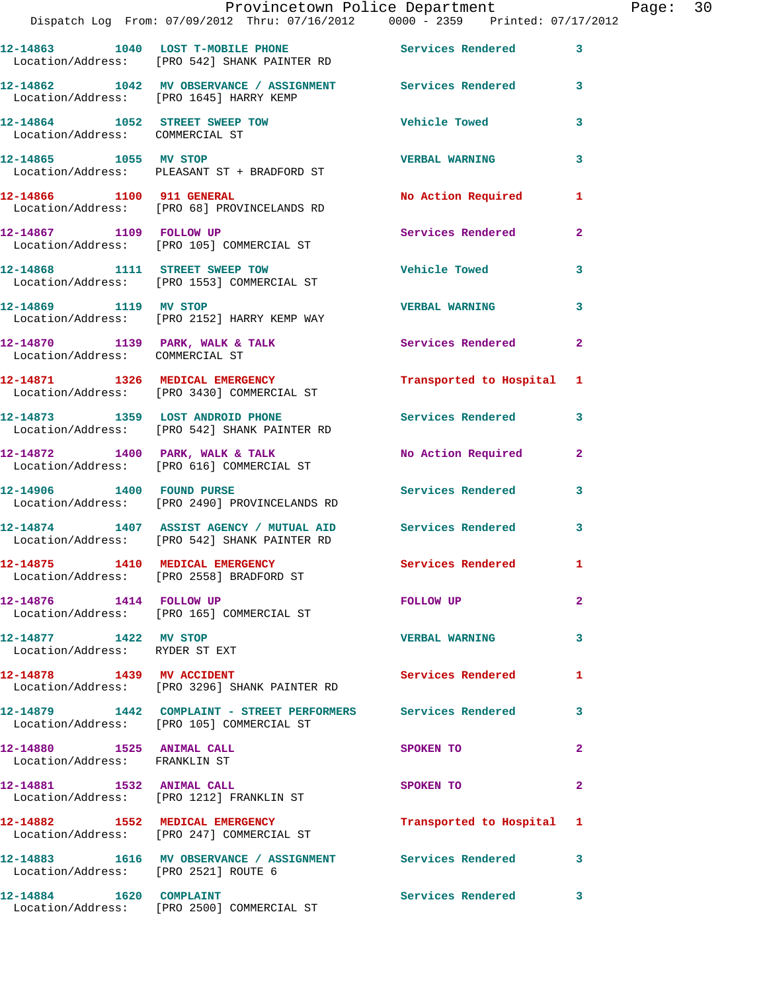|                                                                   | Provincetown Police Department<br>Dispatch Log From: 07/09/2012 Thru: 07/16/2012 0000 - 2359 Printed: 07/17/2012 |                          |                |
|-------------------------------------------------------------------|------------------------------------------------------------------------------------------------------------------|--------------------------|----------------|
|                                                                   | 12-14863 1040 LOST T-MOBILE PHONE Services Rendered<br>Location/Address: [PRO 542] SHANK PAINTER RD              |                          | 3              |
|                                                                   | 12-14862 1042 MV OBSERVANCE / ASSIGNMENT Services Rendered<br>Location/Address: [PRO 1645] HARRY KEMP            |                          | 3              |
| 12-14864 1052 STREET SWEEP TOW<br>Location/Address: COMMERCIAL ST |                                                                                                                  | Vehicle Towed            | 3              |
|                                                                   | 12-14865 1055 MV STOP<br>Location/Address: PLEASANT ST + BRADFORD ST                                             | <b>VERBAL WARNING</b>    | 3              |
| 12-14866 1100 911 GENERAL                                         | Location/Address: [PRO 68] PROVINCELANDS RD                                                                      | No Action Required       | 1              |
| 12-14867 1109 FOLLOW UP                                           | Location/Address: [PRO 105] COMMERCIAL ST                                                                        | <b>Services Rendered</b> | $\mathbf{2}$   |
|                                                                   | 12-14868 1111 STREET SWEEP TOW<br>Location/Address: [PRO 1553] COMMERCIAL ST                                     | <b>Vehicle Towed</b>     | 3              |
| 12-14869 1119 MV STOP                                             | Location/Address: [PRO 2152] HARRY KEMP WAY                                                                      | <b>VERBAL WARNING</b>    | 3              |
| Location/Address: COMMERCIAL ST                                   | $12-14870$ 1139 PARK, WALK & TALK                                                                                | Services Rendered        | $\mathbf{2}$   |
|                                                                   | 12-14871 1326 MEDICAL EMERGENCY<br>Location/Address: [PRO 3430] COMMERCIAL ST                                    | Transported to Hospital  | 1              |
| 12-14873 1359 LOST ANDROID PHONE                                  | Location/Address: [PRO 542] SHANK PAINTER RD                                                                     | Services Rendered        | 3              |
|                                                                   | 12-14872 1400 PARK, WALK & TALK<br>Location/Address: [PRO 616] COMMERCIAL ST                                     | No Action Required       | $\mathbf{2}$   |
| 12-14906   1400   FOUND PURSE                                     | Location/Address: [PRO 2490] PROVINCELANDS RD                                                                    | Services Rendered        | 3              |
|                                                                   | 12-14874 1407 ASSIST AGENCY / MUTUAL AID<br>Location/Address: [PRO 542] SHANK PAINTER RD                         | <b>Services Rendered</b> | 3              |
|                                                                   | 12-14875 1410 MEDICAL EMERGENCY<br>Location/Address: [PRO 2558] BRADFORD ST                                      | Services Rendered        |                |
| 12-14876   1414   FOLLOW UP                                       | Location/Address: [PRO 165] COMMERCIAL ST                                                                        | FOLLOW UP                | $\overline{a}$ |
| 12-14877 1422 MV STOP<br>Location/Address: RYDER ST EXT           |                                                                                                                  | <b>VERBAL WARNING</b>    | 3              |
| 12-14878   1439 MV ACCIDENT                                       | Location/Address: [PRO 3296] SHANK PAINTER RD                                                                    | Services Rendered        | 1              |
|                                                                   | 12-14879 1442 COMPLAINT - STREET PERFORMERS Services Rendered<br>Location/Address: [PRO 105] COMMERCIAL ST       |                          | 3              |
| 12-14880 1525 ANIMAL CALL<br>Location/Address: FRANKLIN ST        |                                                                                                                  | SPOKEN TO                | 2              |
| 12-14881 1532 ANIMAL CALL                                         | Location/Address: [PRO 1212] FRANKLIN ST                                                                         | SPOKEN TO                | 2              |
|                                                                   | 12-14882 1552 MEDICAL EMERGENCY<br>Location/Address: [PRO 247] COMMERCIAL ST                                     | Transported to Hospital  | 1              |
| Location/Address: [PRO 2521] ROUTE 6                              | 12-14883 1616 MV OBSERVANCE / ASSIGNMENT Services Rendered                                                       |                          | 3              |
| 12-14884 1620 COMPLAINT                                           |                                                                                                                  | Services Rendered        | 3              |

Location/Address: [PRO 2500] COMMERCIAL ST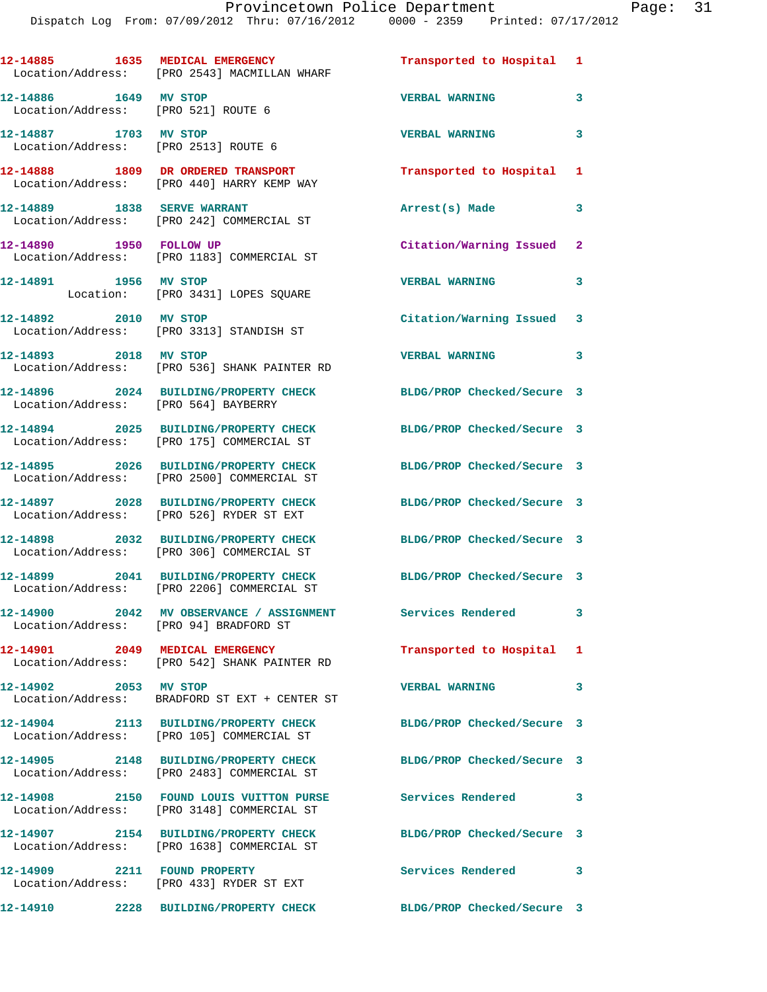|                                                               | 12-14885 1635 MEDICAL EMERGENCY<br>Location/Address: [PRO 2543] MACMILLAN WHARF       | Transported to Hospital 1  |   |
|---------------------------------------------------------------|---------------------------------------------------------------------------------------|----------------------------|---|
| 12-14886 1649 MV STOP<br>Location/Address: [PRO 521] ROUTE 6  |                                                                                       | <b>VERBAL WARNING</b>      | 3 |
| 12-14887 1703 MV STOP<br>Location/Address: [PRO 2513] ROUTE 6 |                                                                                       | <b>VERBAL WARNING</b>      | 3 |
|                                                               | 12-14888 1809 DR ORDERED TRANSPORT<br>Location/Address: [PRO 440] HARRY KEMP WAY      | Transported to Hospital    | 1 |
|                                                               | 12-14889 1838 SERVE WARRANT<br>Location/Address: [PRO 242] COMMERCIAL ST              | Arrest(s) Made             | 3 |
| 12-14890 1950 FOLLOW UP                                       | Location/Address: [PRO 1183] COMMERCIAL ST                                            | Citation/Warning Issued    | 2 |
| 12-14891 1956 MV STOP                                         | Location: [PRO 3431] LOPES SQUARE                                                     | <b>VERBAL WARNING</b>      | 3 |
| 12-14892 2010 MV STOP                                         | Location/Address: [PRO 3313] STANDISH ST                                              | Citation/Warning Issued    | 3 |
| 12-14893 2018 MV STOP                                         | Location/Address: [PRO 536] SHANK PAINTER RD                                          | <b>VERBAL WARNING</b>      | 3 |
| Location/Address: [PRO 564] BAYBERRY                          | 12-14896 2024 BUILDING/PROPERTY CHECK                                                 | BLDG/PROP Checked/Secure 3 |   |
|                                                               | 12-14894 2025 BUILDING/PROPERTY CHECK<br>Location/Address: [PRO 175] COMMERCIAL ST    | BLDG/PROP Checked/Secure 3 |   |
|                                                               | 12-14895 2026 BUILDING/PROPERTY CHECK<br>Location/Address: [PRO 2500] COMMERCIAL ST   | BLDG/PROP Checked/Secure 3 |   |
|                                                               | 12-14897 2028 BUILDING/PROPERTY CHECK<br>Location/Address: [PRO 526] RYDER ST EXT     | BLDG/PROP Checked/Secure 3 |   |
|                                                               | 12-14898 2032 BUILDING/PROPERTY CHECK<br>Location/Address: [PRO 306] COMMERCIAL ST    | BLDG/PROP Checked/Secure 3 |   |
| 12-14899                                                      | 2041 BUILDING/PROPERTY CHECK<br>Location/Address: [PRO 2206] COMMERCIAL ST            | BLDG/PROP Checked/Secure 3 |   |
| 12-14900<br>2042<br>Location/Address: [PRO 94] BRADFORD ST    | MV OBSERVANCE / ASSIGNMENT                                                            | Services Rendered          | 3 |
|                                                               | 12-14901 2049 MEDICAL EMERGENCY<br>Location/Address: [PRO 542] SHANK PAINTER RD       | Transported to Hospital    | 1 |
| 12-14902 2053 MV STOP                                         | Location/Address: BRADFORD ST EXT + CENTER ST                                         | <b>VERBAL WARNING</b>      | 3 |
|                                                               | 12-14904 2113 BUILDING/PROPERTY CHECK<br>Location/Address: [PRO 105] COMMERCIAL ST    | BLDG/PROP Checked/Secure 3 |   |
|                                                               | 12-14905 2148 BUILDING/PROPERTY CHECK<br>Location/Address: [PRO 2483] COMMERCIAL ST   | BLDG/PROP Checked/Secure 3 |   |
|                                                               | 12-14908 2150 FOUND LOUIS VUITTON PURSE<br>Location/Address: [PRO 3148] COMMERCIAL ST | Services Rendered          | 3 |
|                                                               | 12-14907 2154 BUILDING/PROPERTY CHECK<br>Location/Address: [PRO 1638] COMMERCIAL ST   | BLDG/PROP Checked/Secure 3 |   |
|                                                               | 12-14909 2211 FOUND PROPERTY<br>Location/Address: [PRO 433] RYDER ST EXT              | Services Rendered          | 3 |
|                                                               | 12-14910 2228 BUILDING/PROPERTY CHECK BLDG/PROP Checked/Secure 3                      |                            |   |